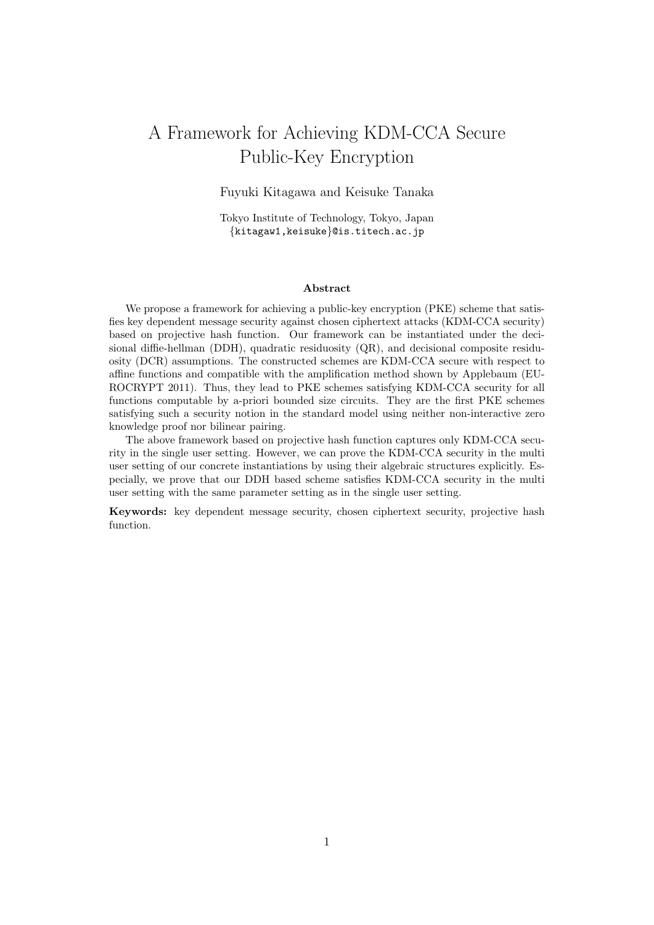# A Framework for Achieving KDM-CCA Secure Public-Key Encryption

Fuyuki Kitagawa and Keisuke Tanaka

Tokyo Institute of Technology, Tokyo, Japan *{*kitagaw1,keisuke*}*@is.titech.ac.jp

#### **Abstract**

We propose a framework for achieving a public-key encryption (PKE) scheme that satisfies key dependent message security against chosen ciphertext attacks (KDM-CCA security) based on projective hash function. Our framework can be instantiated under the decisional diffie-hellman (DDH), quadratic residuosity (QR), and decisional composite residuosity (DCR) assumptions. The constructed schemes are KDM-CCA secure with respect to affine functions and compatible with the amplification method shown by Applebaum (EU-ROCRYPT 2011). Thus, they lead to PKE schemes satisfying KDM-CCA security for all functions computable by a-priori bounded size circuits. They are the first PKE schemes satisfying such a security notion in the standard model using neither non-interactive zero knowledge proof nor bilinear pairing.

The above framework based on projective hash function captures only KDM-CCA security in the single user setting. However, we can prove the KDM-CCA security in the multi user setting of our concrete instantiations by using their algebraic structures explicitly. Especially, we prove that our DDH based scheme satisfies KDM-CCA security in the multi user setting with the same parameter setting as in the single user setting.

**Keywords:** key dependent message security, chosen ciphertext security, projective hash function.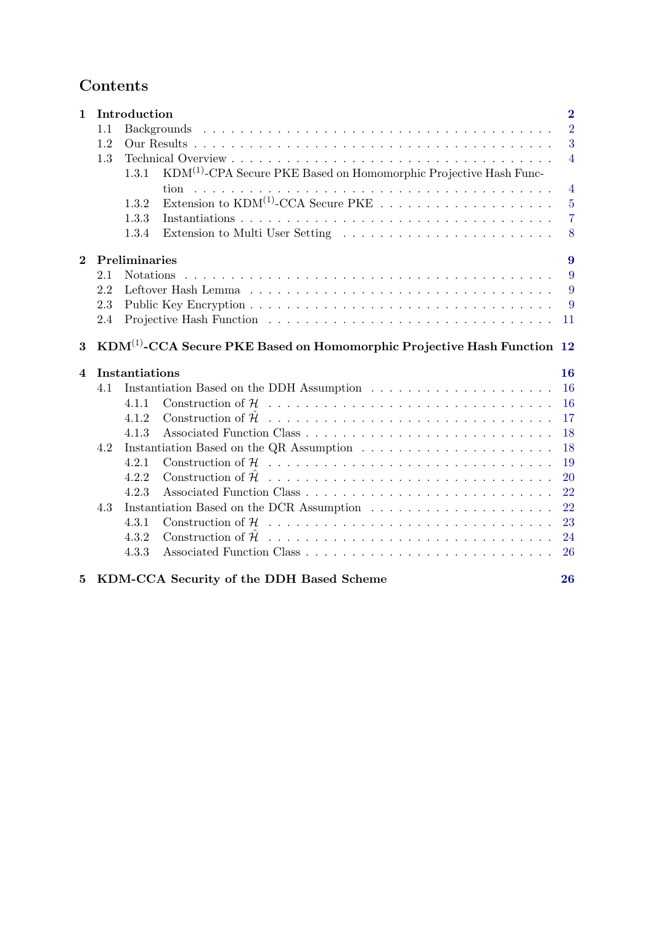## **Contents**

| $\mathbf 1$ | Introduction                                                                        |                                                                                        |                |  |  |  |  |  |
|-------------|-------------------------------------------------------------------------------------|----------------------------------------------------------------------------------------|----------------|--|--|--|--|--|
|             | 1.1                                                                                 |                                                                                        | $\overline{2}$ |  |  |  |  |  |
|             | 1.2                                                                                 |                                                                                        | 3              |  |  |  |  |  |
|             | 1.3                                                                                 |                                                                                        | $\overline{4}$ |  |  |  |  |  |
|             |                                                                                     | KDM <sup>(1)</sup> -CPA Secure PKE Based on Homomorphic Projective Hash Func-<br>1.3.1 |                |  |  |  |  |  |
|             |                                                                                     | tion                                                                                   | $\overline{4}$ |  |  |  |  |  |
|             |                                                                                     | 1.3.2                                                                                  | $\overline{5}$ |  |  |  |  |  |
|             |                                                                                     | 1.3.3                                                                                  | $\overline{7}$ |  |  |  |  |  |
|             |                                                                                     | 1.3.4                                                                                  | 8              |  |  |  |  |  |
| $\bf{2}$    |                                                                                     | Preliminaries                                                                          | 9              |  |  |  |  |  |
|             | 2.1                                                                                 | <b>Notations</b>                                                                       | 9              |  |  |  |  |  |
|             | 2.2                                                                                 |                                                                                        | 9              |  |  |  |  |  |
|             | 2.3                                                                                 |                                                                                        | 9              |  |  |  |  |  |
|             | 2.4                                                                                 |                                                                                        | 11             |  |  |  |  |  |
| 3           | KDM <sup>(1)</sup> -CCA Secure PKE Based on Homomorphic Projective Hash Function 12 |                                                                                        |                |  |  |  |  |  |
|             |                                                                                     |                                                                                        |                |  |  |  |  |  |
| 4           | Instantiations                                                                      |                                                                                        |                |  |  |  |  |  |
|             | 4.1                                                                                 |                                                                                        | 16             |  |  |  |  |  |
|             |                                                                                     | 4.1.1                                                                                  | 16             |  |  |  |  |  |
|             |                                                                                     | 4.1.2                                                                                  | 17             |  |  |  |  |  |
|             |                                                                                     | 4.1.3                                                                                  | 18             |  |  |  |  |  |
|             | 4.2                                                                                 |                                                                                        | 18             |  |  |  |  |  |
|             |                                                                                     | 4.2.1                                                                                  | 19             |  |  |  |  |  |
|             |                                                                                     | Construction of $\mathcal{H}$<br>4.2.2                                                 | 20             |  |  |  |  |  |
|             |                                                                                     | 4.2.3                                                                                  | 22             |  |  |  |  |  |
|             | 4.3                                                                                 |                                                                                        | 22             |  |  |  |  |  |
|             |                                                                                     | 4.3.1                                                                                  | 23             |  |  |  |  |  |
|             |                                                                                     | Construction of $\hat{\mathcal{H}}$<br>4.3.2                                           | 24             |  |  |  |  |  |
|             |                                                                                     | 4.3.3                                                                                  | 26             |  |  |  |  |  |
|             | KDM-CCA Security of the DDH Based Scheme<br>26                                      |                                                                                        |                |  |  |  |  |  |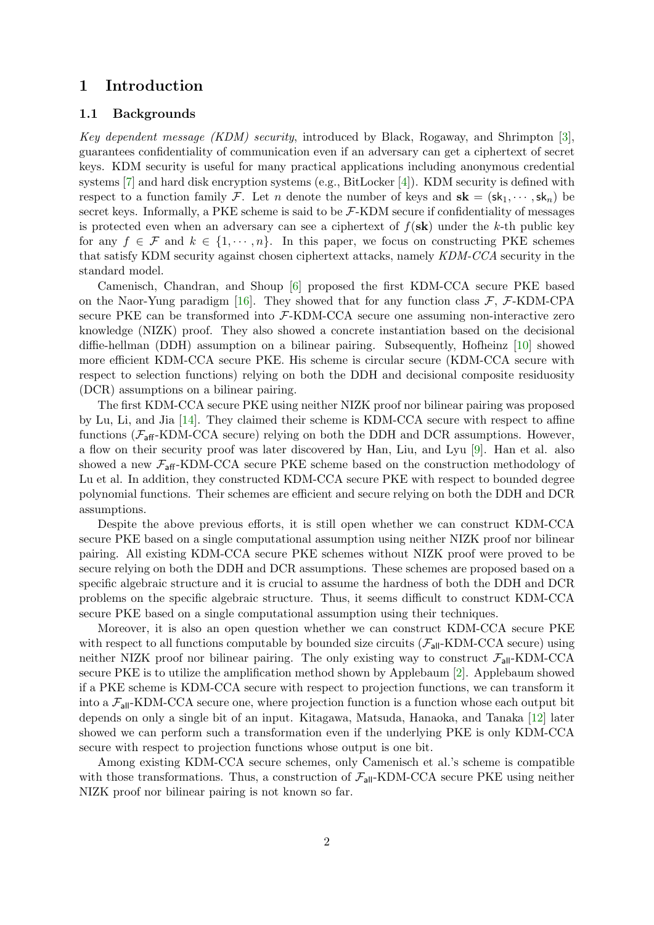## **1 Introduction**

#### **1.1 Backgrounds**

<span id="page-2-1"></span><span id="page-2-0"></span>*Key dependent message (KDM) security*, introduced by Black, Rogaway, and Shrimpton [3], guarantees confidentiality of communication even if an adversary can get a ciphertext of secret keys. KDM security is useful for many practical applications including anonymous credential systems [7] and hard disk encryption systems (e.g., BitLocker [4]). KDM security is defined with respect to a function family *F*. Let *n* denote the number of keys and  $sk = (sk_1, \dots, sk_n)$  [b](#page-34-0)e secret keys. Informally, a PKE scheme is said to be *F*-KDM secure if confidentiality of messages is protected even when an adversary can see a ciphertext of  $f(\mathbf{sk})$  under the *k*-th public key [f](#page-35-0)or any  $f \in \mathcal{F}$  and  $k \in \{1, \dots, n\}$ . In this paper, we foc[us](#page-35-1) on constructing PKE schemes that satisfy KDM security against chosen ciphertext attacks, namely *KDM-CCA* security in the standard model.

Camenisch, Chandran, and Shoup [6] proposed the first KDM-CCA secure PKE based on the Naor-Yung paradigm [16]. They showed that for any function class  $\mathcal{F}$ ,  $\mathcal{F}$ -KDM-CPA secure PKE can be transformed into *F*-KDM-CCA secure one assuming non-interactive zero knowledge (NIZK) proof. They also showed a concrete instantiation based on the decisional diffie-hellman (DDH) assumption on a [bi](#page-35-2)linear pairing. Subsequently, Hofheinz [10] showed more efficient KDM-CCA sec[ure](#page-35-3) PKE. His scheme is circular secure (KDM-CCA secure with respect to selection functions) relying on both the DDH and decisional composite residuosity (DCR) assumptions on a bilinear pairing.

The first KDM-CCA secure PKE using neither NIZK proof nor bilinear pairing w[as p](#page-35-4)roposed by Lu, Li, and Jia [14]. They claimed their scheme is KDM-CCA secure with respect to affine functions ( $\mathcal{F}_{\text{aff}}$ -KDM-CCA secure) relying on both the DDH and DCR assumptions. However, a flow on their security proof was later discovered by Han, Liu, and Lyu [9]. Han et al. also showed a new  $\mathcal{F}_{\text{aff}}$ -KDM-CCA secure PKE scheme based on the construction methodology of Lu et al. In additio[n, t](#page-35-5)hey constructed KDM-CCA secure PKE with respect to bounded degree polynomial functions. Their schemes are efficient and secure relying on both the DDH and DCR assumptions.

Despite the above previous efforts, it is still open whether we can construct KDM-CCA secure PKE based on a single computational assumption using neither NIZK proof nor bilinear pairing. All existing KDM-CCA secure PKE schemes without NIZK proof were proved to be secure relying on both the DDH and DCR assumptions. These schemes are proposed based on a specific algebraic structure and it is crucial to assume the hardness of both the DDH and DCR problems on the specific algebraic structure. Thus, it seems difficult to construct KDM-CCA secure PKE based on a single computational assumption using their techniques.

Moreover, it is also an open question whether we can construct KDM-CCA secure PKE with respect to all functions computable by bounded size circuits  $(\mathcal{F}_{all}-KDM-CCA)$  secure) using neither NIZK proof nor bilinear pairing. The only existing way to construct  $\mathcal{F}_{all}$ -KDM-CCA secure PKE is to utilize the amplification method shown by Applebaum [2]. Applebaum showed if a PKE scheme is KDM-CCA secure with respect to projection functions, we can transform it into a  $\mathcal{F}_{all}$ -KDM-CCA secure one, where projection function is a function whose each output bit depends on only a single bit of an input. Kitagawa, Matsuda, Hanaoka, and Tanaka [12] later showed we can perform such a transformation even if the underlying P[K](#page-34-1)E is only KDM-CCA secure with respect to projection functions whose output is one bit.

Among existing KDM-CCA secure schemes, only Camenisch et al.'s scheme is compatible with those transformations. Thus, a construction of  $\mathcal{F}_{all}$ -KDM-CCA secure PKE usin[g n](#page-35-6)either NIZK proof nor bilinear pairing is not known so far.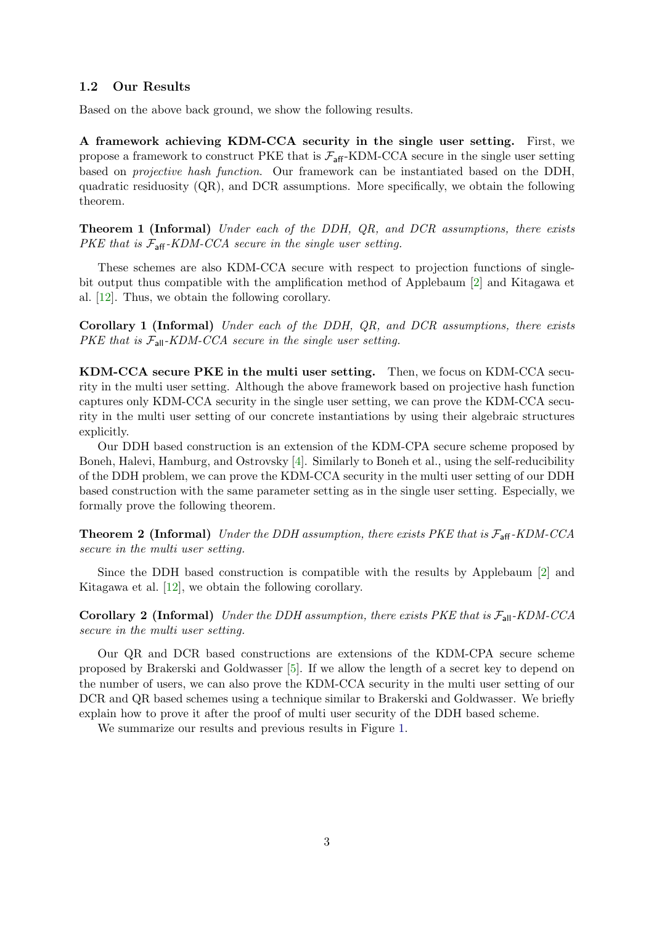#### **1.2 Our Results**

Based on the above back ground, we show the following results.

<span id="page-3-0"></span>**A framework achieving KDM-CCA security in the single user setting.** First, we propose a framework to construct PKE that is  $\mathcal{F}_{\text{aff}}$ -KDM-CCA secure in the single user setting based on *projective hash function*. Our framework can be instantiated based on the DDH, quadratic residuosity (QR), and DCR assumptions. More specifically, we obtain the following theorem.

**Theorem 1 (Informal)** *Under each of the DDH, QR, and DCR assumptions, there exists PKE that is F*aff*-KDM-CCA secure in the single user setting.*

These schemes are also KDM-CCA secure with respect to projection functions of singlebit output thus compatible with the amplification method of Applebaum [2] and Kitagawa et al. [12]. Thus, we obtain the following corollary.

**Corollary 1 (Informal)** *Under each of the DDH, QR, and DCR assumptions, there exists PKE that is F*all*-KDM-CCA secure in the single user setting.*

**KDM-CCA secure PKE in the multi user setting.** Then, we focus on KDM-CCA security in the multi user setting. Although the above framework based on projective hash function captures only KDM-CCA security in the single user setting, we can prove the KDM-CCA security in the multi user setting of our concrete instantiations by using their algebraic structures explicitly.

Our DDH based construction is an extension of the KDM-CPA secure scheme proposed by Boneh, Halevi, Hamburg, and Ostrovsky [4]. Similarly to Boneh et al., using the self-reducibility of the DDH problem, we can prove the KDM-CCA security in the multi user setting of our DDH based construction with the same parameter setting as in the single user setting. Especially, we formally prove the following theorem.

**Theorem 2 (Informal)** *Under the DDH assumption, there exists PKE that is F*aff*-KDM-CCA secure in the multi user setting.*

Since the DDH based construction is compatible with the results by Applebaum [2] and Kitagawa et al. [12], we obtain the following corollary.

**Corollary 2 (Informal)** *Under the DDH assumption, there exists PKE that is F*all*-KDM-CCA secure in the multi user setting.*

Our QR and DCR based constructions are extensions of the KDM-CPA secure scheme proposed by Brakerski and Goldwasser [5]. If we allow the length of a secret key to depend on the number of users, we can also prove the KDM-CCA security in the multi user setting of our DCR and QR based schemes using a technique similar to Brakerski and Goldwasser. We briefly explain how to prove it after the proof of multi user security of the DDH based scheme.

We summarize our results and previ[ou](#page-35-7)s results in Figure 1.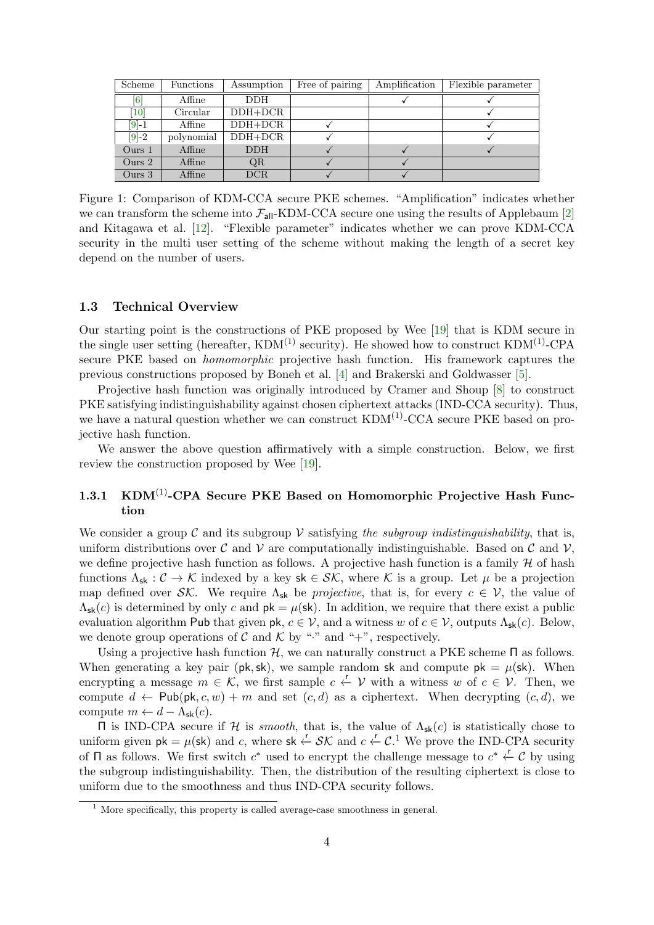| Scheme             | Functions  | Assumption | Free of pairing | Amplification | Flexible parameter |
|--------------------|------------|------------|-----------------|---------------|--------------------|
| $\left 6\right $   | Affine     | <b>DDH</b> |                 |               |                    |
| $\left[10\right]$  | Circular   | $DDH+DCR$  |                 |               |                    |
| $[9]-1$            | Affine     | $DDH+DCR$  |                 |               |                    |
| $\left[9\right]-2$ | polynomial | $DDH+DCR$  |                 |               |                    |
| Ours $1$           | Affine     | <b>DDH</b> |                 |               |                    |
| Ours <sub>2</sub>  | Affine     | QR         |                 |               |                    |
| Ours <sub>3</sub>  | Affine     | DCR        |                 |               |                    |

Figure 1: [C](#page-35-8)omparison of KDM-CCA secure PKE schemes. "Amplification" indicates whether we can transform the scheme into  $\mathcal{F}_{all}$ -KDM-CCA secure one using the results of Applebaum [2] and Kitagawa et al. [12]. "Flexible parameter" indicates whether we can prove KDM-CCA security in the multi user setting of the scheme without making the length of a secret key depend on the number of users.

#### **1.3 Technical Overview**

<span id="page-4-0"></span>Our starting point is the constructions of PKE proposed by Wee [19] that is KDM secure in the single user setting (hereafter,  $KDM^{(1)}$  security). He showed how to construct  $KDM^{(1)}$ -CPA secure PKE based on *homomorphic* projective hash function. His framework captures the previous constructions proposed by Boneh et al. [4] and Brakerski and Goldwasser [5].

Projective hash function was originally introduced by Cramer [and](#page-35-9) Shoup [8] to construct PKE satisfying indistinguishability against chosen ciphertext attacks (IND-CCA security). Thus, we have a natural question whether we can construct  $KDM<sup>(1)</sup>-CCA$  secure PKE based on projective hash function.

We answer the above question affirmatively with a simple construction. [Be](#page-35-10)low, we first review the construction proposed by Wee [19].

## 1.3.1 KDM<sup>(1)</sup>-CPA Secure PKE Based on Homomorphic Projective Hash Func**tion**

<span id="page-4-1"></span>We consider a group  $\mathcal C$  and its subgroup  $\mathcal V$  satisfying the *subgroup indistinguishability*, that is, uniform distributions over *C* and *V* are computationally indistinguishable. Based on *C* and *V*, we define projective hash function as follows. A projective hash function is a family *H* of hash functions  $\Lambda_{\mathsf{sk}} : \mathcal{C} \to \mathcal{K}$  indexed by a key  $\mathsf{sk} \in \mathcal{SK}$ , where  $\mathcal{K}$  is a group. Let  $\mu$  be a projection map defined over *SK*. We require  $\Lambda_{sk}$  be *projective*, that is, for every  $c \in V$ , the value of  $\Lambda_{\rm sk}(c)$  is determined by only c and  $\mathsf{pk} = \mu(\mathsf{sk})$ . In addition, we require that there exist a public evaluation algorithm Pub that given pk,  $c \in V$ , and a witness w of  $c \in V$ , outputs  $\Lambda_{\mathsf{sk}}(c)$ . Below, we denote group operations of  $C$  and  $K$  by "<sup>\*</sup> and "+", respectively.

Using a projective hash function *H*, we can naturally construct a PKE scheme Π as follows. When generating a key pair ( $pk, sk$ ), we sample random sk and compute  $pk = \mu(sk)$ . When encrypting a message  $m \in \mathcal{K}$ , we first sample  $c \leftarrow \mathcal{V}$  with a witness  $w$  of  $c \in \mathcal{V}$ . Then, we compute  $d \leftarrow \text{Pub}(pk, c, w) + m$  and set  $(c, d)$  as a ciphertext. When decrypting  $(c, d)$ , we compute  $m \leftarrow d - \Lambda_{\rm sk}(c)$ .

 $\Pi$  is IND-CPA secure if *H* is *smooth*, that is, the value of  $Λ_{sk}(c)$  is statistically chose to uniform given  $pk = \mu (sk)$  and *c*, where  $sk \stackrel{f}{\leftarrow} SK$  and  $c \stackrel{f}{\leftarrow} C$ <sup>1</sup>. We prove the IND-CPA security of  $\Pi$  as follows. We first switch  $c^*$  used to encrypt the challenge message to  $c^* \leftarrow c$  by using the subgroup indistinguishability. Then, the distribution of the resulting ciphertext is close to uniform due to the smoothness and thus IND-CPA security [fo](#page-4-2)llows.

<span id="page-4-2"></span> $1$  More specifically, this property is called average-case smoothness in general.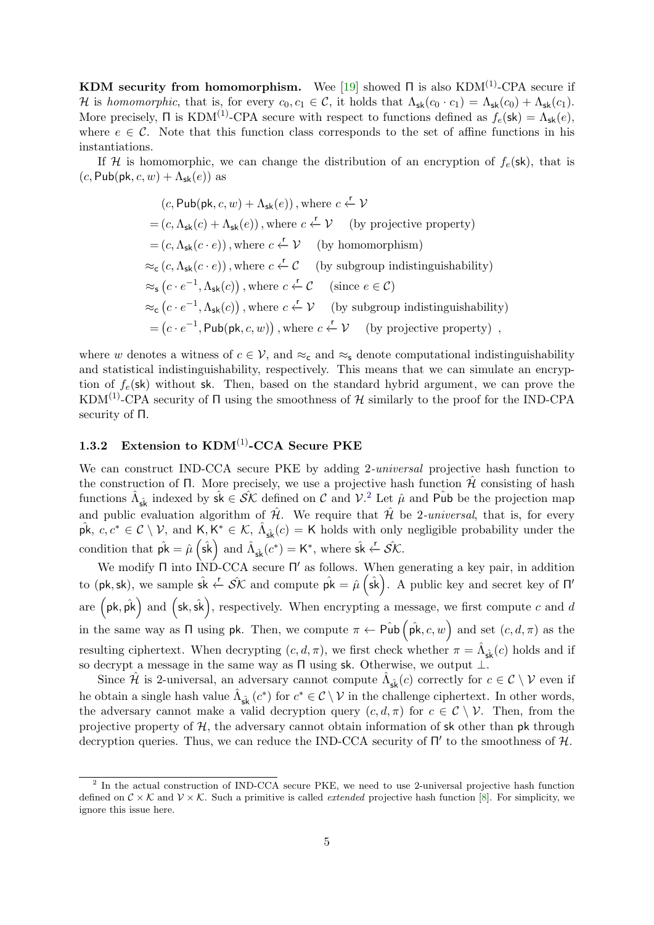**KDM security from homomorphism.** Wee [19] showed  $\Pi$  is also KDM<sup>(1)</sup>-CPA secure if *H* is *homomorphic*, that is, for every  $c_0, c_1 \in \mathcal{C}$ , it holds that  $\Lambda_{\mathsf{sk}}(c_0 \cdot c_1) = \Lambda_{\mathsf{sk}}(c_0) + \Lambda_{\mathsf{sk}}(c_1)$ . More precisely,  $\Pi$  is KDM<sup>(1)</sup>-CPA secure with respect to functions defined as  $f_e(\mathsf{sk}) = \Lambda_{\mathsf{sk}}(e)$ , where  $e \in \mathcal{C}$ . Note that this function class corr[esp](#page-35-9)onds to the set of affine functions in his instantiations.

If *H* is homomorphic, we can change the distribution of an encryption of  $f_e(\mathsf{sk})$ , that is  $(c, \mathsf{Pub}(\mathsf{pk}, c, w) + \Lambda_{\mathsf{sk}}(e))$  as

$$
(c, \text{Pub}(pk, c, w) + \Lambda_{\text{sk}}(e)), \text{ where } c \stackrel{r}{\leftarrow} \mathcal{V}
$$
  
=  $(c, \Lambda_{\text{sk}}(c) + \Lambda_{\text{sk}}(e)), \text{ where } c \stackrel{r}{\leftarrow} \mathcal{V}$  (by projective property)  
=  $(c, \Lambda_{\text{sk}}(c \cdot e)), \text{ where } c \stackrel{r}{\leftarrow} \mathcal{V}$  (by homomorphism)  
 $\approx_c (c, \Lambda_{\text{sk}}(c \cdot e)), \text{ where } c \stackrel{r}{\leftarrow} \mathcal{C}$  (by subgroup indistinguishability)  
 $\approx_s (c \cdot e^{-1}, \Lambda_{\text{sk}}(c)), \text{ where } c \stackrel{r}{\leftarrow} \mathcal{C}$  (since  $e \in \mathcal{C}$ )  
 $\approx_c (c \cdot e^{-1}, \Lambda_{\text{sk}}(c)), \text{ where } c \stackrel{r}{\leftarrow} \mathcal{V}$  (by subgroup indistinguishability)  
=  $(c \cdot e^{-1}, \text{Pub}(pk, c, w)), \text{ where } c \stackrel{r}{\leftarrow} \mathcal{V}$  (by projective property),

where *w* denotes a witness of  $c \in V$ , and  $\approx_c$  and  $\approx_s$  denote computational indistinguishability and statistical indistinguishability, respectively. This means that we can simulate an encryption of *fe*(sk) without sk. Then, based on the standard hybrid argument, we can prove the KDM<sup>(1)</sup>-CPA security of  $\Pi$  using the smoothness of  $H$  similarly to the proof for the IND-CPA security of Π.

## **1.3.2 Extension to KDM**(1)**-CCA Secure PKE**

<span id="page-5-0"></span>We can construct IND-CCA secure PKE by adding 2*-universal* projective hash function to the construction of  $\Pi$ . More precisely, we use a projective hash function  $\hat{\mathcal{H}}$  consisting of hash functions  $\hat{\Lambda}_{\hat{s}\hat{k}}$  indexed by  $\hat{s}\hat{k} \in \hat{\mathcal{S}}\hat{\mathcal{K}}$  defined on  $\mathcal{C}$  and  $\mathcal{V}.^2$  Let  $\hat{\mu}$  and  $\hat{\mu}$  be the projection map and public evaluation algorithm of  $\hat{\mathcal{H}}$ . We require that  $\hat{\mathcal{H}}$  be 2*-universal*, that is, for every  $\hat{\mathsf{pk}}, c, c^* \in \mathcal{C} \setminus \mathcal{V}$ , and  $\mathsf{K}, \mathsf{K}^* \in \mathcal{K}, \hat{\Lambda}_{\hat{\mathsf{sk}}}(c) = \mathsf{K}$  holds with only negligible probability under the condition that  $\hat{\mathsf{pk}} = \hat{\mu} \left( \hat{\mathsf{sk}} \right)$  and  $\hat{\Lambda}_{\hat{\mathsf{sk}}}(c^*) = \mathsf{K}^*$ , where  $\hat{\mathsf{sk}} \stackrel{\mathsf{r}}{\leftarrow} \hat{\mathcal{SK}}$ .

We modify Π into IND-CCA secure Π *′* as follows. When generating a key pair, in addition to (pk, sk), we sample  $\hat{\mathsf{s}}\hat{\mathsf{k}} \leftarrow \hat{\mathcal{SK}}$  and compute  $\hat{\mathsf{pk}} = \hat{\mu} \left( \hat{\mathsf{sk}} \right)$ . A public key and secret key of  $\Pi'$ are  $(\mathsf{pk}, \hat{\mathsf{pk}})$  and  $(\mathsf{sk}, \hat{\mathsf{sk}})$ , respectively. When encrypting a message, we first compute *c* and *d* in the same way as  $\Pi$  using pk. Then, we compute  $\pi \leftarrow \hat{\text{Pub}}(\hat{\text{pk}}, c, w)$  and set  $(c, d, \pi)$  as the resulting ciphertext. When decrypting  $(c, d, \pi)$ , we first check whether  $\pi = \hat{\Lambda}_{\hat{\mathsf{sk}}}(c)$  holds and if so decrypt a message in the same way as Π using sk. Otherwise, we output *⊥*.

Since  $\hat{\mathcal{H}}$  is 2-universal, an adversary cannot compute  $\hat{\Lambda}_{\hat{\mathsf{sk}}}(c)$  correctly for  $c \in \mathcal{C} \setminus \mathcal{V}$  even if he obtain a single hash value  $\hat{\Lambda}_{\hat{\mathsf{sk}}}(c^*)$  for  $c^* \in \mathcal{C} \setminus \mathcal{V}$  in the challenge ciphertext. In other words, the adversary cannot make a valid decryption query  $(c, d, \pi)$  for  $c \in C \setminus V$ . Then, from the projective property of  $H$ , the adversary cannot obtain information of sk other than pk through decryption queries. Thus, we can reduce the IND-CCA security of Π *′* to the smoothness of *H*.

<span id="page-5-1"></span><sup>&</sup>lt;sup>2</sup> In the actual construction of IND-CCA secure PKE, we need to use 2-universal projective hash function defined on  $C \times K$  and  $V \times K$ . Such a primitive is called *extended* projective hash function [8]. For simplicity, we ignore this issue here.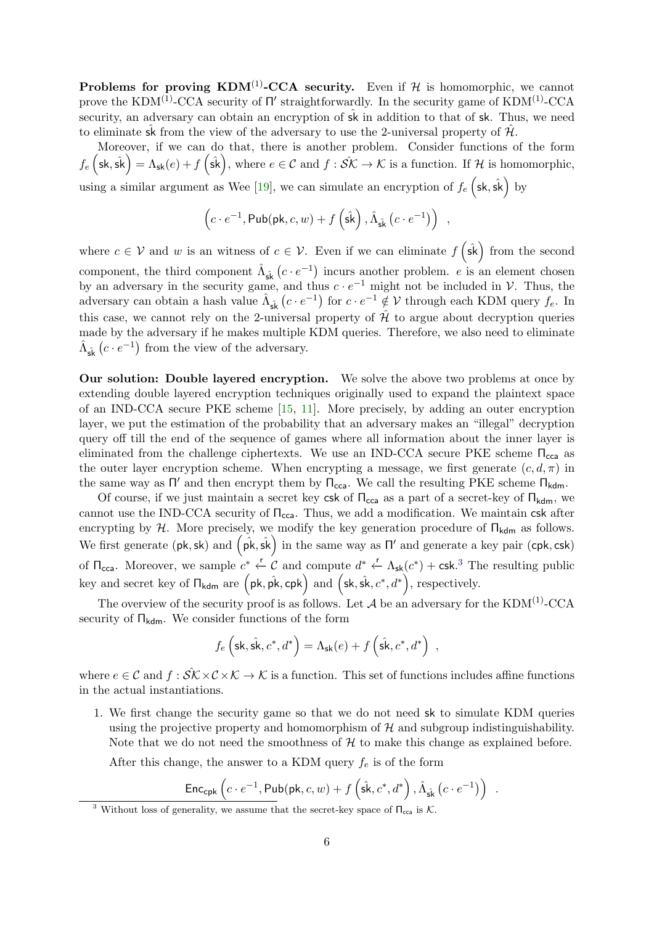**Problems for proving KDM<sup>(1)</sup>-CCA security.** Even if  $H$  is homomorphic, we cannot prove the KDM(1)-CCA security of Π *′* straightforwardly. In the security game of KDM(1)-CCA security, an adversary can obtain an encryption of  $s\hat{k}$  in addition to that of  $s\hat{k}$ . Thus, we need to eliminate sk from the view of the adversary to use the 2-universal property of  $\mathcal{H}$ .

Moreover, if we can do that, there is another problem. Consider functions of the form  $f_e\left(\textsf{sk}, \hat{\textsf{sk}}\right) = \Lambda_{\textsf{sk}}(e) + f\left(\hat{\textsf{sk}}\right)$ , where  $e \in \mathcal{C}$  and  $f : \hat{\mathcal{SK}} \to \mathcal{K}$  is a function. If  $\mathcal{H}$  is homomorphic, using a similar argument as Wee [19], we can simulate an encryption of  $f_e$  (sk, sk) by

$$
\left(c \cdot e^{-1}, \mathsf{Pub}(pk, c, w) + f\left(\hat{\mathsf{sk}}\right), \hat{\Lambda}_{\hat{\mathsf{sk}}}\left(c \cdot e^{-1}\right)\right) ,
$$

where  $c \in V$  and w is an witness [of](#page-35-9)  $c \in V$ . Even if we can eliminate  $f(s_k)$  from the second component, the third component  $\hat{\Lambda}_{\hat{\mathsf{sk}}}(c \cdot e^{-1})$  incurs another problem. *e* is an element chosen by an adversary in the security game, and thus  $c \cdot e^{-1}$  might not be included in *V*. Thus, the adversary can obtain a hash value  $\hat{\Lambda}_{\hat{\mathsf{sk}}}\left(c \cdot e^{-1}\right)$  for  $c \cdot e^{-1} \notin \mathcal{V}$  through each KDM query  $f_e$ . In this case, we cannot rely on the 2-universal property of  $\hat{\mathcal{H}}$  to argue about decryption queries made by the adversary if he makes multiple KDM queries. Therefore, we also need to eliminate  $\hat{\Lambda}_{\hat{\mathsf{sk}}}\left(c \cdot e^{-1}\right)$  from the view of the adversary.

**Our solution: Double layered encryption.** We solve the above two problems at once by extending double layered encryption techniques originally used to expand the plaintext space of an IND-CCA secure PKE scheme [15, 11]. More precisely, by adding an outer encryption layer, we put the estimation of the probability that an adversary makes an "illegal" decryption query off till the end of the sequence of games where all information about the inner layer is eliminated from the challenge ciphertexts. We use an IND-CCA secure PKE scheme  $\Pi_{cca}$  as the outer layer encryption scheme. [Whe](#page-35-11)[n en](#page-35-12)crypting a message, we first generate  $(c, d, \pi)$  in the same way as  $\Pi'$  and then encrypt them by  $\Pi_{cca}$ . We call the resulting PKE scheme  $\Pi_{\text{kdm}}$ .

Of course, if we just maintain a secret key csk of  $\Pi_{cc}$  as a part of a secret-key of  $\Pi_{\text{kdm}}$ , we cannot use the IND-CCA security of  $\Pi_{cca}$ . Thus, we add a modification. We maintain csk after encrypting by  $H$ . More precisely, we modify the key generation procedure of  $\Pi_{\text{kdm}}$  as follows. We first generate (pk*,*sk) and ( ˆpk*,* ˆsk) in the same way as Π *′* and generate a key pair (cpk*,* csk) of  $\Pi_{\text{cca}}$ . Moreover, we sample  $c^* \leftarrow c$  and compute  $d^* \leftarrow \Lambda_{\text{sk}}(c^*) + \text{csk}^3$ . The resulting public key and secret key of  $\Pi_{\text{kdm}}$  are  $(\textsf{pk}, \hat{\textsf{pk}}, \textsf{cpk})$  and  $(\textsf{sk}, \hat{\textsf{sk}}, c^*, d^*)$ , respectively.

The overview of the security proof is as follows. Let  $A$  be an adversary for the KDM<sup>(1)</sup>-CCA security of  $\Pi_{\text{kdm}}$ . We consider functions of the form

$$
f_e\left(\mathsf{sk},\hat{\mathsf{sk}},c^*,d^*\right) = \Lambda_{\mathsf{sk}}(e) + f\left(\hat{\mathsf{sk}},c^*,d^*\right) ,
$$

where  $e \in \mathcal{C}$  and  $f : \mathcal{SK} \times \mathcal{C} \times \mathcal{K} \to \mathcal{K}$  is a function. This set of functions includes affine functions in the actual instantiations.

1. We first change the security game so that we do not need sk to simulate KDM queries using the projective property and homomorphism of *H* and subgroup indistinguishability. Note that we do not need the smoothness of  $H$  to make this change as explained before.

After this change, the answer to a KDM query  $f_e$  is of the form

$$
\underline{\mathsf{Enc}}_{\mathsf{cpk}}\left(c \cdot e^{-1}, \mathsf{Pub}(\mathsf{pk}, c, w) + f\left(\hat{\mathsf{sk}}, c^*, d^*\right), \hat{\Lambda}_{\hat{\mathsf{sk}}}\left(c \cdot e^{-1}\right)\right) \ .
$$

<sup>&</sup>lt;sup>3</sup> Without loss of generality, we assume that the secret-key space of  $\Pi_{cc}$  is *K*.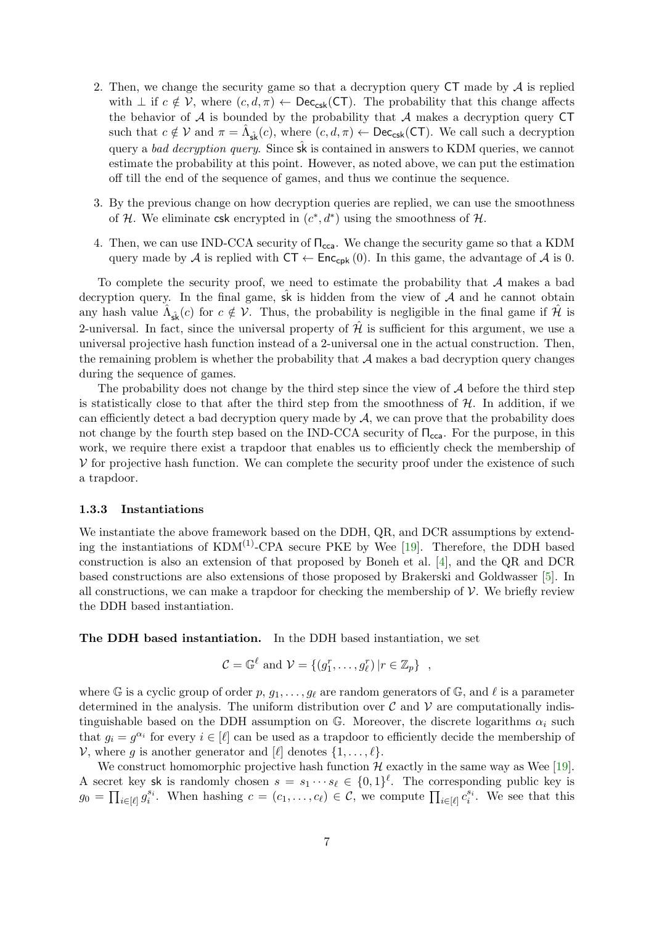- 2. Then, we change the security game so that a decryption query CT made by *A* is replied with  $\bot$  if  $c \notin V$ , where  $(c, d, \pi) \leftarrow \mathsf{Dec}_{\mathsf{csk}}(\mathsf{CT})$ . The probability that this change affects the behavior of  $A$  is bounded by the probability that  $A$  makes a decryption query  $CT$ such that  $c \notin V$  and  $\pi = \hat{\Lambda}_{\hat{\mathsf{sk}}}(c)$ , where  $(c, d, \pi) \leftarrow \mathsf{Dec}_{\mathsf{csk}}(\mathsf{CT})$ . We call such a decryption query a *bad decryption query*. Since sk is contained in answers to KDM queries, we cannot estimate the probability at this point. However, as noted above, we can put the estimation off till the end of the sequence of games, and thus we continue the sequence.
- 3. By the previous change on how decryption queries are replied, we can use the smoothness of *H*. We eliminate csk encrypted in  $(c^*, d^*)$  using the smoothness of *H*.
- 4. Then, we can use IND-CCA security of  $\Pi_{\text{cca}}$ . We change the security game so that a KDM query made by *A* is replied with  $CT \leftarrow \text{Enc}_{\text{cpk}}(0)$ . In this game, the advantage of *A* is 0.

To complete the security proof, we need to estimate the probability that *A* makes a bad decryption query. In the final game,  $s\hat{k}$  is hidden from the view of  $A$  and he cannot obtain any hash value  $\hat{\Lambda}_{\hat{\mathsf{sk}}}(c)$  for  $c \notin \mathcal{V}$ . Thus, the probability is negligible in the final game if  $\hat{\mathcal{H}}$  is 2-universal. In fact, since the universal property of  $\hat{\mathcal{H}}$  is sufficient for this argument, we use a universal projective hash function instead of a 2-universal one in the actual construction. Then, the remaining problem is whether the probability that *A* makes a bad decryption query changes during the sequence of games.

The probability does not change by the third step since the view of *A* before the third step is statistically close to that after the third step from the smoothness of  $H$ . In addition, if we can efficiently detect a bad decryption query made by *A*, we can prove that the probability does not change by the fourth step based on the IND-CCA security of  $\Pi_{\text{cca}}$ . For the purpose, in this work, we require there exist a trapdoor that enables us to efficiently check the membership of  $V$  for projective hash function. We can complete the security proof under the existence of such a trapdoor.

#### **1.3.3 Instantiations**

<span id="page-7-0"></span>We instantiate the above framework based on the DDH, QR, and DCR assumptions by extending the instantiations of  $KDM<sup>(1)</sup>-CPA$  secure PKE by Wee [19]. Therefore, the DDH based construction is also an extension of that proposed by Boneh et al. [4], and the QR and DCR based constructions are also extensions of those proposed by Brakerski and Goldwasser [5]. In all constructions, we can make a trapdoor for checking the membership of  $\mathcal V$ . We briefly review the DDH based instantiation.

**The DDH based instantiation.** In the DDH based instantiation, we set

$$
\mathcal{C} = \mathbb{G}^{\ell} \text{ and } \mathcal{V} = \{ (g_1^r, \ldots, g_{\ell}^r) | r \in \mathbb{Z}_p \},
$$

where G is a cyclic group of order  $p, g_1, \ldots, g_\ell$  are random generators of G, and  $\ell$  is a parameter determined in the analysis. The uniform distribution over  $\mathcal C$  and  $\mathcal V$  are computationally indistinguishable based on the DDH assumption on  $\mathbb{G}$ . Moreover, the discrete logarithms  $\alpha_i$  such that  $g_i = g^{\alpha_i}$  for every  $i \in [\ell]$  can be used as a trapdoor to efficiently decide the membership of *V*, where *g* is another generator and  $[\ell]$  denotes  $\{1, \ldots, \ell\}$ .

We construct homomorphic projective hash function  $H$  exactly in the same way as Wee [19]. A secret key sk is randomly chosen  $s = s_1 \cdots s_\ell \in \{0,1\}^\ell$ . The corresponding public key is  $g_0 = \prod_{i \in [\ell]} g_i^{s_i}$ . When hashing  $c = (c_1, \ldots, c_\ell) \in \mathcal{C}$ , we compute  $\prod_{i \in [\ell]} c_i^{s_i}$ . We see that this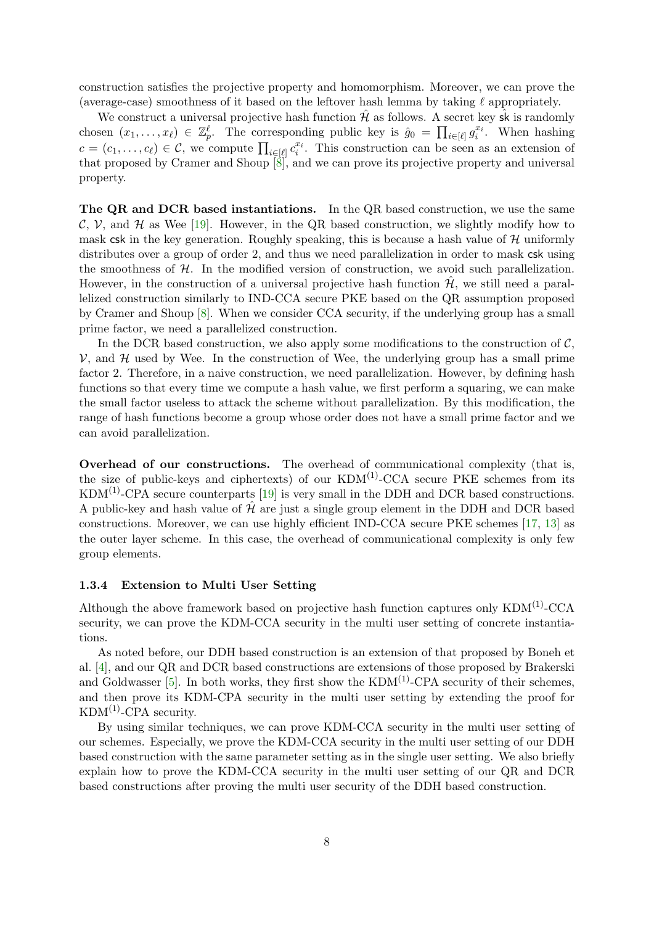construction satisfies the projective property and homomorphism. Moreover, we can prove the (average-case) smoothness of it based on the leftover hash lemma by taking *ℓ* appropriately.

We construct a universal projective hash function  $\mathcal{H}$  as follows. A secret key sk is randomly chosen  $(x_1, \ldots, x_\ell) \in \mathbb{Z}_p^{\ell}$ . The corresponding public key is  $\hat{g}_0 = \prod_{i \in [\ell]} g_i^{x_i}$ . When hashing  $c = (c_1, \ldots, c_\ell) \in \mathcal{C}$ , we compute  $\prod_{i \in [\ell]} c_i^{x_i}$ . This construction can be seen as an extension of that proposed by Cramer and Shoup [8], and we can prove its projective property and universal property.

**The QR and DCR based instantiations.** In the QR based construction, we use the same  $\mathcal{C}, \mathcal{V},$  a[n](#page-35-10)d  $\mathcal{H}$  as Wee [19]. However, in the QR based construction, we slightly modify how to mask csk in the key generation. Roughly speaking, this is because a hash value of *H* uniformly distributes over a group of order 2, and thus we need parallelization in order to mask csk using the smoothness of  $H$ . In the modified version of construction, we avoid such parallelization. However, in the const[ruc](#page-35-9)tion of a universal projective hash function  $\hat{\mathcal{H}}$ , we still need a parallelized construction similarly to IND-CCA secure PKE based on the QR assumption proposed by Cramer and Shoup [8]. When we consider CCA security, if the underlying group has a small prime factor, we need a parallelized construction.

In the DCR based construction, we also apply some modifications to the construction of  $C$ ,  $V$ , and  $H$  used by Wee. In the construction of Wee, the underlying group has a small prime factor 2. Therefore, in [a](#page-35-10) naive construction, we need parallelization. However, by defining hash functions so that every time we compute a hash value, we first perform a squaring, we can make the small factor useless to attack the scheme without parallelization. By this modification, the range of hash functions become a group whose order does not have a small prime factor and we can avoid parallelization.

**Overhead of our constructions.** The overhead of communicational complexity (that is, the size of public-keys and ciphertexts) of our  $KDM<sup>(1)</sup>-CCA$  secure PKE schemes from its  $KDM<sup>(1)</sup>-CPA$  secure counterparts [19] is very small in the DDH and DCR based constructions. A public-key and hash value of  $\hat{\mathcal{H}}$  are just a single group element in the DDH and DCR based constructions. Moreover, we can use highly efficient IND-CCA secure PKE schemes [17, 13] as the outer layer scheme. In this ca[se,](#page-35-9) the overhead of communicational complexity is only few group elements.

#### **1.3.4 Extension to Multi User Setting**

Although the above framework based on projective hash function captures only  $KDM^{(1)}$ -CCA security, we can prove the KDM-CCA security in the multi user setting of concrete instantiations.

<span id="page-8-0"></span>As noted before, our DDH based construction is an extension of that proposed by Boneh et al. [4], and our QR and DCR based constructions are extensions of those proposed by Brakerski and Goldwasser [5]. In both works, they first show the  $KDM<sup>(1)</sup>-CPA$  security of their schemes, and then prove its KDM-CPA security in the multi user setting by extending the proof for  $KDM<sup>(1)</sup>$ -CPA security.

[B](#page-35-1)y using similar techniques, we can prove KDM-CCA security in the multi user setting of our schemes. Es[pe](#page-35-7)cially, we prove the KDM-CCA security in the multi user setting of our DDH based construction with the same parameter setting as in the single user setting. We also briefly explain how to prove the KDM-CCA security in the multi user setting of our QR and DCR based constructions after proving the multi user security of the DDH based construction.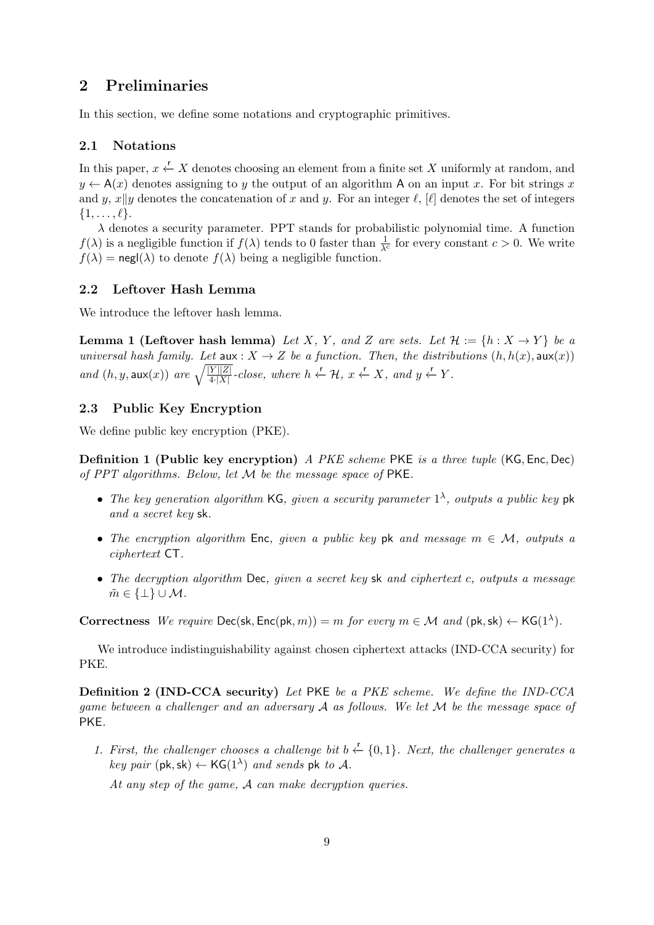## <span id="page-9-0"></span>**2 Preliminaries**

In this section, we define some notations and cryptographic primitives.

## **2.1 Notations**

In this paper,  $x \leftarrow Y$  *X* denotes choosing an element from a finite set *X* uniformly at random, and  $y \leftarrow A(x)$  denotes assigning to *y* the output of an algorithm A on an input *x*. For bit strings *x* and *y*, *x|y* denotes the concatenation of *x* and *y*. For an integer  $\ell$ ,  $[\ell]$  denotes the set of integers  $\{1, \ldots, \ell\}.$ 

*λ* denotes a security parameter. PPT stands for probabilistic polynomial time. A function  $f(\lambda)$  is a negligible function if  $f(\lambda)$  tends to 0 faster than  $\frac{1}{\lambda^c}$  for every constant  $c > 0$ . We write  $f(\lambda) = \text{negl}(\lambda)$  to denote  $f(\lambda)$  being a negligible function.

### <span id="page-9-1"></span>**2.2 Leftover Hash Lemma**

We introduce the leftover hash lemma.

**Lemma 1 (Leftover hash lemma)** Let X, Y, and Z are sets. Let  $\mathcal{H} := \{h : X \to Y\}$  be a *universal hash family. Let*  $\text{aux}: X \to Z$  *be a function. Then, the distributions*  $(h, h(x), \text{aux}(x))$ and  $(h, y, \text{aux}(x))$  are  $\sqrt{\frac{|Y||Z|}{4|X|}}$ -close, where  $h \overset{\mathsf{r}}{\leftarrow} \mathcal{H}$ ,  $x \overset{\mathsf{r}}{\leftarrow} X$ , and  $y \overset{\mathsf{r}}{\leftarrow} Y$ .

## **2.3 Public Key Encryption**

We define public key encryption (PKE).

**Definition 1 (Public key encryption)** *A PKE scheme* PKE *is a three tuple* (KG*,* Enc*,* Dec) *of PPT algorithms. Below, let M be the message space of* PKE*.*

- *• The key generation algorithm* KG*, given a security parameter* 1 *λ , outputs a public key* pk *and a secret key* sk*.*
- *• The encryption algorithm* Enc*, given a public key* pk *and message m ∈ M, outputs a ciphertext* CT*.*
- *• The decryption algorithm* Dec*, given a secret key* sk *and ciphertext c, outputs a message m*˜ *∈ {⊥} ∪ M.*

**Correctness**  $\text{We require Dec}(\text{sk}, \text{Enc}(\text{pk}, m)) = m \text{ for every } m \in \mathcal{M} \text{ and } (\text{pk}, \text{sk}) \leftarrow \text{KG}(1^{\lambda}).$ 

We introduce indistinguishability against chosen ciphertext attacks (IND-CCA security) for PKE.

**Definition 2 (IND-CCA security)** *Let* PKE *be a PKE scheme. We define the IND-CCA game between a challenger and an adversary A as follows. We let M be the message space of* PKE*.*

*1.* First, the challenger chooses a challenge bit  $b \leftarrow \{0, 1\}$ . Next, the challenger generates a  $key\ pair\ (\mathsf{pk},\mathsf{sk}) \leftarrow \mathsf{KG}(1^{\lambda})\ and\ sends\ \mathsf{pk}\ to\ \mathcal{A}.$ 

*At any step of the game, A can make decryption queries.*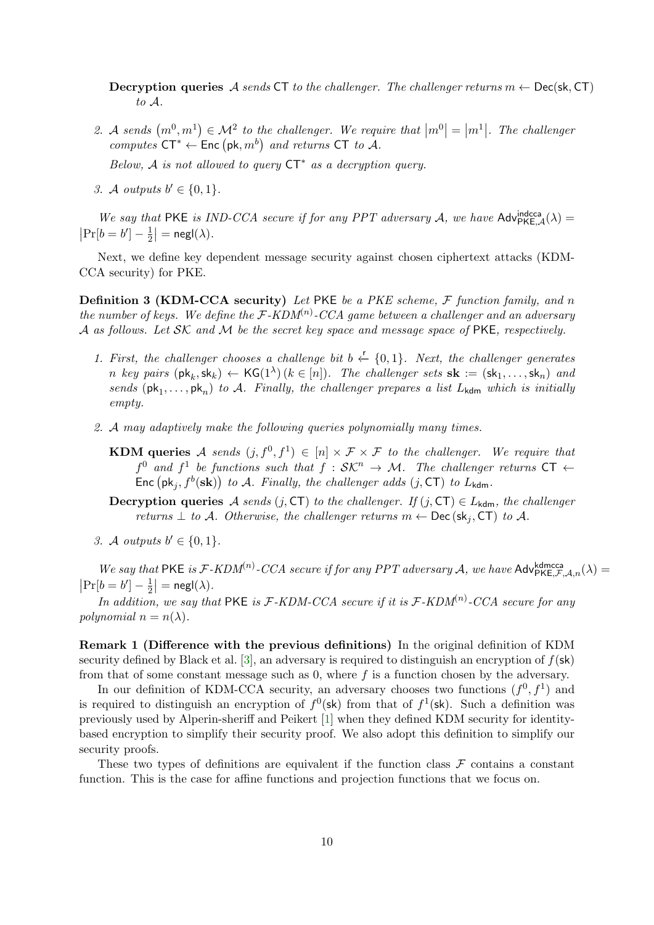**Decryption queries**  $\mathcal A$  *sends*  $\mathsf C\mathsf T$  *to the challenger. The challenger returns*  $m \leftarrow \mathsf{Dec}(\mathsf{sk}, \mathsf{CT})$ *to A.*

2. *A* sends  $(m^0, m^1) \in \mathcal{M}^2$  to the challenger. We require that  $|m^0| = |m^1|$ . The challenger  $computes$   $\mathsf{CT}^* \leftarrow \mathsf{Enc}(\mathsf{pk}, m^b)$  and returns  $\mathsf{CT}$  to  $\mathcal{A}$ *.* 

*Below, A is not allowed to query* CT*<sup>∗</sup> as a decryption query.*

*3. A outputs*  $b' \in \{0, 1\}$ *.* 

*We say that* PKE *is IND-CCA secure if for any PPT adversary A*, we have  $\mathsf{Adv}_{\mathsf{PKE},\mathcal{A}}^{indcca}(\lambda)$  =  $\Pr[b = b'] - \frac{1}{2}$  $\frac{1}{2}$  = negl( $\lambda$ ).

Next, we define key dependent message security against chosen ciphertext attacks (KDM-CCA security) for PKE.

**Definition 3 (KDM-CCA security)** *Let* PKE *be a PKE scheme, F function family, and n the number of keys. We define the*  $\mathcal{F}\text{-}\mathit{KDM}^{(n)}\text{-}\mathit{CCA}$  game between a challenger and an adversary *A as follows. Let SK and M be the secret key space and message space of* PKE*, respectively.*

- *1.* First, the challenger chooses a challenge bit  $b \leftarrow \{0, 1\}$ . Next, the challenger generates  $n$  *key pairs*  $(\mathsf{pk}_k, \mathsf{sk}_k) \leftarrow \mathsf{KG}(1^{\lambda})(k \in [n])$ *. The challenger sets*  $\mathsf{sk} := (\mathsf{sk}_1, \ldots, \mathsf{sk}_n)$  *and* sends  $(\mathsf{pk}_1, \ldots, \mathsf{pk}_n)$  *to A.* Finally, the challenger prepares a list  $L_{\mathsf{kdm}}$  which is initially *empty.*
- *2. A may adaptively make the following queries polynomially many times.*
	- **KDM queries** *A sends*  $(j, f^0, f^1) \in [n] \times \mathcal{F} \times \mathcal{F}$  *to the challenger. We require that*  $f^0$  and  $f^1$  be functions such that  $f: S\mathcal{K}^n \to \mathcal{M}$ . The challenger returns CT  $\leftarrow$ Enc  $(\mathsf{pk}_j, f^b(\mathsf{sk}))$  *to A. Finally, the challenger adds*  $(j, \mathsf{CT})$  *to*  $L_{\mathsf{kdm}}$ *.*
	- **Decryption queries** *A sends* (*j*, CT) *to the challenger. If* (*j*, CT)  $\in$  *L*<sub>kdm</sub>*, the challenger returns*  $\perp$  *to*  $\varLambda$ *. Otherwise, the challenger returns*  $m \leftarrow \text{Dec}(\textsf{sk}_i, \textsf{CT})$  *to*  $\varLambda$ *.*
- *3. A outputs*  $b' \in \{0, 1\}$ *.*

*We say that* PKE *is*  $\mathcal{F}$ *-KDM*<sup>(*n*</sup>)</sub>*-CCA secure if for any PPT adversary*  $\mathcal{A}$ *, we have* Adv ${}_{PKE,\mathcal{F},\mathcal{A},n}^{Kdmcca}(\lambda)$  =  $\Pr[b = b'] - \frac{1}{2}$  $\frac{1}{2}$  = negl( $\lambda$ )*.* 

*In addition, we say that* PKE *is F-KDM-CCA secure if it is F-KDM*(*n*) *-CCA secure for any polynomial*  $n = n(\lambda)$ .

**Remark 1 (Difference with the previous definitions)** In the original definition of KDM security defined by Black et al. [3], an adversary is required to distinguish an encryption of  $f(\mathbf{sk})$ from that of some constant message such as 0, where *f* is a function chosen by the adversary.

In our definition of KDM-CCA security, an adversary chooses two functions  $(f^0, f^1)$  and is required to distinguish an encryption of  $f^0$ (sk) from that of  $f^1$ (sk). Such a definition was previously used by Alperin-sher[iff](#page-34-0) and Peikert [1] when they defined KDM security for identitybased encryption to simplify their security proof. We also adopt this definition to simplify our security proofs.

These two types of definitions are equivalent if the function class  $\mathcal F$  contains a constant function. This is the case for affine functions a[nd](#page-34-2) projection functions that we focus on.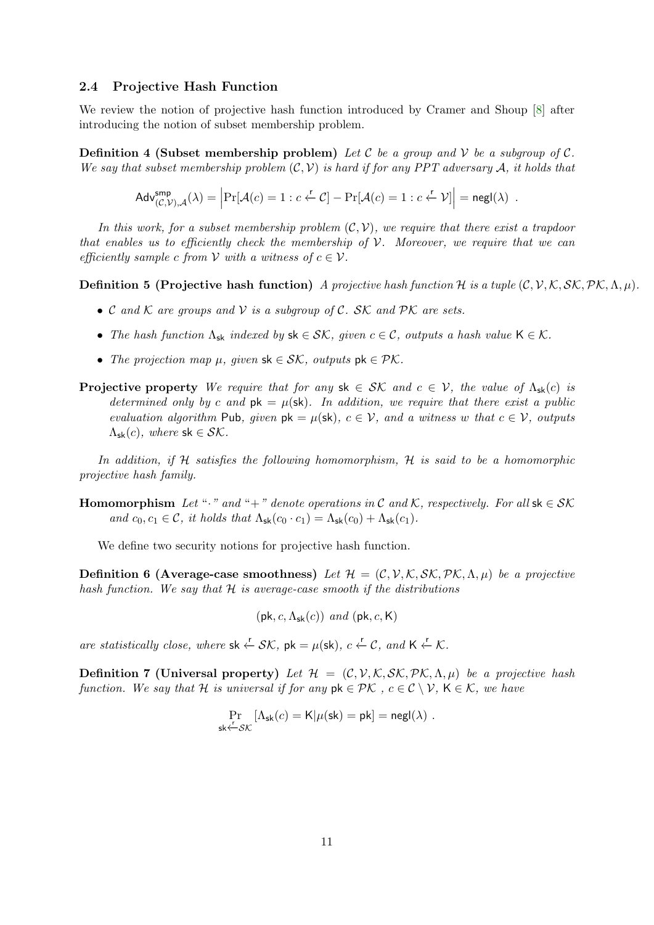#### **2.4 Projective Hash Function**

We review the notion of projective hash function introduced by Cramer and Shoup [8] after introducing the notion of subset membership problem.

<span id="page-11-0"></span>**Definition 4 (Subset membership problem)** Let C be a group and V be a subgroup of C. *We say that subset membership problem* (*C, V*) *is hard if for any PPT adversary A, it h[old](#page-35-10)s that*

$$
\mathsf{Adv}^{\mathsf{smp}}_{(\mathcal{C},\mathcal{V}),\mathcal{A}}(\lambda) = \left| \Pr[\mathcal{A}(c) = 1 : c \stackrel{\mathsf{r}}{\leftarrow} \mathcal{C}] - \Pr[\mathcal{A}(c) = 1 : c \stackrel{\mathsf{r}}{\leftarrow} \mathcal{V}] \right| = \mathsf{negl}(\lambda) \enspace .
$$

In this work, for a subset membership problem  $(C, V)$ , we require that there exist a trapdoor *that enables us to efficiently check the membership of V. Moreover, we require that we can efficiently sample c from*  $\mathcal{V}$  *with a witness of*  $c \in \mathcal{V}$ *.* 

**Definition 5 (Projective hash function)** *A projective hash function*  $\mathcal{H}$  *is a tuple*  $(C, \mathcal{V}, \mathcal{K}, \mathcal{SK}, \mathcal{PK}, \Lambda, \mu)$ *.* 

- *• C and K are groups and V is a subgroup of C. SK and PK are sets.*
- *The hash function*  $\Lambda_{\mathsf{sk}}$  *indexed by*  $\mathsf{sk} \in \mathcal{SK}$ *, given*  $c \in \mathcal{C}$ *, outputs a hash value*  $\mathsf{K} \in \mathcal{K}$ *.*
- *The projection map*  $\mu$ , *given* sk  $\in$  *SK*, *outputs* pk  $\in$  *PK.*
- **Projective property** We require that for any  $sk \in SK$  and  $c \in V$ , the value of  $\Lambda_{sk}(c)$  is *determined only by c* and  $pk = \mu$ (sk). In addition, we require that there exist a public *evaluation algorithm* Pub*, given*  $pk = \mu(sk)$ *,*  $c \in V$ *, and a witness w that*  $c \in V$ *, outputs*  $\Lambda_{\mathsf{sk}}(c)$ *, where*  $\mathsf{sk} \in \mathcal{SK}$ *.*

*In addition, if H satisfies the following homomorphism, H is said to be a homomorphic projective hash family.*

**Homomorphism** *Let* "*·"* and "+" denote operations in C and K, respectively. For all sk  $\in \mathcal{SK}$ *and*  $c_0, c_1 \in \mathcal{C}$ , *it holds that*  $\Lambda_{\mathsf{sk}}(c_0 \cdot c_1) = \Lambda_{\mathsf{sk}}(c_0) + \Lambda_{\mathsf{sk}}(c_1)$ .

We define two security notions for projective hash function.

**Definition 6 (Average-case smoothness)** Let  $\mathcal{H} = (\mathcal{C}, \mathcal{V}, \mathcal{K}, \mathcal{SK}, \mathcal{PK}, \Lambda, \mu)$  be a projective *hash function. We say that H is average-case smooth if the distributions*

$$
(\mathsf{pk}, c, \Lambda_{\mathsf{sk}}(c))
$$
 and  $(\mathsf{pk}, c, \mathsf{K})$ 

*are statistically close, where*  $sk \stackrel{r}{\leftarrow} SK$ ,  $pk = \mu(sk)$ ,  $c \stackrel{r}{\leftarrow} C$ , and  $K \stackrel{r}{\leftarrow} K$ .

**Definition 7 (Universal property)** Let  $\mathcal{H} = (\mathcal{C}, \mathcal{V}, \mathcal{K}, \mathcal{SK}, \mathcal{PK}, \Lambda, \mu)$  be a projective hash *function. We say that*  $H$  *is universal if for any*  $pk \in \mathcal{PK}$  ,  $c \in \mathcal{C} \setminus \mathcal{V}$ ,  $K \in \mathcal{K}$ , we have

$$
\Pr_{\mathsf{sk}\leftarrow\mathcal{SK}}\left[\Lambda_{\mathsf{sk}}(c)=\mathsf{K}|\mu(\mathsf{sk})=\mathsf{pk}\right]=\mathsf{negl}(\lambda) \ .
$$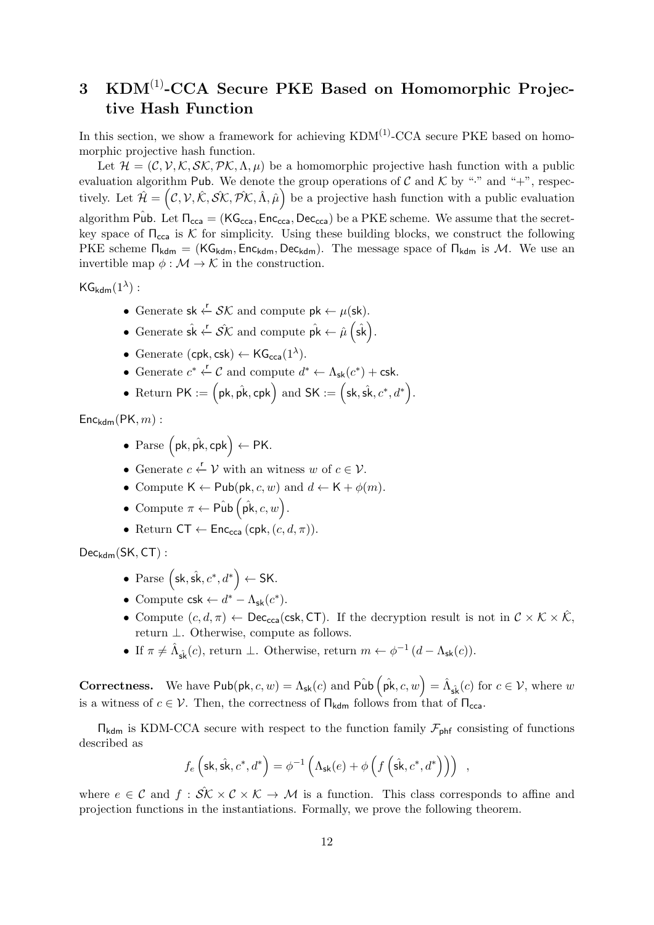## <span id="page-12-0"></span>**3 KDM**(1)**-CCA Secure PKE Based on Homomorphic Projective Hash Function**

In this section, we show a framework for achieving  $KDM<sup>(1)</sup>$ -CCA secure PKE based on homomorphic projective hash function.

Let  $\mathcal{H} = (\mathcal{C}, \mathcal{V}, \mathcal{K}, \mathcal{SK}, \mathcal{PK}, \Lambda, \mu)$  be a homomorphic projective hash function with a public evaluation algorithm Pub. We denote the group operations of  $C$  and  $K$  by "<sup>\*</sup>" and "+", respectively. Let  $\hat{\mathcal{H}} = (\mathcal{C}, \mathcal{V}, \hat{\mathcal{K}}, \hat{\mathcal{SK}}, \hat{\mathcal{PK}}, \hat{\Lambda}, \hat{\mu})$  be a projective hash function with a public evaluation algorithm  $\hat{\text{Pub}}$ . Let  $\Pi_{\text{cca}} = (\text{KG}_{\text{cca}}, \text{Enc}_{\text{cca}}, \text{Dec}_{\text{cca}})$  be a PKE scheme. We assume that the secretkey space of  $\Pi_{cca}$  is *K* for simplicity. Using these building blocks, we construct the following PKE scheme  $\Pi_{\text{kdm}} = (KG_{\text{kdm}}, Enc_{\text{kdm}})$ . The message space of  $\Pi_{\text{kdm}}$  is M. We use an invertible map  $\phi : \mathcal{M} \to \mathcal{K}$  in the construction.

 $\mathsf{KG}_{\mathsf{kdm}}(1^{\lambda}):$ 

- *•* Generate sk <sup>r</sup>*←− SK* and compute pk *← µ*(sk).
- Generate  $\hat{\mathsf{s}}\hat{\mathsf{k}} \leftarrow \hat{\mathcal{S}}\hat{\mathcal{K}}$  and compute  $\hat{\mathsf{pk}} \leftarrow \hat{\mu}(\hat{\mathsf{s}}\hat{\mathsf{k}})$ .
- Generate  $(\mathsf{cpk}, \mathsf{csk}) \leftarrow \mathsf{KG}_{\mathsf{cca}}(1^{\lambda}).$
- Generate  $c^* \leftarrow c$  and compute  $d^* \leftarrow \Lambda_{\mathsf{sk}}(c^*) + \mathsf{csk}$ .
- Return  $PK := (\mathsf{pk}, \hat{\mathsf{pk}}, \mathsf{cpk})$  and  $SK := (\mathsf{sk}, \hat{\mathsf{sk}}, c^*, d^*)$ .

Enc<sub>kdm</sub>(PK, m):

- Parse  $(pk, \hat{pk}, cpk) \leftarrow PK$ .
- *•* Generate  $c \stackrel{r}{\leftarrow} \mathcal{V}$  with an witness *w* of  $c \in \mathcal{V}$ .
- Compute  $K \leftarrow \text{Pub}(\text{pk}, c, w)$  and  $d \leftarrow K + \phi(m)$ .
- Compute  $\pi \leftarrow \hat{\text{Pub}}(\hat{\text{pk}}, c, w)$ .
- Return  $CT \leftarrow \text{Enc}_{\text{cca}}(\text{cpk}, (c, d, \pi)).$

Deckdm(SK*,* CT) :

- Parse  $(\mathsf{sk}, \hat{\mathsf{sk}}, c^*, d^*) \leftarrow \mathsf{SK}.$
- Compute  $\mathsf{csk} \leftarrow d^* \Lambda_{\mathsf{sk}}(c^*)$ .
- Compute  $(c, d, \pi) \leftarrow \mathsf{Dec}_{\mathsf{cca}}(\mathsf{csk}, \mathsf{CT})$ . If the decryption result is not in  $\mathcal{C} \times \mathcal{K} \times \mathcal{K}$ , return *⊥*. Otherwise, compute as follows.
- *•* If  $\pi \neq \hat{\Lambda}_{\textbf{sk}}(c)$ , return ⊥. Otherwise, return  $m \leftarrow \phi^{-1} (d \Lambda_{\textbf{sk}}(c))$ .

**Correctness.** We have  $\text{Pub}(pk, c, w) = \Lambda_{sk}(c)$  and  $\text{Pub}(\hat{pk}, c, w) = \hat{\Lambda}_{sk}(c)$  for  $c \in V$ , where *w* is a witness of  $c \in V$ . Then, the correctness of  $\Pi_{\text{kdm}}$  follows from that of  $\Pi_{\text{cca}}$ .

 $\Pi_{\text{Kdm}}$  is KDM-CCA secure with respect to the function family  $\mathcal{F}_{\text{phf}}$  consisting of functions described as

$$
f_e\left(\mathsf{sk},\hat{\mathsf{sk}},c^*,d^*\right) = \phi^{-1}\left(\Lambda_{\mathsf{sk}}(e) + \phi\left(f\left(\hat{\mathsf{sk}},c^*,d^*\right)\right)\right) ,
$$

<span id="page-12-1"></span>where  $e \in \mathcal{C}$  and  $f : \hat{SK} \times \mathcal{C} \times \mathcal{K} \to \mathcal{M}$  is a function. This class corresponds to affine and projection functions in the instantiations. Formally, we prove the following theorem.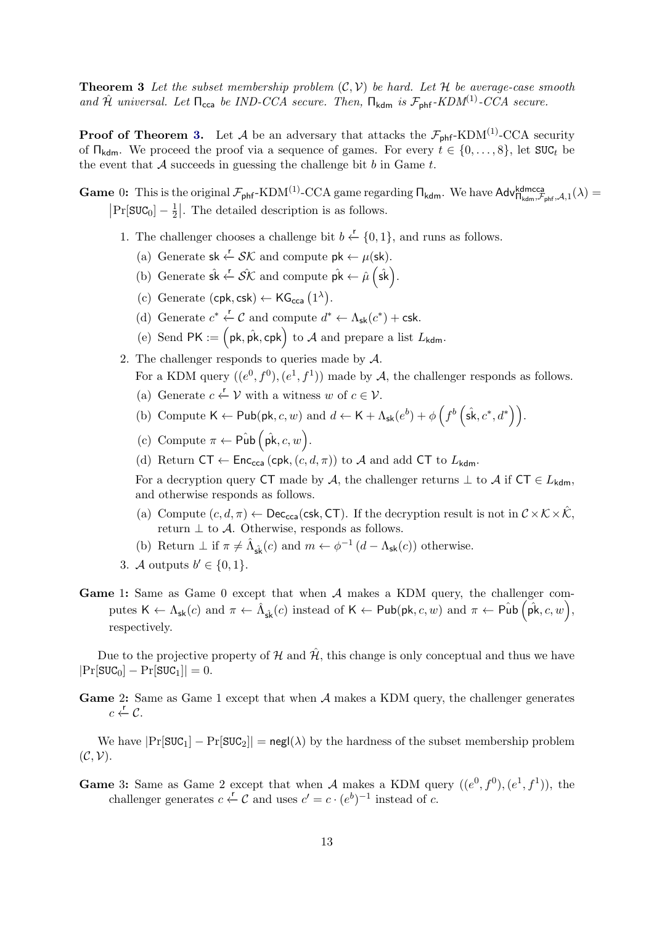**Theorem 3** *Let the subset membership problem* (*C, V*) *be hard. Let H be average-case smooth and*  $\hat{\mathcal{H}}$  *universal. Let*  $\Pi_{\text{cca}}$  *be IND-CCA secure. Then,*  $\Pi_{\text{kdm}}$  *is*  $\mathcal{F}_{\text{phf}}$ -*KDM*<sup>(1)</sup>-*CCA secure.* 

**Proof of Theorem 3.** Let *A* be an adversary that attacks the  $\mathcal{F}_{\text{phf}}$ -KDM<sup>(1)</sup>-CCA security of  $\Pi_{\text{kdm}}$ . We proceed the proof via a sequence of games. For every  $t \in \{0, \ldots, 8\}$ , let  $\text{SUC}_t$  be the event that *A* succeeds in guessing the challenge bit *b* in Game *t*.

**Game** 0: This is the [or](#page-12-1)iginal  $\mathcal{F}_{phf}$ -KDM<sup>(1)</sup>-CCA game regarding  $\Pi_{\text{kdm}}$ . We have  $\mathsf{Adv}_{\Pi_{\text{kdm}}^{\text{kdm}}\mathcal{F}_{phf},\mathcal{A},1}(\lambda)$  =  $\left|\Pr[\texttt{SUC}_0] - \frac{1}{2}\right|$  $\frac{1}{2}$ . The detailed description is as follows.

- 1. The challenger chooses a challenge bit  $b \stackrel{r}{\leftarrow} \{0,1\}$ , and runs as follows.
	- (a) Generate sk  $\stackrel{r}{\leftarrow}$  SK and compute pk  $\leftarrow \mu$ (sk).
	- (b) Generate  $\hat{\mathsf{s}}\hat{\mathsf{k}} \leftarrow \hat{\mathcal{S}}\hat{\mathcal{K}}$  and compute  $\hat{\mathsf{pk}} \leftarrow \hat{\mu}(\hat{\mathsf{s}}\hat{\mathsf{k}})$ .
	- (c) Generate  $(\mathsf{cpk}, \mathsf{csk}) \leftarrow \mathsf{KG}_{\mathsf{cca}}(1^{\lambda}).$
	- (d) Generate  $c^* \xleftarrow{r} C$  and compute  $d^* \leftarrow \Lambda_{\mathsf{sk}}(c^*) + \mathsf{csk}$ .
	- (e) Send PK :=  $(\mathsf{pk}, \hat{\mathsf{pk}}, \mathsf{cpk})$  to *A* and prepare a list  $L_{\mathsf{kdm}}$ .
- 2. The challenger responds to queries made by *A*.

For a KDM query  $((e^0, f^0), (e^1, f^1))$  made by *A*, the challenger responds as follows.

- (a) Generate  $c \stackrel{r}{\leftarrow} \mathcal{V}$  with a witness  $w$  of  $c \in \mathcal{V}$ .
- (b) Compute  $\mathsf{K} \leftarrow \mathsf{Pub}(\mathsf{pk}, c, w)$  and  $d \leftarrow \mathsf{K} + \Lambda_{\mathsf{sk}}(e^b) + \phi \left(f^b \left(\hat{\mathsf{sk}}, c^*, d^*\right)\right)\right)$ .
- (c) Compute  $\pi \leftarrow \hat{\text{Pub}}(\hat{\text{pk}}, c, w)$ .
- (d) Return  $CT \leftarrow Enc_{cca}(cpk, (c, d, \pi))$  to *A* and add CT to  $L_{kdm}$ .

For a decryption query CT made by *A*, the challenger returns  $\perp$  to *A* if CT  $\in$  *L*<sub>kdm</sub>, and otherwise responds as follows.

- (a) Compute  $(c, d, \pi) \leftarrow \mathsf{Dec}_{\mathsf{cca}}(\mathsf{csk}, \mathsf{CT})$ . If the decryption result is not in  $\mathcal{C} \times \mathcal{K} \times \mathcal{K}$ , return *⊥* to *A*. Otherwise, responds as follows.
- (b) Return  $\perp$  if  $\pi \neq \hat{\Lambda}_{\hat{\mathsf{sk}}}(c)$  and  $m \leftarrow \phi^{-1}(d \Lambda_{\mathsf{sk}}(c))$  otherwise.
- 3. *A* outputs  $b' \in \{0, 1\}$ .
- **Game** 1**:** Same as Game 0 except that when *A* makes a KDM query, the challenger com- $\text{putes } \mathsf{K} \leftarrow \Lambda_{\mathsf{sk}}(c) \text{ and } \pi \leftarrow \hat{\Lambda}_{\hat{\mathsf{sk}}}(c) \text{ instead of } \mathsf{K} \leftarrow \mathsf{Pub}(\mathsf{pk}, c, w) \text{ and } \pi \leftarrow \hat{\mathsf{Pub}}\left(\hat{\mathsf{pk}}, c, w\right),$ respectively.

Due to the projective property of  $H$  and  $\hat{H}$ , this change is only conceptual and thus we have  $|Pr[SUC_0] - Pr[SUC_1]| = 0.$ 

**Game** 2**:** Same as Game 1 except that when *A* makes a KDM query, the challenger generates *c* <sup>r</sup>*←− C*.

We have  $|\Pr[\text{SUC}_1] - \Pr[\text{SUC}_2]| = \text{negl}(\lambda)$  by the hardness of the subset membership problem  $(C, V)$ .

**Game** 3: Same as Game 2 except that when *A* makes a KDM query  $((e^0, f^0), (e^1, f^1))$ , the challenger generates  $c \leftarrow c$  and uses  $c' = c \cdot (e^b)^{-1}$  instead of *c*.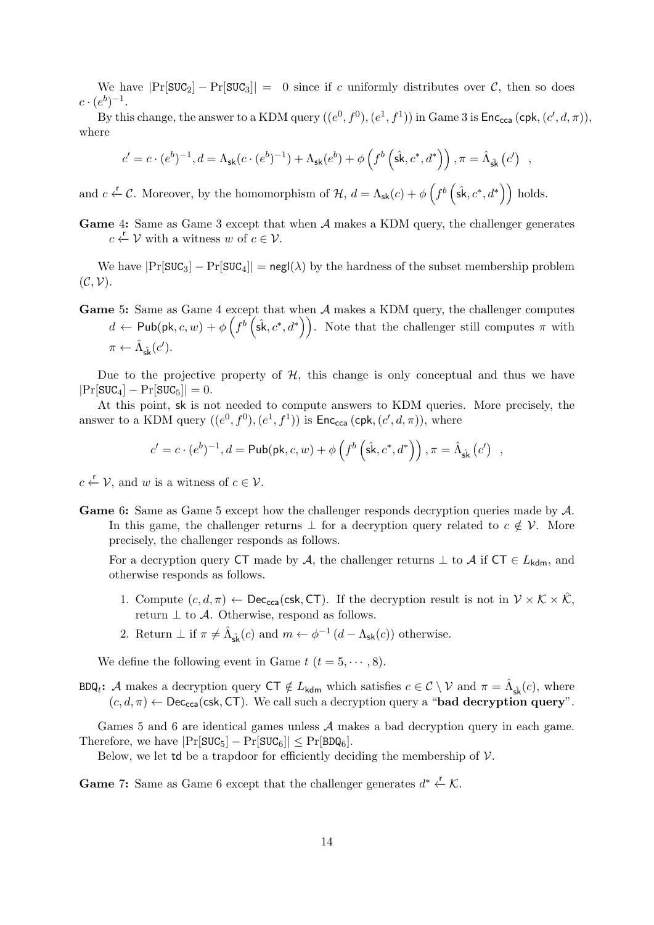We have  $|Pr[\text{SUC}_2] - Pr[\text{SUC}_3]| = 0$  since if *c* uniformly distributes over *C*, then so does  $c \cdot (e^b)^{-1}.$ 

By this change, the answer to a KDM query  $((e^0, f^0), (e^1, f^1))$  in Game 3 is Enc<sub>cca</sub> (cpk,  $(c', d, \pi)$ ), where

$$
c' = c \cdot (e^b)^{-1}, d = \Lambda_{\rm sk}(c \cdot (e^b)^{-1}) + \Lambda_{\rm sk}(e^b) + \phi\left(f^b\left(\hat{\rm sk}, c^*, d^*\right)\right), \pi = \hat{\Lambda}_{\hat{\rm sk}}\left(c'\right) ,
$$

and  $c \leftarrow c$ . Moreover, by the homomorphism of  $H$ ,  $d = \Lambda_{\mathsf{sk}}(c) + \phi\left(f^b\left(\hat{\mathsf{sk}}, c^*, d^*\right)\right)$  holds.

**Game** 4**:** Same as Game 3 except that when *A* makes a KDM query, the challenger generates *c*  $\stackrel{r}{\leftarrow}$  *V* with a witness *w* of *c* ∈ *V*.

We have  $|Pr[\text{SUC}_3] - Pr[\text{SUC}_4]| = \text{negl}(\lambda)$  by the hardness of the subset membership problem  $(C, V)$ .

**Game** 5**:** Same as Game 4 except that when *A* makes a KDM query, the challenger computes  $d \leftarrow \mathsf{Pub}(pk, c, w) + \phi \left( f^b \left( \hat{\mathsf{sk}}, c^*, d^* \right) \right)$ . Note that the challenger still computes  $\pi$  with  $\pi \leftarrow \hat{\Lambda}_{\hat{\mathsf{sk}}}(c').$ 

Due to the projective property of  $H$ , this change is only conceptual and thus we have  $|Pr[SUC_4] - Pr[SUC_5]| = 0.$ 

At this point, sk is not needed to compute answers to KDM queries. More precisely, the answer to a KDM query  $((e^0, f^0), (e^1, f^1))$  is  $Enc_{cca}(cpk, (c', d, \pi))$ , where

$$
c' = c \cdot (e^b)^{-1}, d = \mathsf{Pub}(\mathsf{pk}, c, w) + \phi\left(f^b\left(\hat{\mathsf{sk}}, c^*, d^*\right)\right), \pi = \hat{\Lambda}_{\hat{\mathsf{sk}}}\left(c'\right) ,
$$

 $c \overset{r}{\leftarrow} \mathcal{V}$ , and *w* is a witness of  $c \in \mathcal{V}$ .

**Game** 6**:** Same as Game 5 except how the challenger responds decryption queries made by *A*. In this game, the challenger returns  $\bot$  for a decryption query related to  $c \notin \mathcal{V}$ . More precisely, the challenger responds as follows.

For a decryption query CT made by A, the challenger returns  $\perp$  to A if CT  $\in$  *L*<sub>kdm</sub>, and otherwise responds as follows.

- 1. Compute  $(c, d, \pi) \leftarrow \text{Dec}_{\text{cca}}(\text{csk}, \text{CT})$ . If the decryption result is not in  $\mathcal{V} \times \mathcal{K} \times \mathcal{K}$ , return *⊥* to *A*. Otherwise, respond as follows.
- 2. Return  $\perp$  if  $\pi \neq \hat{\Lambda}_{\hat{\mathsf{sk}}}(c)$  and  $m \leftarrow \phi^{-1}(d \Lambda_{\mathsf{sk}}(c))$  otherwise.

We define the following event in Game  $t$  ( $t = 5, \dots, 8$ ).

 $BDQ_t$ : *A* makes a decryption query  $CT \notin L_{\text{kdm}}$  which satisfies  $c \in C \setminus V$  and  $\pi = \hat{\Lambda}_{\hat{s}\hat{k}}(c)$ , where  $(c, d, \pi) \leftarrow$  Dec<sub>cca</sub>(csk, CT). We call such a decryption query a "**bad decryption query**".

Games 5 and 6 are identical games unless *A* makes a bad decryption query in each game. Therefore, we have  $|Pr[\text{SUC}_5] - Pr[\text{SUC}_6]| \leq Pr[\text{BDQ}_6].$ 

Below, we let to be a trapdoor for efficiently deciding the membership of  $V$ .

**Game** 7: Same as Game 6 except that the challenger generates  $d^* \leftarrow K$ .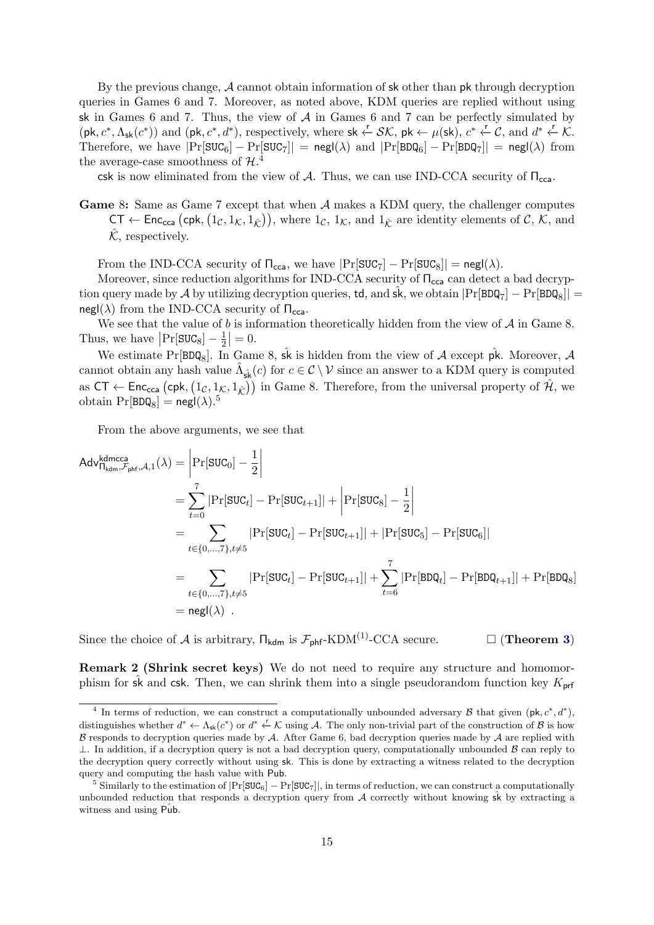By the previous change, *A* cannot obtain information of sk other than pk through decryption queries in Games 6 and 7. Moreover, as noted above, KDM queries are replied without using sk in Games 6 and 7. Thus, the view of *A* in Games 6 and 7 can be perfectly simulated by  $(\mathsf{pk}, c^*, \Lambda_{\mathsf{sk}}(c^*))$  and  $(\mathsf{pk}, c^*, d^*)$ , respectively, where  $\mathsf{sk} \leftarrow \mathcal{SK}$ ,  $\mathsf{pk} \leftarrow \mu(\mathsf{sk})$ ,  $c^* \leftarrow c$ , and  $d^* \leftarrow c$ . Therefore, we have  $|Pr[\text{SUC}_6] - Pr[\text{SUC}_7]| = \text{negl}(\lambda)$  and  $|Pr[\text{BDQ}_6] - Pr[\text{BDQ}_7]| = \text{negl}(\lambda)$  from the average-case smoothness of  $\mathcal{H}.^4$ 

csk is now eliminated from the view of *A*. Thus, we can use IND-CCA security of  $\Pi_{\text{cca}}$ .

**Game** 8**:** Same as Game 7 except that when *A* makes a KDM query, the challenger computes  $CT \leftarrow$  Enc<sub>cca</sub> (cpk,  $(1_{\mathcal{C}}, 1_{\mathcal{K}}, 1_{\hat{\mathcal{K}}})$  $(1_{\mathcal{C}}, 1_{\mathcal{K}}, 1_{\hat{\mathcal{K}}})$ ), where  $1_{\mathcal{C}}, 1_{\mathcal{K}},$  and  $1_{\hat{\mathcal{K}}}$  are identity elements of  $\mathcal{C}, \mathcal{K}$ , and  $\hat{\mathcal{K}}$ , respectively.

From the IND-CCA security of  $\Pi_{\text{cca}}$ , we have  $|\Pr[\text{SUC}_7] - \Pr[\text{SUC}_8]| = \text{negl}(\lambda)$ .

Moreover, since reduction algorithms for IND-CCA security of  $\Pi_{\text{cca}}$  can detect a bad decryption query made by *A* by utilizing decryption queries, td, and sk, we obtain  $|Pr[BDQ_7] - Pr[BDQ_8]|$  =  $negl(\lambda)$  from the IND-CCA security of  $\Pi_{cca}$ .

We see that the value of *b* is information theoretically hidden from the view of *A* in Game 8. Thus, we have  $\left|\Pr[\texttt{SUC}_8]-\frac{1}{2}\right|$  $\frac{1}{2}$  = 0.

We estimate  $Pr[BDQ_8]$ . In Game 8, sk is hidden from the view of A except  $\hat{pk}$ . Moreover, A cannot obtain any hash value  $\hat{\Lambda}_{s\hat{k}}(c)$  for  $c \in C \setminus \mathcal{V}$  since an answer to a KDM query is computed as  $CT \leftarrow \text{Enc}_{\text{cca}}(\text{cpk}, (1_{\mathcal{C}}, 1_{\mathcal{K}}, 1_{\hat{\mathcal{K}}}))$  in Game 8. Therefore, from the universal property of  $\hat{\mathcal{H}}$ , we obtain  $Pr[BDQ_8] = negl(\lambda).^5$ 

From the above arguments, we see that

$$
Adv_{\Pi_{\text{Kdm}}, \mathcal{F}_{\text{phf}}, \mathcal{A}, 1}^{\text{Kdmcca}}(\lambda) = \left| \Pr[\text{SUC}_0] - \frac{1}{2} \right|
$$
  
= 
$$
\sum_{t=0}^{7} |\Pr[\text{SUC}_t] - \Pr[\text{SUC}_{t+1}]| + \left| \Pr[\text{SUC}_8] - \frac{1}{2} \right|
$$
  
= 
$$
\sum_{t \in \{0, ..., 7\}, t \neq 5} |\Pr[\text{SUC}_t] - \Pr[\text{SUC}_{t+1}]| + |\Pr[\text{SUC}_5] - \Pr[\text{SUC}_6]|
$$
  
= 
$$
\sum_{t \in \{0, ..., 7\}, t \neq 5} |\Pr[\text{SUC}_t] - \Pr[\text{SUC}_{t+1}]| + \sum_{t=6}^{7} |\Pr[\text{BDA}_t] - \Pr[\text{BDA}_{t+1}]| + \Pr[\text{BDA}_8]
$$
  
= negl(\lambda) .

Since the choice of *A* is arbitrary,  $\Pi_{\text{kdm}}$  is  $\mathcal{F}_{\text{phf}}$ -KDM<sup>(1)</sup>-CCA secure.  $\Box$  (**Theorem 3**)

**Remark 2 (Shrink secret keys)** We do not need to require any structure and homomorphism for sk and csk. Then, we can shrink them into a single pseudorandom function key  $K_{\text{prf}}$ 

<sup>&</sup>lt;sup>4</sup> In terms of reduction, we can construct a computationally unbounded adversary *B* that given (pk,  $c^*$ ,  $d^*$ ), distinguishes whether  $d^* \leftarrow \Lambda_{\rm sk}(c^*)$  or  $d^* \leftarrow \mathcal{K}$  using  $\mathcal{A}$ . The only non-trivial part of the construction of  $\mathcal{B}$  is how *B* responds to decryption queries made by *A*. After Game 6, bad decryption queries made by *A* are replied with *⊥*. In addition, if a decryption query is not a bad decryption query, computationally unbounded *B* can reply to the decryption query correctly without using sk. This is done by extracting a witness related to the decryption query and computing the hash value with Pub.

<span id="page-15-0"></span><sup>5</sup> Similarly to the estimation of *<sup>|</sup>*Pr[SUC6] *<sup>−</sup>* Pr[SUC7]*|*, in terms of reduction, we can construct a computationally unbounded reduction that responds a decryption query from  $A$  correctly without knowing  $\hat{\mathbf{s}}$ k by extracting a witness and using Pub.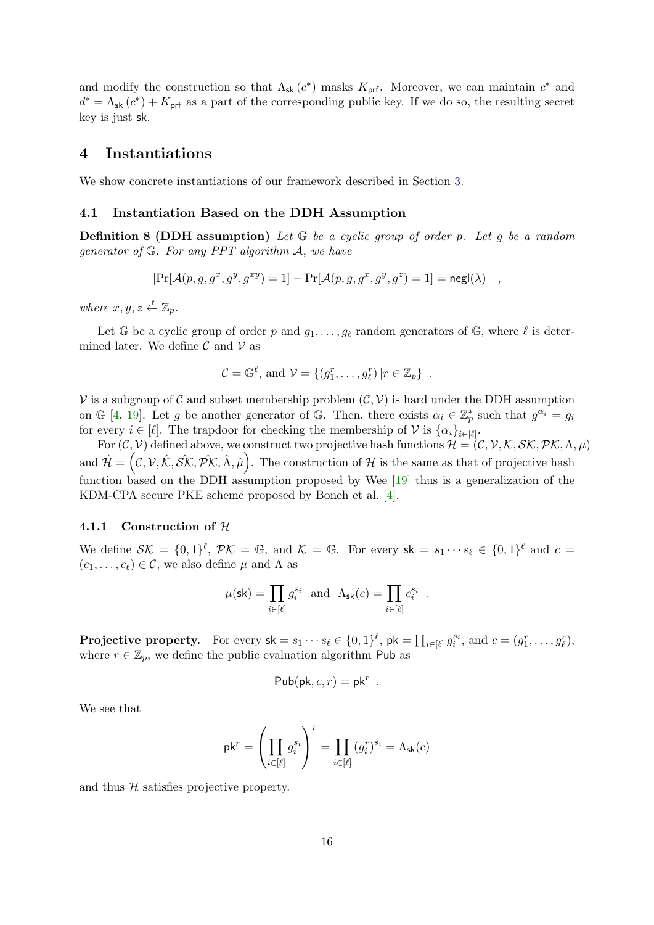and modify the construction so that  $\Lambda_{\mathsf{sk}}(c^*)$  masks  $K_{\mathsf{prf}}$ . Moreover, we can maintain  $c^*$  and  $d^* = \Lambda_{\rm sk}(c^*) + K_{\rm prf}$  as a part of the corresponding public key. If we do so, the resulting secret key is just sk.

## **4 Instantiations**

We show concrete instantiations of our framework described in Section 3.

#### <span id="page-16-0"></span>**4.1 Instantiation Based on the DDH Assumption**

<span id="page-16-1"></span>**Definition 8 (DDH assumption)** *Let* G *be a cyclic group of order [p](#page-12-0). Let g be a random generator of* G*. For any PPT algorithm A, we have*

$$
\left|\Pr[\mathcal{A}(p,g,g^x,g^y,g^{xy})=1]-\Pr[\mathcal{A}(p,g,g^x,g^y,g^z)=1]=\mathsf{negl}(\lambda)\right| \enspace ,
$$

*where*  $x, y, z \leftarrow^{\mathsf{r}} \mathbb{Z}_p$ *.* 

Let  $\mathbb{G}$  be a cyclic group of order *p* and  $g_1, \ldots, g_\ell$  random generators of  $\mathbb{G}$ , where  $\ell$  is determined later. We define  $\mathcal C$  and  $\mathcal V$  as

$$
\mathcal{C} = \mathbb{G}^{\ell}, \text{ and } \mathcal{V} = \{ (g_1^r, \ldots, g_{\ell}^r) | r \in \mathbb{Z}_p \} .
$$

 $V$  is a subgroup of C and subset membership problem  $(C, V)$  is hard under the DDH assumption on  $\mathbb{G}$  [4, 19]. Let *g* be another generator of  $\mathbb{G}$ . Then, there exists  $\alpha_i \in \mathbb{Z}_p^*$  such that  $g^{\alpha_i} = g_i$ for every  $i \in [\ell]$ . The trapdoor for checking the membership of  $V$  is  $\{\alpha_i\}_{i \in [\ell]}$ .

For  $(C, V)$  defined above, we construct two projective hash functions  $\mathcal{H} = (C, V, K, \mathcal{SK}, \mathcal{PK}, \Lambda, \mu)$ and  $\hat{\mathcal{H}} = (\mathcal{C}, \mathcal{V}, \hat{\mathcal{K}}, \mathcal{SK}, \hat{\mathcal{PK}}, \hat{\Lambda}, \hat{\mu})$  $\hat{\mathcal{H}} = (\mathcal{C}, \mathcal{V}, \hat{\mathcal{K}}, \mathcal{SK}, \hat{\mathcal{PK}}, \hat{\Lambda}, \hat{\mu})$  $\hat{\mathcal{H}} = (\mathcal{C}, \mathcal{V}, \hat{\mathcal{K}}, \mathcal{SK}, \hat{\mathcal{PK}}, \hat{\Lambda}, \hat{\mu})$  $\hat{\mathcal{H}} = (\mathcal{C}, \mathcal{V}, \hat{\mathcal{K}}, \mathcal{SK}, \hat{\mathcal{PK}}, \hat{\Lambda}, \hat{\mu})$  $\hat{\mathcal{H}} = (\mathcal{C}, \mathcal{V}, \hat{\mathcal{K}}, \mathcal{SK}, \hat{\mathcal{PK}}, \hat{\Lambda}, \hat{\mu})$ . The construction of  $\mathcal{H}$  is the same as that of projective hash function based on the DDH assumption proposed by Wee [19] thus is a generalization of the KDM-CPA secure PKE scheme proposed by Boneh et al. [4].

#### **4.1.1 Construction of** *H*

<span id="page-16-2"></span>We define  $\mathcal{SK} = \{0,1\}^{\ell}, \ \mathcal{PK} = \mathbb{G}, \text{ and } \mathcal{K} = \mathbb{G}. \ \text{ For every } \mathsf{sk} = s_1 \cdots s_{\ell} \in \{0,1\}^{\ell} \text{ and } c =$  $\mathcal{SK} = \{0,1\}^{\ell}, \ \mathcal{PK} = \mathbb{G}, \text{ and } \mathcal{K} = \mathbb{G}. \ \text{ For every } \mathsf{sk} = s_1 \cdots s_{\ell} \in \{0,1\}^{\ell} \text{ and } c =$  $\mathcal{SK} = \{0,1\}^{\ell}, \ \mathcal{PK} = \mathbb{G}, \text{ and } \mathcal{K} = \mathbb{G}. \ \text{ For every } \mathsf{sk} = s_1 \cdots s_{\ell} \in \{0,1\}^{\ell} \text{ and } c =$  $(c_1, \ldots, c_\ell) \in \mathcal{C}$ , we also define  $\mu$  and  $\Lambda$  as

$$
\mu(\mathsf{sk}) = \prod_{i \in [\ell]} g_i^{s_i} \text{ and } \Lambda_{\mathsf{sk}}(c) = \prod_{i \in [\ell]} c_i^{s_i} .
$$

**Projective property.** For every  $\mathsf{sk} = s_1 \cdots s_\ell \in \{0,1\}^\ell$ ,  $\mathsf{pk} = \prod_{i \in [\ell]} g_i^{s_i}$ , and  $c = (g_1^r, \ldots, g_\ell^r)$ , where  $r \in \mathbb{Z}_p$ , we define the public evaluation algorithm Pub as

$$
\mathsf{Pub}( \mathsf{pk}, c, r) = \mathsf{pk}^r
$$

*.*

We see that

$$
\mathsf{pk}^r = \left(\prod_{i \in [\ell]} g_i^{s_i}\right)^r = \prod_{i \in [\ell]} (g_i^r)^{s_i} = \Lambda_{\mathsf{sk}}(c)
$$

and thus *H* satisfies projective property.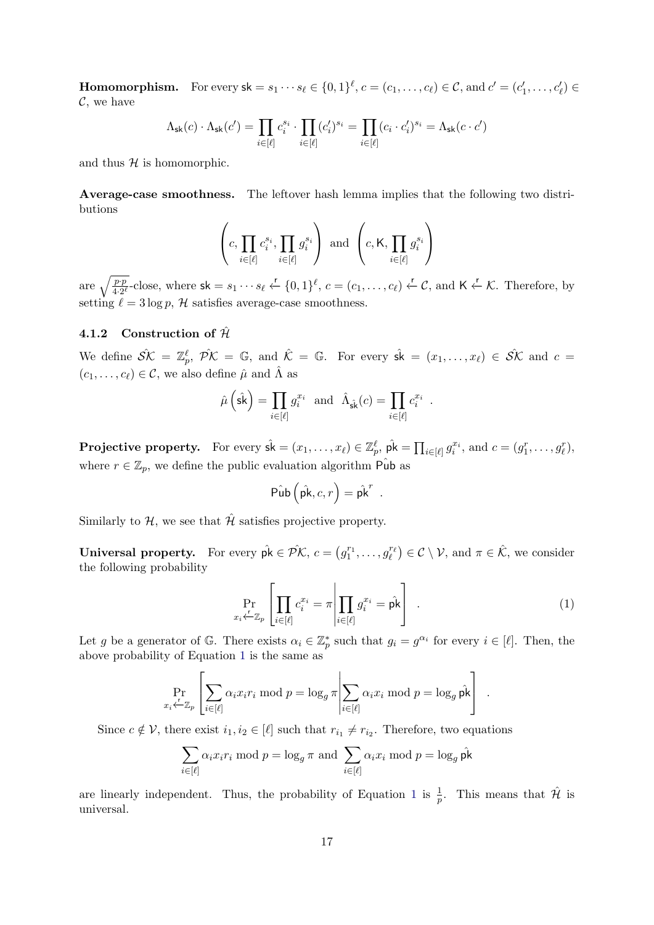**Homomorphism.** For every  $\mathsf{sk} = s_1 \cdots s_\ell \in \{0,1\}^\ell$ ,  $c = (c_1, \ldots, c_\ell) \in \mathcal{C}$ , and  $c' = (c'_1, \ldots, c'_\ell) \in \mathcal{C}$ *C*, we have

$$
\Lambda_{\rm sk}(c)\cdot \Lambda_{\rm sk}(c')=\prod_{i\in [\ell]}c_i^{s_i}\cdot \prod_{i\in [\ell]}(c_i')^{s_i}=\prod_{i\in [\ell]}(c_i\cdot c_i')^{s_i}=\Lambda_{\rm sk}(c\cdot c')
$$

and thus  $H$  is homomorphic.

**Average-case smoothness.** The leftover hash lemma implies that the following two distributions

$$
\left(c, \prod_{i \in [\ell]} c_i^{s_i}, \prod_{i \in [\ell]} g_i^{s_i} \right) \text{ and } \left(c, \mathsf{K}, \prod_{i \in [\ell]} g_i^{s_i} \right)
$$

are  $\sqrt{\frac{p \cdot p}{4 \cdot 2^{\ell}}}$ -close, where  $\mathsf{sk} = s_1 \cdots s_{\ell} \leftarrow \{0,1\}^{\ell}, c = (c_1, \ldots, c_{\ell}) \leftarrow c$ , and  $\mathsf{K} \leftarrow \mathcal{K}$ . Therefore, by setting  $\ell = 3 \log p$ , *H* satisfies average-case smoothness.

#### **4.1.2** Construction of  $\hat{\mathcal{H}}$

<span id="page-17-0"></span>We define  $\hat{S}\mathcal{K} = \mathbb{Z}_p^{\ell}, \ \hat{\mathcal{P}}\mathcal{K} = \mathbb{G}, \text{ and } \hat{\mathcal{K}} = \mathbb{G}.$  For every  $\hat{\mathsf{sk}} = (x_1, \dots, x_{\ell}) \in \hat{\mathcal{SK}}$  and  $c =$  $(c_1, \ldots, c_\ell) \in \mathcal{C}$ , we also define  $\hat{\mu}$  and  $\hat{\Lambda}$  as

$$
\hat{\mu}\left(\hat{\mathsf{sk}}\right) = \prod_{i \in [\ell]} g_i^{x_i} \text{ and } \hat{\Lambda}_{\hat{\mathsf{sk}}}(c) = \prod_{i \in [\ell]} c_i^{x_i} .
$$

**Projective property.** For every  $\hat{\mathbf{s}}k = (x_1, \dots, x_\ell) \in \mathbb{Z}_p^\ell$ ,  $\hat{\mathsf{pk}} = \prod_{i \in [\ell]} g_i^{x_i}$ , and  $c = (g_1^r, \dots, g_\ell^r)$ , where  $r \in \mathbb{Z}_p$ , we define the public evaluation algorithm Pub as

$$
\hat{\mathsf{Pub}}\left(\hat{\mathsf{pk}}, c, r\right) = \hat{\mathsf{pk}}^r \enspace .
$$

Similarly to  $H$ , we see that  $\hat{H}$  satisfies projective property.

**Universal property.** For every  $\hat{\mathsf{pk}} \in \hat{\mathcal{PK}}$ ,  $c = (g_1^{r_1}, \ldots, g_\ell^{r_\ell}) \in \mathcal{C} \setminus \mathcal{V}$ , and  $\pi \in \hat{\mathcal{K}}$ , we consider the following probability

$$
\Pr_{x_i \leftarrow \mathbb{Z}_p} \left[ \prod_{i \in [\ell]} c_i^{x_i} = \pi \middle| \prod_{i \in [\ell]} g_i^{x_i} = \hat{\mathsf{pk}} \right] \tag{1}
$$

Let *g* be a generator of  $\mathbb{G}$ . There exists  $\alpha_i \in \mathbb{Z}_p^*$  such that  $g_i = g^{\alpha_i}$  for every  $i \in [\ell]$ . Then, the above probability of Equation 1 is the same as

$$
\Pr_{x_i \leftarrow \mathbb{Z}_p} \left[ \sum_{i \in [\ell]} \alpha_i x_i r_i \bmod p = \log_g \pi \middle| \sum_{i \in [\ell]} \alpha_i x_i \bmod p = \log_g \hat{\mathsf{pk}} \right].
$$

Since  $c \notin V$ , there exist  $i_1, i_2 \in [\ell]$  such that  $r_{i_1} \neq r_{i_2}$ . Therefore, two equations

$$
\sum_{i \in [\ell]} \alpha_i x_i r_i \bmod p = \log_g \pi \text{ and } \sum_{i \in [\ell]} \alpha_i x_i \bmod p = \log_g \hat{\mathsf{pk}}
$$

are linearly independent. Thus, the probability of Equation 1 is  $\frac{1}{p}$ . This means that  $\hat{\mathcal{H}}$  is universal.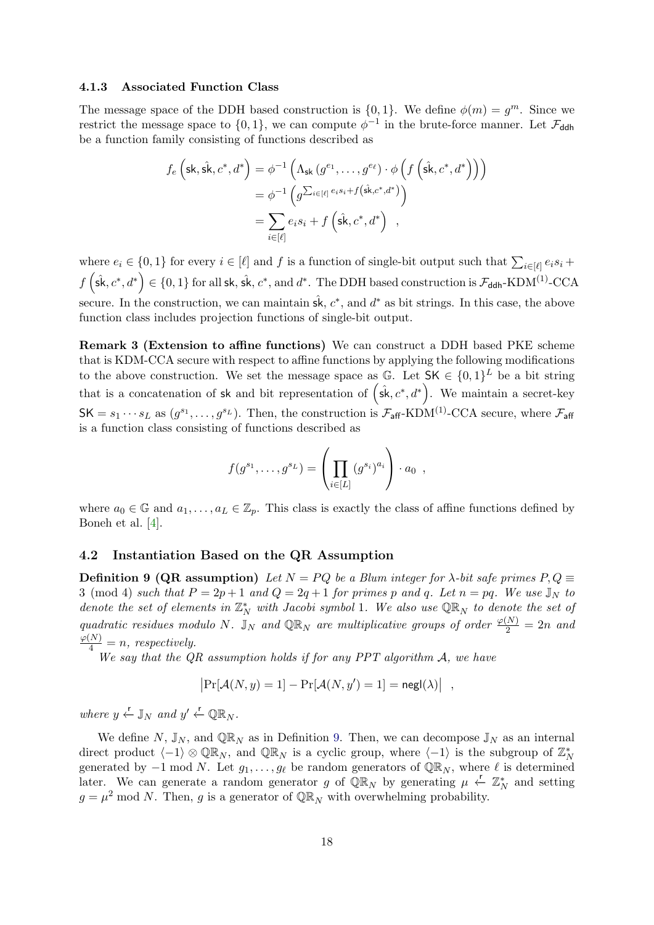#### **4.1.3 Associated Function Class**

<span id="page-18-0"></span>The message space of the DDH based construction is  $\{0, 1\}$ . We define  $\phi(m) = g^m$ . Since we restrict the message space to  $\{0,1\}$ , we can compute  $\phi^{-1}$  in the brute-force manner. Let  $\mathcal{F}_{\text{ddh}}$ be a function family consisting of functions described as

$$
f_e\left(\mathsf{sk}, \hat{\mathsf{sk}}, c^*, d^*\right) = \phi^{-1}\left(\Lambda_{\mathsf{sk}}\left(g^{e_1}, \ldots, g^{e_\ell}\right) \cdot \phi\left(f\left(\hat{\mathsf{sk}}, c^*, d^*\right)\right)\right)
$$

$$
= \phi^{-1}\left(g^{\sum_{i \in [\ell]} e_i s_i + f\left(\hat{\mathsf{sk}}, c^*, d^*\right)}\right)
$$

$$
= \sum_{i \in [\ell]} e_i s_i + f\left(\hat{\mathsf{sk}}, c^*, d^*\right) ,
$$

where  $e_i \in \{0,1\}$  for every  $i \in [\ell]$  and  $f$  is a function of single-bit output such that  $\sum_{i \in [\ell]} e_i s_i +$  $f\left(\hat{\mathsf{sk}}, c^*, d^*\right) \in \{0, 1\}$  for all sk,  $\hat{\mathsf{sk}}, c^*$ , and  $d^*$ . The DDH based construction is  $\mathcal{F}_{\mathsf{ddh}}\text{-}\mathrm{KDM}^{(1)}\text{-}\mathrm{CCA}$ secure. In the construction, we can maintain  $s\hat{k}$ ,  $c^*$ , and  $d^*$  as bit strings. In this case, the above function class includes projection functions of single-bit output.

**Remark 3 (Extension to affine functions)** We can construct a DDH based PKE scheme that is KDM-CCA secure with respect to affine functions by applying the following modifications to the above construction. We set the message space as  $\mathbb{G}$ . Let  $\mathsf{SK} \in \{0,1\}^L$  be a bit string that is a concatenation of sk and bit representation of  $(\hat{\mathsf{sk}}, c^*, d^*)$ . We maintain a secret-key  $\mathsf{SK} = s_1 \cdots s_L$  as  $(g^{s_1}, \ldots, g^{s_L})$ . Then, the construction is  $\mathcal{F}_{\mathsf{aff}}$ -KDM<sup>(1)</sup>-CCA secure, where  $\mathcal{F}_{\mathsf{aff}}$ is a function class consisting of functions described as

$$
f(g^{s_1}, \ldots, g^{s_L}) = \left(\prod_{i \in [L]} (g^{s_i})^{a_i}\right) \cdot a_0 ,
$$

where  $a_0 \in \mathbb{G}$  and  $a_1, \ldots, a_L \in \mathbb{Z}_p$ . This class is exactly the class of affine functions defined by Boneh et al. [4].

#### **4.2 Instantiation Based on the QR Assumption**

<span id="page-18-1"></span>**Definition 9** [\(](#page-35-1)QR assumption) Let  $N = PQ$  be a Blum integer for  $\lambda$ -bit safe primes  $P, Q \equiv$ 3 (mod 4) *such that*  $P = 2p + 1$  *and*  $Q = 2q + 1$  *for primes*  $p$  *and*  $q$ *. Let*  $n = pq$ *. We use*  $\mathbb{J}_N$  *to denote the set of elements in*  $\mathbb{Z}_N^*$  *with Jacobi symbol* 1*. We also use*  $\mathbb{QR}_N$  *to denote the set of quadratic residues modulo N.*  $\mathbb{J}_N$  *and*  $\mathbb{Q}\mathbb{R}_N$  *are multiplicative groups of order*  $\frac{\varphi(N)}{2} = 2n$  *and*  $\frac{\varphi(N)}{4} = n$ , respectively.

<span id="page-18-2"></span>*We say that the QR assumption holds if for any PPT algorithm A, we have*

$$
\left|\Pr[\mathcal{A}(N,y)=1]-\Pr[\mathcal{A}(N,y')=1]=\mathsf{negl}(\lambda)\right|,
$$

 $where \ y \leftarrow^{\mathbf{r}} \mathbb{J}_N \ and \ y' \leftarrow^{\mathbf{r}} \mathbb{Q} \mathbb{R}_N.$ 

We define *N*,  $\mathbb{J}_N$ , and  $\mathbb{QR}_N$  as in Definition 9. Then, we can decompose  $\mathbb{J}_N$  as an internal direct product  $\langle -1 \rangle \otimes \mathbb{Q} \mathbb{R}_N$ , and  $\mathbb{Q} \mathbb{R}_N$  is a cyclic group, where  $\langle -1 \rangle$  is the subgroup of  $\mathbb{Z}_N^*$ generated by  $-1 \mod N$ . Let  $g_1, \ldots, g_\ell$  be random generators of  $\mathbb{QR}_N$ , where  $\ell$  is determined Later. We can generate a random generator *g* of  $\overline{QR}_N$  by generating  $\mu \leftarrow \mathbb{Z}_N^*$  and setting  $g = \mu^2$  mod *N*. Then, *g* is a generator of  $\mathbb{QR}_N$  [wit](#page-18-2)h overwhelming probability.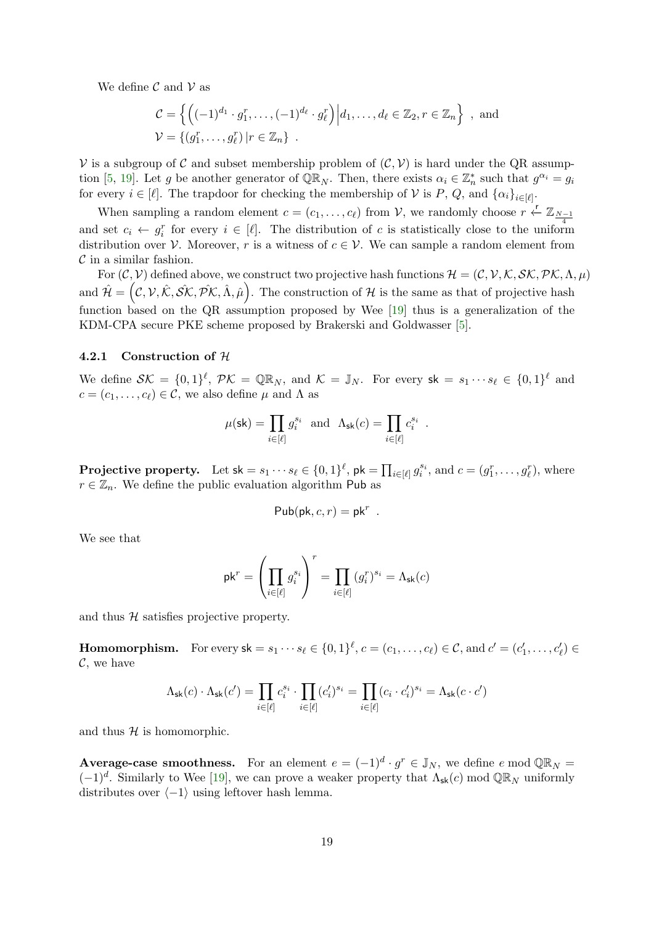We define  $\mathcal C$  and  $\mathcal V$  as

$$
\mathcal{C} = \left\{ \left( (-1)^{d_1} \cdot g_1^r, \dots, (-1)^{d_\ell} \cdot g_\ell^r \right) \middle| d_1, \dots, d_\ell \in \mathbb{Z}_2, r \in \mathbb{Z}_n \right\} , \text{ and }
$$
  

$$
\mathcal{V} = \left\{ (g_1^r, \dots, g_\ell^r) \middle| r \in \mathbb{Z}_n \right\} .
$$

 $V$  is a subgroup of C and subset membership problem of  $(C, V)$  is hard under the QR assumption [5, 19]. Let *g* be another generator of  $\mathbb{QR}_N$ . Then, there exists  $\alpha_i \in \mathbb{Z}_n^*$  such that  $g^{\alpha_i} = g_i$ for every  $i \in [\ell]$ . The trapdoor for checking the membership of  $V$  is  $P$ ,  $Q$ , and  $\{\alpha_i\}_{i \in [\ell]}$ .

When sampling a random element  $c = (c_1, \ldots, c_\ell)$  from  $\mathcal{V}$ , we randomly choose  $r \stackrel{\sim}{\leftarrow} \mathbb{Z}_{N-1}$ and [se](#page-35-7)t  $c_i \leftarrow g_i^r$  $c_i \leftarrow g_i^r$  for every  $i \in [\ell]$ . The distribution of *c* is statistically close to the uniform distribution over *V*. Moreover, *r* is a witness of  $c \in V$ . We can sample a random element from *C* in a similar fashion.

For  $(C, V)$  defined above, we construct two projective hash functions  $\mathcal{H} = (C, V, K, \mathcal{SK}, \mathcal{PK}, \Lambda, \mu)$ and  $\hat{\mathcal{H}} = (\mathcal{C}, \mathcal{V}, \hat{\mathcal{K}}, \mathcal{S}\mathcal{K}, \mathcal{P}\mathcal{K}, \hat{\Lambda}, \hat{\mu})$ . The construction of  $\mathcal{H}$  is the same as that of projective hash function based on the QR assumption proposed by Wee [19] thus is a generalization of the KDM-CPA secure PKE scheme proposed by Brakerski and Goldwasser [5].

#### **4.2.1 Construction of** *H*

<span id="page-19-0"></span>We define  $\mathcal{SK} = \{0,1\}^{\ell}, \ \mathcal{PK} = \mathbb{Q}\mathbb{R}_N$ , and  $\mathcal{K} = \mathbb{J}_N$ . For every  $\mathsf{sk} = s_1 \cdots s_{\ell} \in \{0,1\}^{\ell}$  $\mathsf{sk} = s_1 \cdots s_{\ell} \in \{0,1\}^{\ell}$  $\mathsf{sk} = s_1 \cdots s_{\ell} \in \{0,1\}^{\ell}$  and  $c = (c_1, \ldots, c_\ell) \in \mathcal{C}$ , we also define  $\mu$  and  $\Lambda$  as

$$
\mu(\mathsf{sk}) = \prod_{i \in [\ell]} g_i^{s_i} \text{ and } \Lambda_{\mathsf{sk}}(c) = \prod_{i \in [\ell]} c_i^{s_i} .
$$

**Projective property.** Let  $\mathsf{sk} = s_1 \cdots s_\ell \in \{0,1\}^\ell$ ,  $\mathsf{pk} = \prod_{i \in [\ell]} g_i^{s_i}$ , and  $c = (g_1^r, \ldots, g_\ell^r)$ , where  $r \in \mathbb{Z}_n$ . We define the public evaluation algorithm Pub as

$$
\mathsf{Pub}(pk, c, r) = pk^r .
$$

We see that

$$
\mathsf{pk}^r = \left(\prod_{i \in [\ell]} g_i^{s_i}\right)^r = \prod_{i \in [\ell]} (g_i^r)^{s_i} = \Lambda_{\mathsf{sk}}(c)
$$

and thus *H* satisfies projective property.

**Homomorphism.** For every  $\mathsf{sk} = s_1 \cdots s_\ell \in \{0,1\}^\ell$ ,  $c = (c_1, \ldots, c_\ell) \in \mathcal{C}$ , and  $c' = (c'_1, \ldots, c'_\ell) \in$ *C*, we have

$$
\Lambda_{\mathsf{sk}}(c) \cdot \Lambda_{\mathsf{sk}}(c') = \prod_{i \in [\ell]} c_i^{s_i} \cdot \prod_{i \in [\ell]} (c'_i)^{s_i} = \prod_{i \in [\ell]} (c_i \cdot c'_i)^{s_i} = \Lambda_{\mathsf{sk}}(c \cdot c')
$$

and thus  $H$  is homomorphic.

**Average-case smoothness.** For an element  $e = (-1)^d \cdot g^r \in \mathbb{J}_N$ , we define  $e \mod \mathbb{QR}_N =$  $(-1)^d$ . Similarly to Wee [19], we can prove a weaker property that  $\Lambda_{\mathsf{sk}}(c)$  mod  $\mathbb{QR}_N$  uniformly distributes over *⟨−*1*⟩* using leftover hash lemma.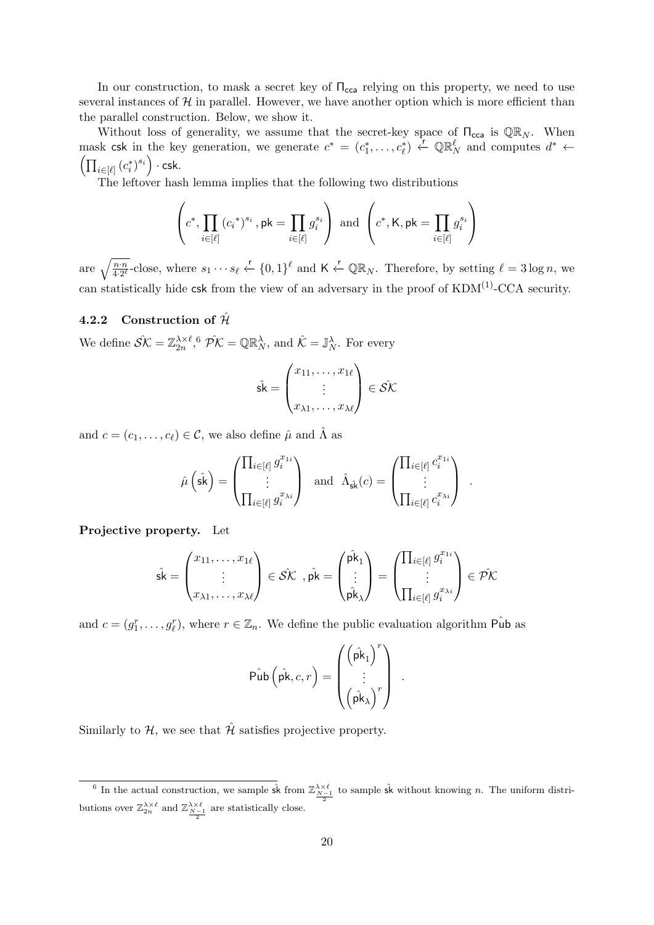In our construction, to mask a secret key of  $\Pi_{cc}$  relying on this property, we need to use several instances of  $H$  in parallel. However, we have another option which is more efficient than the parallel construction. Below, we show it.

Without loss of generality, we assume that the secret-key space of  $\Pi_{cca}$  is  $\mathbb{QR}_N$ . When mask csk in the key generation, we generate  $c^* = (c_1^*, \ldots, c_\ell^*) \stackrel{\cdot \cdot}{\leftarrow} \mathbb{QR}_N^{\ell}$  and computes  $d^* \leftarrow$  $\left(\prod_{i \in [\ell]} (c_i^*)^{s_i}\right) \cdot \textsf{csk}.$ 

The leftover hash lemma implies that the following two distributions

$$
\left(c^*, \prod_{i \in [\ell]} \left(c_i^*\right)^{s_i}, \mathsf{pk} = \prod_{i \in [\ell]} g_i^{s_i}\right) \text{ and } \left(c^*, \mathsf{K}, \mathsf{pk} = \prod_{i \in [\ell]} g_i^{s_i}\right)
$$

are  $\sqrt{\frac{n \cdot n}{4 \cdot 2^{\ell}}}$ -close, where  $s_1 \cdots s_{\ell} \leftarrow \{0,1\}^{\ell}$  and  $\mathsf{K} \leftarrow \mathbb{Q} \mathbb{R}_N$ . Therefore, by setting  $\ell = 3 \log n$ , we can statistically hide  $\cosh$  from the view of an adversary in the proof of KDM<sup>(1)</sup>-CCA security.

#### **4.2.2** Construction of  $\hat{\mathcal{H}}$

<span id="page-20-0"></span>We define  $\hat{SK} = \mathbb{Z}_{2n}^{\lambda \times \ell}$ ,  $\hat{P}\hat{K} = \mathbb{Q} \mathbb{R}_N^{\lambda}$ , and  $\hat{K} = \mathbb{J}_N^{\lambda}$ . For every

$$
\hat{\mathsf{sk}} = \begin{pmatrix} x_{11}, \dots, x_{1\ell} \\ \vdots \\ x_{\lambda 1}, \dots, x_{\lambda \ell} \end{pmatrix} \in \hat{\mathcal{SK}}
$$

and  $c = (c_1, \ldots, c_\ell) \in \mathcal{C}$ , we also define  $\hat{\mu}$  and  $\hat{\Lambda}$  as

$$
\hat{\mu}\left(\hat{\mathsf{sk}}\right) = \begin{pmatrix} \prod_{i \in [\ell]} g_i^{x_{1i}} \\ \vdots \\ \prod_{i \in [\ell]} g_i^{x_{\lambda i}} \end{pmatrix} \text{ and } \hat{\Lambda}_{\hat{\mathsf{sk}}}(c) = \begin{pmatrix} \prod_{i \in [\ell]} c_i^{x_{1i}} \\ \vdots \\ \prod_{i \in [\ell]} c_i^{x_{\lambda i}} \end{pmatrix} .
$$

**Projective property.** Let

$$
\hat{\mathsf{sk}} = \begin{pmatrix} x_{11}, \dots, x_{1\ell} \\ \vdots \\ x_{\lambda 1}, \dots, x_{\lambda \ell} \end{pmatrix} \in \hat{\mathcal{SK}} \text{ , } \hat{\mathsf{pk}} = \begin{pmatrix} \hat{\mathsf{pk}}_1 \\ \vdots \\ \hat{\mathsf{pk}}_{\lambda} \end{pmatrix} = \begin{pmatrix} \prod_{i \in [\ell]} g_i^{x_{1i}} \\ \vdots \\ \prod_{i \in [\ell]} g_i^{x_{\lambda i}} \end{pmatrix} \in \hat{\mathcal{PK}}
$$

and  $c = (g_1^r, \ldots, g_\ell^r)$ , where  $r \in \mathbb{Z}_n$ . We define the public evaluation algorithm Pub as

$$
\hat{\mathsf{Pub}}\left(\hat{\mathsf{pk}}, c, r\right) = \begin{pmatrix} \left(\hat{\mathsf{pk}}_1\right)^r \\ \vdots \\ \left(\hat{\mathsf{pk}}_{\lambda}\right)^r \end{pmatrix}
$$

*.*

Similarly to  $H$ , we see that  $\hat{H}$  satisfies projective property.

<sup>&</sup>lt;sup>6</sup> In the actual construction, we sample  $\hat{\mathsf{s}}\hat{k}$  from  $\mathbb{Z}_{\frac{N-1}{2}}^{\lambda\times\ell}$  to sample  $\hat{\mathsf{s}}\hat{k}$  without knowing *n*. The uniform distributions over  $\mathbb{Z}_{2n}^{\lambda \times \ell}$  and  $\mathbb{Z}_{\frac{N-1}{2}}^{\lambda \times \ell}$  are statistically close.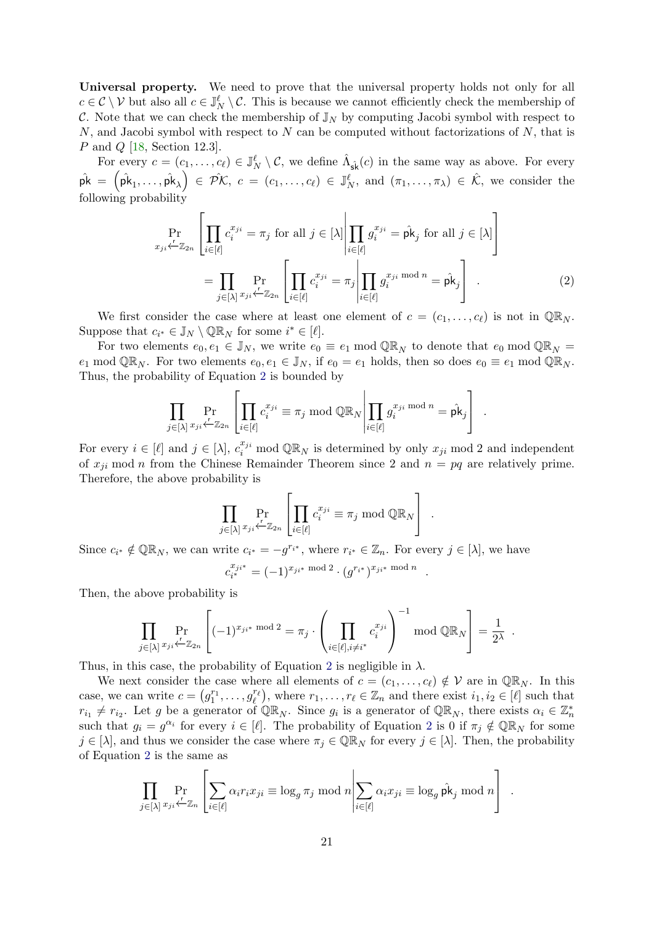**Universal property.** We need to prove that the universal property holds not only for all  $c \in \mathcal{C} \setminus \mathcal{V}$  but also all  $c \in \mathbb{J}_N^{\ell} \setminus \mathcal{C}$ . This is because we cannot efficiently check the membership of *C*. Note that we can check the membership of  $\mathbb{J}_N$  by computing Jacobi symbol with respect to *N*, and Jacobi symbol with respect to *N* can be computed without factorizations of *N*, that is *P* and *Q* [18, Section 12.3].

For every  $c = (c_1, \ldots, c_\ell) \in \mathbb{J}_N^{\ell} \setminus \mathcal{C}$ , we define  $\hat{\Lambda}_{\hat{\mathsf{sk}}}(c)$  in the same way as above. For every  $\hat{\mathsf{pk}} = (\hat{\mathsf{pk}}_1, \dots, \hat{\mathsf{pk}}_\lambda) \in \hat{\mathcal{PK}}, \ c = (c_1, \dots, c_\ell) \in \mathbb{J}_N^\ell, \text{ and } (\pi_1, \dots, \pi_\lambda) \in \hat{\mathcal{K}}, \text{ we consider the } \mathcal{X}$ following [pro](#page-35-13)bability

$$
\Pr_{x_{ji}\leftarrow \mathbb{Z}_{2n}}\left[\prod_{i\in[\ell]}c_i^{x_{ji}} = \pi_j \text{ for all } j \in [\lambda] \middle| \prod_{i\in[\ell]}g_i^{x_{ji}} = \hat{\mathsf{pk}}_j \text{ for all } j \in [\lambda] \right]
$$
\n
$$
= \prod_{j\in[\lambda]} \Pr_{x_{ji}\leftarrow \mathbb{Z}_{2n}}\left[\prod_{i\in[\ell]}c_i^{x_{ji}} = \pi_j \middle| \prod_{i\in[\ell]}g_i^{x_{ji}} \mod n = \hat{\mathsf{pk}}_j \right].
$$
\n(2)

We first consider the case where at least one element of  $c = (c_1, \ldots, c_\ell)$  is not in  $\mathbb{QR}_N$ . Suppose that  $c_{i^*} \in \mathbb{J}_N \setminus \mathbb{Q} \mathbb{R}_N$  for some  $i^* \in [\ell]$ .

For two elements  $e_0, e_1 \in \mathbb{J}_N$ , we write  $e_0 \equiv e_1 \mod \mathbb{Q} \mathbb{R}_N$  to denote that  $e_0 \mod \mathbb{Q} \mathbb{R}_N =$  $e_1$  mod  $\mathbb{QR}_N$ . For two elements  $e_0, e_1 \in \mathbb{J}_N$ , if  $e_0 = e_1$  holds, then so does  $e_0 \equiv e_1$  mod  $\mathbb{QR}_N$ . Thus, the probability of Equation 2 is bounded by

$$
\prod_{j\in[\lambda]}\Pr_{x_{ji}\stackrel{\mathbf{r}}{\leftarrow}\mathbb{Z}_{2n}}\left[\prod_{i\in[\ell]}c_i^{x_{ji}}\equiv \pi_j\bmod\mathbb{QR}_N\middle|\prod_{i\in[\ell]}g_i^{x_{ji}\bmod n}=\hat{\mathsf{pk}}_j\right].
$$

For every  $i \in [\ell]$  and  $j \in [\lambda]$ ,  $c_i^{x_{ji}}$  mod  $\mathbb{QR}_N$  is determined by only  $x_{ji}$  mod 2 and independent of  $x_{ji}$  mod *n* from the Chinese Remainder Theorem since 2 and  $n = pq$  are relatively prime. Therefore, the above probability is

<span id="page-21-0"></span>
$$
\prod_{j\in[\lambda]}\Pr_{x_{ji}\stackrel{\mathbf{r}}{\longleftarrow}\mathbb{Z}_{2n}}\left[\prod_{i\in[\ell]}c_i^{x_{ji}}\equiv \pi_j\bmod\mathbb{Q}\mathbb{R}_N\right].
$$

Since  $c_{i^*} \notin \mathbb{Q}\mathbb{R}_N$ , we can write  $c_{i^*} = -g^{r_{i^*}}$ , where  $r_{i^*} \in \mathbb{Z}_n$ . For every  $j \in [\lambda]$ , we have

$$
c_{i^*}^{x_{ji^*}} = (-1)^{x_{ji^*} \bmod 2} \cdot (g^{r_{i^*}})^{x_{ji^*} \bmod n} .
$$

Then, the above probability is

$$
\prod_{j\in[\lambda]} \Pr_{x_{ji}\stackrel{\mathcal{K}}{\leftarrow}\mathbb{Z}_{2n}} \left[ (-1)^{x_{ji^*}\bmod 2} = \pi_j \cdot \left( \prod_{i\in[\ell], i\neq i^*} c_i^{x_{ji}} \right)^{-1} \bmod \mathbb{QR}_N \right] = \frac{1}{2^{\lambda}}.
$$

Thus, in this case, the probability of Equation 2 is negligible in  $\lambda$ .

We next consider the case where all elements of  $c = (c_1, \ldots, c_\ell) \notin \mathcal{V}$  are in  $\mathbb{QR}_N$ . In this case, we can write  $c = (g_1^{r_1}, \ldots, g_\ell^{r_\ell})$ , where  $r_1, \ldots, r_\ell \in \mathbb{Z}_n$  and there exist  $i_1, i_2 \in [\ell]$  such that  $r_{i_1} \neq r_{i_2}$ . Let *g* be a generator of  $\mathbb{QR}_N$ . Since  $g_i$  is a generator of  $\mathbb{QR}_N$ , there exists  $\alpha_i \in \mathbb{Z}_n^*$ such that  $g_i = g^{\alpha_i}$  for every  $i \in [\ell]$ . The prob[ab](#page-21-0)ility of Equation 2 is 0 if  $\pi_j \notin \mathbb{Q}\mathbb{R}_N$  for some  $j \in [\lambda]$ , and thus we consider the case where  $\pi_j \in \mathbb{QR}_N$  for every  $j \in [\lambda]$ . Then, the probability of Equation 2 is the same as

$$
\prod_{j \in [\lambda]} \Pr_{x_{ji} \stackrel{\mathbf{r}}{\longleftarrow} \mathbb{Z}_n} \left[ \sum_{i \in [\ell]} \alpha_i r_i x_{ji} \equiv \log_g \pi_j \bmod n \middle| \sum_{i \in [\ell]} \alpha_i x_{ji} \equiv \log_g \hat{\mathsf{pk}}_j \bmod n \right].
$$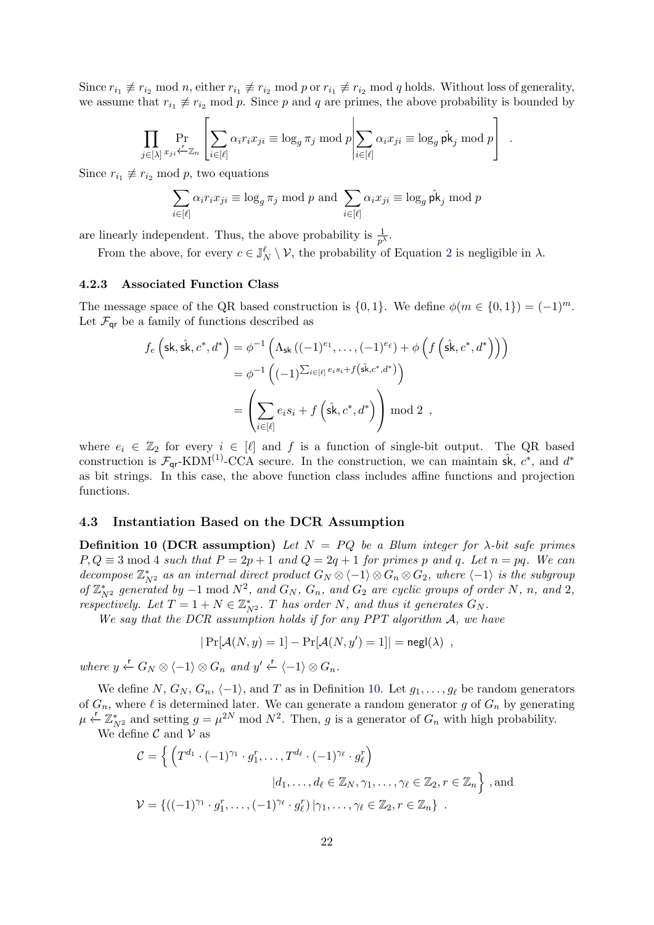Since  $r_{i_1} \not\equiv r_{i_2} \mod n$ , either  $r_{i_1} \not\equiv r_{i_2} \mod p$  or  $r_{i_1} \not\equiv r_{i_2} \mod q$  holds. Without loss of generality, we assume that  $r_{i_1} \not\equiv r_{i_2} \mod p$ . Since *p* and *q* are primes, the above probability is bounded by

$$
\prod_{j \in [\lambda]} \Pr_{x_{ji} \stackrel{\mathbf{r}}{\longleftarrow} \mathbb{Z}_n} \left[ \sum_{i \in [\ell]} \alpha_i r_i x_{ji} \equiv \log_g \pi_j \bmod p \middle| \sum_{i \in [\ell]} \alpha_i x_{ji} \equiv \log_g \hat{\mathsf{pk}}_j \bmod p \right].
$$

Since  $r_{i_1} \not\equiv r_{i_2} \mod p$ , two equations

$$
\sum_{i \in [\ell]} \alpha_i r_i x_{ji} \equiv \log_g \pi_j \text{ mod } p \text{ and } \sum_{i \in [\ell]} \alpha_i x_{ji} \equiv \log_g \hat{\mathsf{pk}}_j \text{ mod } p
$$

are linearly independent. Thus, the above probability is  $\frac{1}{p^{\lambda}}$ .

From the above, for every  $c \in \mathbb{J}_N^{\ell} \setminus \mathcal{V}$ , the probability of Equation 2 is negligible in  $\lambda$ .

#### **4.2.3 Associated Function Class**

<span id="page-22-0"></span>The message space of the QR based construction is  $\{0,1\}$ . We define  $\phi(m \in \{0,1\}) = (-1)^m$ . Let  $\mathcal{F}_{\text{qr}}$  be a family of functions described as

$$
f_e\left(\mathsf{sk}, \hat{\mathsf{sk}}, c^*, d^*\right) = \phi^{-1}\left(\Lambda_{\mathsf{sk}}\left((-1)^{e_1}, \dots, (-1)^{e_\ell}\right) + \phi\left(f\left(\hat{\mathsf{sk}}, c^*, d^*\right)\right)\right)
$$

$$
= \phi^{-1}\left((-1)^{\sum_{i \in [\ell]} e_i s_i + f\left(\hat{\mathsf{sk}}, c^*, d^*\right)}\right)
$$

$$
= \left(\sum_{i \in [\ell]} e_i s_i + f\left(\hat{\mathsf{sk}}, c^*, d^*\right)\right) \mod 2,
$$

where  $e_i \in \mathbb{Z}_2$  for every  $i \in [\ell]$  and f is a function of single-bit output. The QR based construction is  $\mathcal{F}_{\text{qr}}$ -KDM<sup>(1)</sup>-CCA secure. In the construction, we can maintain sk,  $c^*$ , and  $d^*$ as bit strings. In this case, the above function class includes affine functions and projection functions.

#### **4.3 Instantiation Based on the DCR Assumption**

<span id="page-22-1"></span>**Definition 10 (DCR assumption)** Let  $N = PQ$  be a Blum integer for  $\lambda$ -bit safe primes  $P, Q \equiv 3 \text{ mod } 4$  *such that*  $P = 2p + 1$  *and*  $Q = 2q + 1$  *for primes*  $p$  *and*  $q$ *. Let*  $n = pq$ *. We can decompose*  $\mathbb{Z}_{N^2}^*$  *as an internal direct product*  $G_N \otimes \langle -1 \rangle \otimes G_n \otimes G_2$ *, where*  $\langle -1 \rangle$  *is the subgroup* of  $\mathbb{Z}_{N^2}^*$  generated by  $-1$  mod  $N^2$ , and  $G_N$ ,  $G_n$ , and  $G_2$  are cyclic groups of order N, n, and 2, *respectively.* Let  $T = 1 + N \in \mathbb{Z}_{N^2}^*$ . *T* has order *N*, and thus it generates  $G_N$ .

<span id="page-22-2"></span>*We say that the DCR assumption holds if for any PPT algorithm A, we have*

$$
|\Pr[\mathcal{A}(N, y) = 1] - \Pr[\mathcal{A}(N, y') = 1]| = \mathsf{negl}(\lambda) ,
$$

*where*  $y \stackrel{r}{\leftarrow} G_N \otimes \langle -1 \rangle \otimes G_n$  *and*  $y' \stackrel{r}{\leftarrow} \langle -1 \rangle \otimes G_n$ *.* 

We define *N*,  $G_N$ ,  $G_n$ ,  $\langle -1 \rangle$ , and *T* as in Definition 10. Let  $g_1, \ldots, g_\ell$  be random generators of  $G_n$ , where  $\ell$  is determined later. We can generate a random generator  $g$  of  $G_n$  by generating  $\mu \leftarrow \mathbb{Z}_{N^2}^*$  and setting  $g = \mu^{2N} \text{ mod } N^2$ . Then, *g* is a generator of  $G_n$  with high probability.

We define *C* and *V* as

$$
C = \left\{ \left( T^{d_1} \cdot (-1)^{\gamma_1} \cdot g_1^r, \dots, T^{d_\ell} \cdot (-1)^{\gamma_\ell} \cdot g_\ell^r \right) \right\}
$$

$$
|d_1, \dots, d_\ell \in \mathbb{Z}_N, \gamma_1, \dots, \gamma_\ell \in \mathbb{Z}_2, r \in \mathbb{Z}_n \right\} \text{ and }
$$

$$
\mathcal{V} = \left\{ ((-1)^{\gamma_1} \cdot g_1^r, \dots, (-1)^{\gamma_\ell} \cdot g_\ell^r) \, | \gamma_1, \dots, \gamma_\ell \in \mathbb{Z}_2, r \in \mathbb{Z}_n \right\} \text{ .}
$$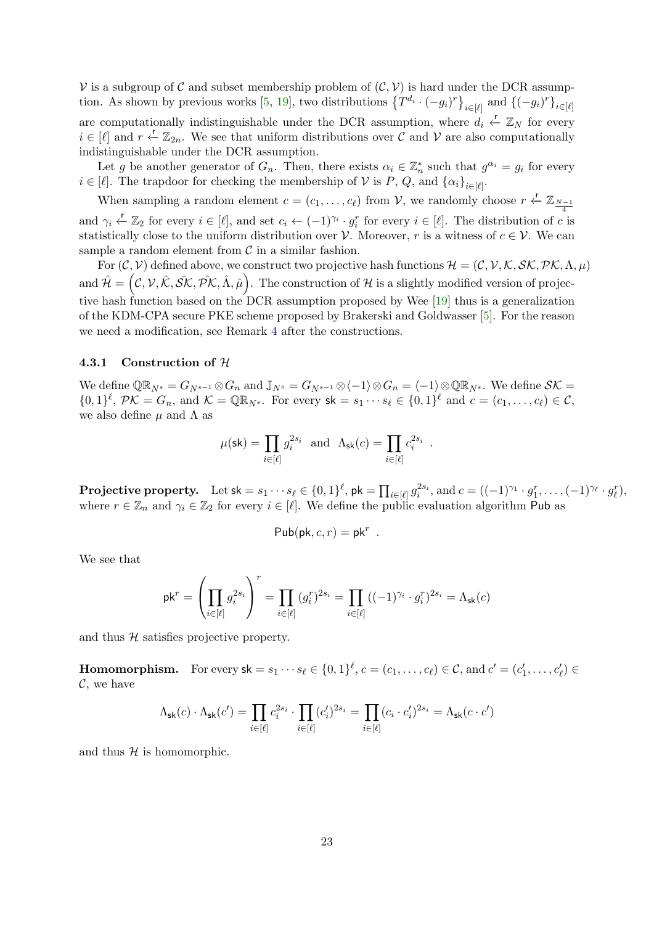$V$  is a subgroup of  $C$  and subset membership problem of  $(C, V)$  is hard under the DCR assumption. As shown by previous works [5, 19], two distributions  $\{T^{d_i} \cdot (-g_i)^r\}_{i \in [\ell]}$  and  $\{(-g_i)^r\}_{i \in [\ell]}$ are computationally indistinguishable under the DCR assumption, where  $d_i \stackrel{r}{\leftarrow} \mathbb{Z}_N$  for every *i* ∈ [ $\ell$ ] and  $r \stackrel{\mathsf{r}}{\leftarrow} \mathbb{Z}_{2n}$ . We see that uniform distributions over  $\mathcal C$  and  $\mathcal V$  are also computationally indistinguishable under the DCR a[ss](#page-35-7)[ump](#page-35-9)tion.

Let *g* be another generator of  $G_n$ . Then, there exists  $\alpha_i \in \mathbb{Z}_n^*$  such that  $g^{\alpha_i} = g_i$  for every  $i \in [\ell]$ . The trapdoor for checking the membership of *V* is  $P$ ,  $Q$ , and  $\{\alpha_i\}_{i \in [\ell]}$ .

When sampling a random element  $c = (c_1, \ldots, c_\ell)$  from  $\mathcal{V}$ , we randomly choose  $r \leftarrow \mathbb{Z}_{\frac{N-1}{4}}$ and  $\gamma_i \stackrel{\mathsf{r}}{\leftarrow} \mathbb{Z}_2$  for every  $i \in [\ell]$ , and set  $c_i \leftarrow (-1)^{\gamma_i} \cdot g_i^r$  for every  $i \in [\ell]$ . The distribution of c is statistically close to the uniform distribution over *V*. Moreover, *r* is a witness of  $c \in V$ . We can sample a random element from *C* in a similar fashion.

For  $(C, V)$  defined above, we construct two projective hash functions  $\mathcal{H} = (C, V, K, \mathcal{SK}, \mathcal{PK}, \Lambda, \mu)$ and  $\hat{\mathcal{H}} = \left(\mathcal{C}, \mathcal{V}, \hat{\mathcal{K}}, \mathcal{S} \mathcal{K}, \hat{\mathcal{P}} \mathcal{K}, \hat{\Lambda}, \hat{\mu}\right)$ . The construction of  $\mathcal{H}$  is a slightly modified version of projective hash function based on the DCR assumption proposed by Wee [19] thus is a generalization of the KDM-CPA secure PKE scheme proposed by Brakerski and Goldwasser [5]. For the reason we need a modification, see Remark 4 after the constructions.

#### **4.3.1 Construction of** *H*

<span id="page-23-0"></span>We define  $\mathbb{QR}_{N^s} = G_{N^{s-1}} \otimes G_n$  $\mathbb{QR}_{N^s} = G_{N^{s-1}} \otimes G_n$  $\mathbb{QR}_{N^s} = G_{N^{s-1}} \otimes G_n$  and  $\mathbb{J}_{N^s} = G_{N^{s-1}} \otimes \langle -1 \rangle \otimes G_n = \langle -1 \rangle \otimes \mathbb{QR}_{N^s}$ . We define  $\mathcal{SK} =$  $\{0,1\}^{\ell}, \mathcal{PK} = G_n$ , and  $\mathcal{K} = \mathbb{Q}\mathbb{R}_{N^s}$ . For every  $\mathsf{sk} = s_1 \cdots s_{\ell} \in \{0,1\}^{\ell}$  and  $c = (c_1, \ldots, c_{\ell}) \in \mathcal{C}$ , we also define  $\mu$  and  $\Lambda$  as

$$
\mu(\mathsf{sk}) = \prod_{i \in [\ell]} g_i^{2s_i} \quad \text{and} \quad \Lambda_{\mathsf{sk}}(c) = \prod_{i \in [\ell]} c_i^{2s_i}
$$

 $\textbf{Projective property.}\quad \text{Let } \mathsf{sk} = s_1 \cdots s_\ell \in \{0,1\}^\ell\text{, } \mathsf{pk} = \prod_{i \in [\ell]} g_i^{2s_i}\text{, and } c = ((-1)^{\gamma_1} \cdot g_1^r, \ldots, (-1)^{\gamma_\ell} \cdot g_\ell^r),$ where  $r \in \mathbb{Z}_n$  and  $\gamma_i \in \mathbb{Z}_2$  for every  $i \in [\ell]$ . We define the public evaluation algorithm Pub as

*.*

$$
Pub(pk, c, r) = pkr.
$$

We see that

$$
\mathsf{pk}^r = \left(\prod_{i \in [\ell]} g_i^{2s_i}\right)^r = \prod_{i \in [\ell]} (g_i^r)^{2s_i} = \prod_{i \in [\ell]} ((-1)^{\gamma_i} \cdot g_i^r)^{2s_i} = \Lambda_{\mathsf{sk}}(c)
$$

and thus *H* satisfies projective property.

**Homomorphism.** For every  $\mathsf{sk} = s_1 \cdots s_\ell \in \{0,1\}^\ell$ ,  $c = (c_1, \ldots, c_\ell) \in \mathcal{C}$ , and  $c' = (c'_1, \ldots, c'_\ell) \in \mathcal{C}$ *C*, we have

$$
\Lambda_{\mathsf{sk}}(c) \cdot \Lambda_{\mathsf{sk}}(c') = \prod_{i \in [\ell]} c_i^{2s_i} \cdot \prod_{i \in [\ell]} (c'_i)^{2s_i} = \prod_{i \in [\ell]} (c_i \cdot c'_i)^{2s_i} = \Lambda_{\mathsf{sk}}(c \cdot c')
$$

and thus  $H$  is homomorphic.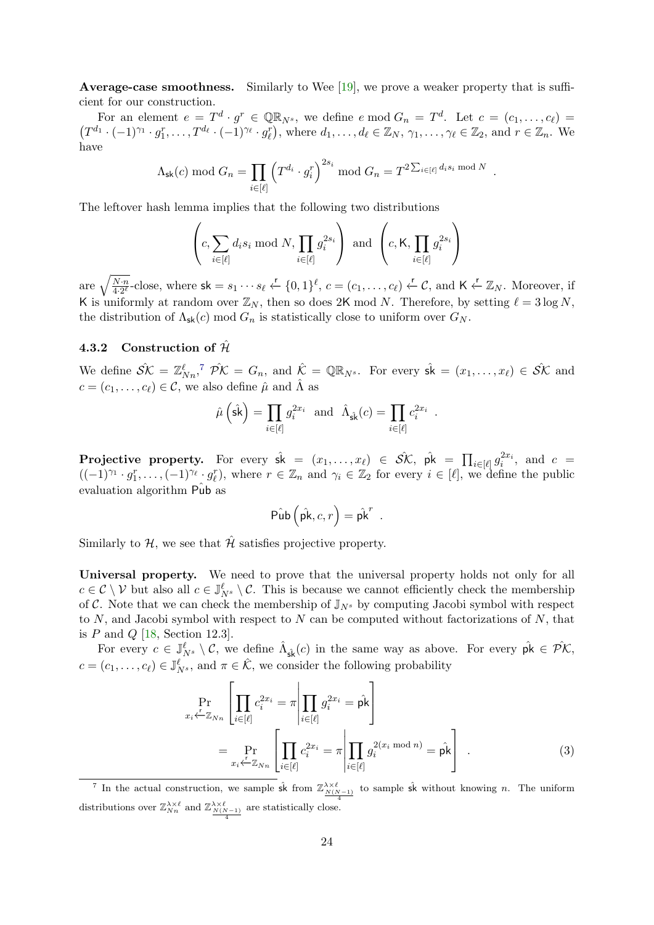**Average-case smoothness.** Similarly to Wee [19], we prove a weaker property that is sufficient for our construction.

For an element  $e = T^d \cdot g^r \in \mathbb{QR}_{N^s}$ , we define  $e \mod G_n = T^d$ . Let  $c = (c_1, \ldots, c_\ell)$  $(T^{d_1} \cdot (-1)^{\gamma_1} \cdot g_1^r, \ldots, T^{d_\ell} \cdot (-1)^{\gamma_\ell} \cdot g_\ell^r),$  where  $d_1, \ldots, d_\ell \in \mathbb{Z}_N, \gamma_1, \ldots, \gamma_\ell \in \mathbb{Z}_2$ , and  $r \in \mathbb{Z}_n$ . We have

$$
\Lambda_{\mathsf{sk}}(c) \bmod G_n = \prod_{i \in [\ell]} \left( T^{d_i} \cdot g_i^r \right)^{2s_i} \bmod G_n = T^{2 \sum_{i \in [\ell]} d_i s_i \bmod N}.
$$

The leftover hash lemma implies that the following two distributions

$$
\left(c, \sum_{i \in [\ell]} d_i s_i \bmod N, \prod_{i \in [\ell]} g_i^{2s_i} \right) \text{ and } \left(c, \mathsf{K}, \prod_{i \in [\ell]} g_i^{2s_i} \right)
$$

are  $\sqrt{\frac{N \cdot n}{4 \cdot 2^{\ell}}}$  $\frac{N\cdot n}{4\cdot 2^{\ell}}$ -close, where  $\mathsf{sk} = s_1 \cdots s_{\ell} \stackrel{\mathsf{r}}{\leftarrow} \{0,1\}^{\ell}, c = (c_1, \ldots, c_{\ell}) \stackrel{\mathsf{r}}{\leftarrow} \mathcal{C}$ , and  $\mathsf{K} \stackrel{\mathsf{r}}{\leftarrow} \mathbb{Z}_N$ . Moreover, if K is uniformly at random over  $\mathbb{Z}_N$ , then so does 2K mod *N*. Therefore, by setting  $\ell = 3 \log N$ , the distribution of  $\Lambda_{\mathsf{sk}}(c)$  mod  $G_n$  is statistically close to uniform over  $G_N$ .

#### **4.3.2 Construction of** *H*ˆ

We define  $\hat{SK} = \mathbb{Z}_{Nn}^{\ell},^7 \hat{PK} = G_n$ , and  $\hat{K} = \mathbb{QR}_{N^s}$ . For every  $\hat{\mathsf{sk}} = (x_1, \ldots, x_{\ell}) \in \hat{SK}$  and  $c = (c_1, \ldots, c_\ell) \in \mathcal{C}$ , we also define  $\hat{\mu}$  and  $\hat{\Lambda}$  as

$$
\hat{\mu}\left(\hat{\mathsf{sk}}\right) = \prod_{i \in [\ell]} g_i^{2x_i} \text{ and } \hat{\Lambda}_{\hat{\mathsf{sk}}}(c) = \prod_{i \in [\ell]} c_i^{2x_i}
$$

*.*

**Projective property.** For every  $\hat{\mathsf{sk}} = (x_1, \ldots, x_\ell) \in \hat{\mathcal{SK}}, \ \hat{\mathsf{pk}} = \prod_{i \in [\ell]} g_i^{2x_i}, \ \text{and} \ c =$  $((-1)^{\gamma_1} \cdot g_1^r, \ldots, (-1)^{\gamma_\ell} \cdot g_\ell^r)$ , where  $r \in \mathbb{Z}_n$  and  $\gamma_i \in \mathbb{Z}_2$  for every  $i \in [\ell]$ , we define the public evaluation algorithm Pub as

$$
\hat{\mathsf{Pub}}\left(\hat{\mathsf{pk}}, c, r\right) = \hat{\mathsf{pk}}^r .
$$

Similarly to  $H$ , we see that  $\hat{H}$  satisfies projective property.

**Universal property.** We need to prove that the universal property holds not only for all  $c \in \mathcal{C} \setminus \mathcal{V}$  but also all  $c \in \mathbb{J}_{N^s}^{\ell} \setminus \mathcal{C}$ . This is because we cannot efficiently check the membership of C. Note that we can check the membership of  $\mathbb{J}_{N^s}$  by computing Jacobi symbol with respect to *N*, and Jacobi symbol with respect to *N* can be computed without factorizations of *N*, that is *P* and *Q* [18, Section 12.3].

For every  $c \in \mathbb{J}_{N^s}^{\ell} \setminus \mathcal{C}$ , we define  $\hat{\Lambda}_{\hat{\mathsf{s}\hat{\mathsf{k}}}}(c)$  in the same way as above. For every  $\hat{\mathsf{pk}} \in \hat{\mathcal{PK}}$ ,  $c = (c_1, \ldots, c_\ell) \in \mathbb{J}_{N^s}^{\ell},$  and  $\pi \in \hat{\mathcal{K}}$ , we consider the following probability

<span id="page-24-0"></span>
$$
\Pr_{x_i \leftarrow \mathbb{Z}_{Nn}} \left[ \prod_{i \in [\ell]} c_i^{2x_i} = \pi \middle| \prod_{i \in [\ell]} g_i^{2x_i} = \hat{\mathsf{pk}} \right]
$$
\n
$$
= \Pr_{x_i \leftarrow \mathbb{Z}_{Nn}} \left[ \prod_{i \in [\ell]} c_i^{2x_i} = \pi \middle| \prod_{i \in [\ell]} g_i^{2(x_i \mod n)} = \hat{\mathsf{pk}} \right]. \tag{3}
$$

<sup>7</sup> In the actual construction, we sample  $\hat{\mathbf{s}}$  from  $\mathbb{Z}_{N(N-1)}^{\lambda \times \ell}$  to sample  $\hat{\mathbf{s}}$  without knowing *n*. The uniform distributions over  $\mathbb{Z}_{Nn}^{\lambda \times \ell}$  and  $\mathbb{Z}_{\frac{N(N-1)}{4}}^{\lambda \times \ell}$  are statistically close.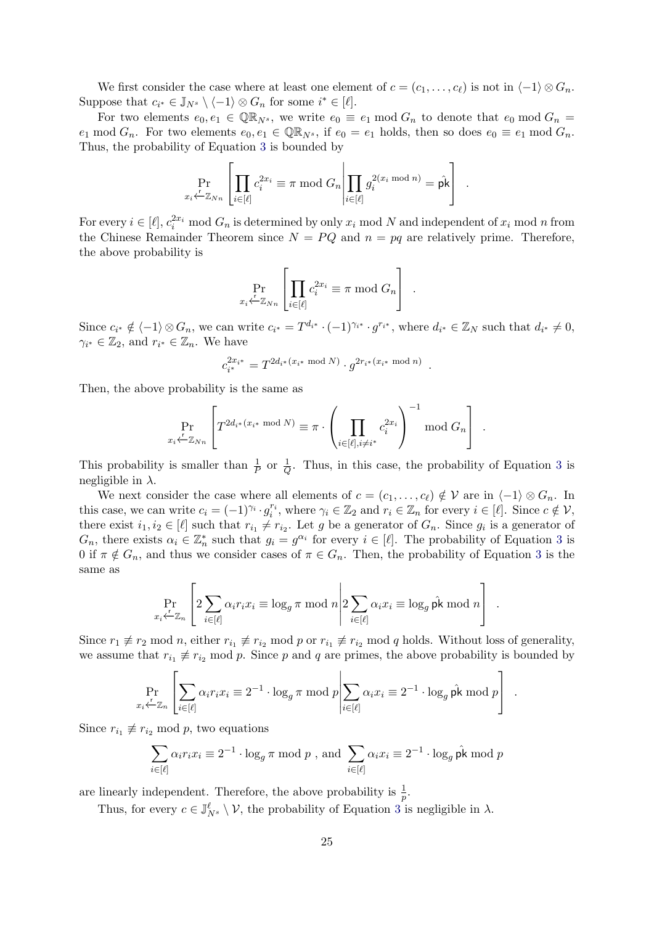We first consider the case where at least one element of  $c = (c_1, \ldots, c_\ell)$  is not in  $\langle -1 \rangle \otimes G_n$ . Suppose that  $c_{i^*} \in \mathbb{J}_{N^s} \setminus \langle -1 \rangle \otimes G_n$  for some  $i^* \in [\ell].$ 

For two elements  $e_0, e_1 \in \mathbb{QR}_{N^s}$ , we write  $e_0 \equiv e_1 \mod G_n$  to denote that  $e_0 \mod G_n =$  $e_1$  mod  $G_n$ . For two elements  $e_0, e_1 \in \mathbb{QR}_{N^s}$ , if  $e_0 = e_1$  holds, then so does  $e_0 \equiv e_1 \mod G_n$ . Thus, the probability of Equation 3 is bounded by

$$
\Pr_{x_i \leftarrow \mathbb{Z}_{Nn}} \left[ \prod_{i \in [\ell]} c_i^{2x_i} \equiv \pi \bmod G_n \middle| \prod_{i \in [\ell]} g_i^{2(x_i \bmod n)} = \hat{\mathsf{pk}} \right].
$$

For every  $i \in [\ell], c_i^{2x_i} \mod G_n$  is determined by only  $x_i \mod N$  and independent of  $x_i \mod n$  from the Chinese Remainder Theorem since  $N = PQ$  and  $n = pq$  are relatively prime. Therefore, the above probability is

$$
\Pr_{x_i \stackrel{\mathcal{F}}{\leftarrow} \mathbb{Z}_{N_n}} \left[ \prod_{i \in [\ell]} c_i^{2x_i} \equiv \pi \bmod G_n \right] .
$$

Since  $c_{i^*} \notin \langle -1 \rangle \otimes G_n$ , we can write  $c_{i^*} = T^{d_{i^*}} \cdot (-1)^{\gamma_{i^*}} \cdot g^{r_{i^*}}$ , where  $d_{i^*} \in \mathbb{Z}_N$  such that  $d_{i^*} \neq 0$ ,  $\gamma_{i^*} \in \mathbb{Z}_2$ , and  $r_{i^*} \in \mathbb{Z}_n$ . We have

$$
c_{i^*}^{2x_{i^*}} = T^{2d_{i^*}(x_{i^*} \bmod N)} \cdot g^{2r_{i^*}(x_{i^*} \bmod n)}.
$$

Then, the above probability is the same as

$$
\Pr_{x_i \leftarrow \mathbb{Z}_{N_n}} \left[ T^{2d_{i^*}(x_{i^*} \bmod N)} \equiv \pi \cdot \left( \prod_{i \in [\ell], i \neq i^*} c_i^{2x_i} \right)^{-1} \bmod G_n \right] .
$$

This probability is smaller than  $\frac{1}{p}$  or  $\frac{1}{Q}$ . Thus, in this case, the probability of Equation 3 is negligible in *λ*.

We next consider the case where all elements of  $c = (c_1, \ldots, c_\ell) \notin \mathcal{V}$  are in  $\langle -1 \rangle \otimes G_n$ . In this case, we can write  $c_i = (-1)^{\gamma_i} \cdot g_i^{r_i}$ , where  $\gamma_i \in \mathbb{Z}_2$  and  $r_i \in \mathbb{Z}_n$  for every  $i \in [\ell]$ . Since  $c \notin \mathcal{V}$ , there exist  $i_1, i_2 \in [\ell]$  such that  $r_{i_1} \neq r_{i_2}$ . Let *g* be a generat[or](#page-24-0) of  $G_n$ . Since  $g_i$  is a generator of *G*<sub>*n*</sub>, there exists  $\alpha_i \in \mathbb{Z}_n^*$  such that  $g_i = g^{\alpha_i}$  for every  $i \in [\ell]$ . The probability of Equation 3 is 0 if  $\pi \notin G_n$ , and thus we consider cases of  $\pi \in G_n$ . Then, the probability of Equation 3 is the same as

$$
\Pr_{x_i \stackrel{\mathbf{r}}{\leftarrow} \mathbb{Z}_n} \left[ 2 \sum_{i \in [\ell]} \alpha_i r_i x_i \equiv \log_g \pi \bmod n \middle| 2 \sum_{i \in [\ell]} \alpha_i x_i \equiv \log_g \hat{\mathsf{pk}} \bmod n \right] .
$$

Since  $r_1 \not\equiv r_2 \mod n$ , either  $r_{i_1} \not\equiv r_{i_2} \mod p$  or  $r_{i_1} \not\equiv r_{i_2} \mod q$  holds. Without loss of generality, we assume that  $r_{i_1} \neq r_{i_2} \mod p$ . Since *p* and *q* are primes, the above probability is bounded by

$$
\Pr_{x_i \leftarrow \mathbb{Z}_n} \left[ \sum_{i \in [\ell]} \alpha_i r_i x_i \equiv 2^{-1} \cdot \log_g \pi \bmod p \middle| \sum_{i \in [\ell]} \alpha_i x_i \equiv 2^{-1} \cdot \log_g \hat{\mathsf{pk}} \bmod p \right].
$$

Since  $r_{i_1} \not\equiv r_{i_2} \mod p$ , two equations

$$
\sum_{i \in [\ell]} \alpha_i r_i x_i \equiv 2^{-1} \cdot \log_g \pi \mod p \text{ , and } \sum_{i \in [\ell]} \alpha_i x_i \equiv 2^{-1} \cdot \log_g \hat{\mathsf{pk}} \mod p
$$

are linearly independent. Therefore, the above probability is  $\frac{1}{p}$ .

<span id="page-25-0"></span>Thus, for every  $c \in \mathbb{J}_{N^s}^{\ell} \setminus \mathcal{V}$ , the probability of Equation 3 is negligible in  $\lambda$ .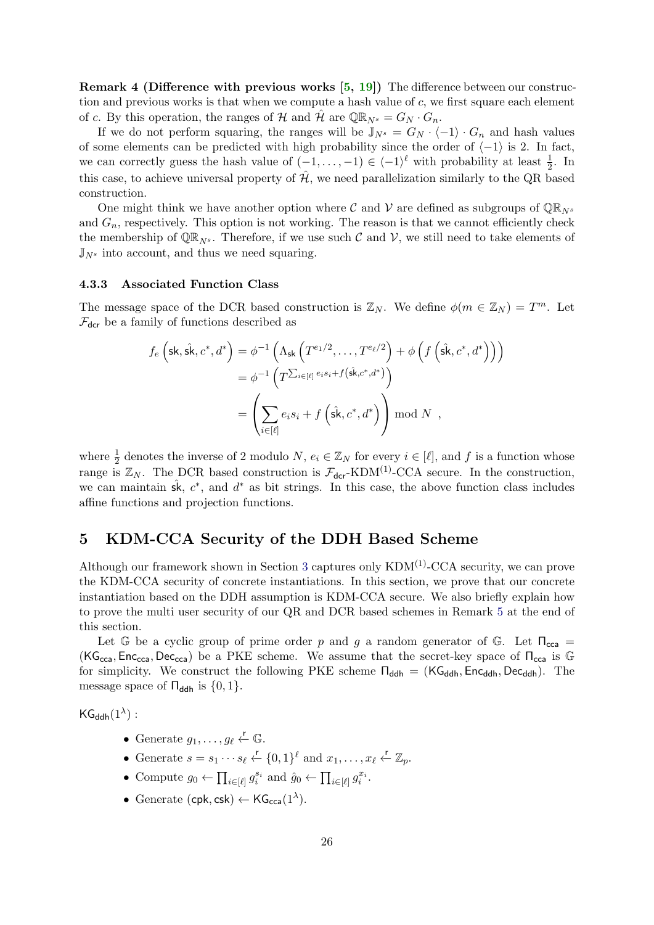**Remark 4 (Difference with previous works [5, 19])** The difference between our construction and previous works is that when we compute a hash value of *c*, we first square each element of *c*. By this operation, the ranges of  $\mathcal{H}$  and  $\mathcal{H}$  are  $\mathbb{QR}_{N^s} = G_N \cdot G_n$ .

If we do not perform squaring, the ranges will be  $J_N = G_N \cdot \langle -1 \rangle \cdot G_n$  and hash values of some elements can be predicted with high pro[bab](#page-35-7)[ility](#page-35-9) since the order of *⟨−*1*⟩* is 2. In fact, we can correctly guess the hash value of  $(-1, \ldots, -1) \in \langle -1 \rangle^{\ell}$  with probability at least  $\frac{1}{2}$ . In this case, to achieve universal property of  $\mathcal{H}$ , we need parallelization similarly to the QR based construction.

One might think we have another option where C and V are defined as subgroups of  $\mathbb{QR}_{N^s}$ and  $G_n$ , respectively. This option is not working. The reason is that we cannot efficiently check the membership of  $\mathbb{QR}_{N^s}$ . Therefore, if we use such C and V, we still need to take elements of  $\mathbb{J}_{N^s}$  into account, and thus we need squaring.

#### **4.3.3 Associated Function Class**

The message space of the DCR based construction is  $\mathbb{Z}_N$ . We define  $\phi(m \in \mathbb{Z}_N) = T^m$ . Let  $\mathcal{F}_{\text{der}}$  be a family of functions described as

$$
f_e\left(\mathsf{sk}, \hat{\mathsf{sk}}, c^*, d^*\right) = \phi^{-1}\left(\Lambda_{\mathsf{sk}}\left(T^{e_1/2}, \dots, T^{e_\ell/2}\right) + \phi\left(f\left(\hat{\mathsf{sk}}, c^*, d^*\right)\right)\right)
$$

$$
= \phi^{-1}\left(T^{\sum_{i \in [\ell]} e_i s_i + f\left(\hat{\mathsf{sk}}, c^*, d^*\right)}\right)
$$

$$
= \left(\sum_{i \in [\ell]} e_i s_i + f\left(\hat{\mathsf{sk}}, c^*, d^*\right)\right) \mod N,
$$

where  $\frac{1}{2}$  denotes the inverse of 2 modulo *N*,  $e_i \in \mathbb{Z}_N$  for every  $i \in [\ell]$ , and f is a function whose range is  $\mathbb{Z}_N$ . The DCR based construction is  $\mathcal{F}_{\text{der}}$ -KDM<sup>(1)</sup>-CCA secure. In the construction, we can maintain  $\hat{\mathsf{sk}}, c^*$ , and  $d^*$  as bit strings. In this case, the above function class includes affine functions and projection functions.

## **5 KDM-CCA Security of the DDH Based Scheme**

Although our framework shown in Section 3 captures only  $KDM^{(1)}$ -CCA security, we can prove the KDM-CCA security of concrete instantiations. In this section, we prove that our concrete instantiation based on the DDH assumption is KDM-CCA secure. We also briefly explain how to prove the multi user security of our QR and DCR based schemes in Remark 5 at the end of this section.

Let G be a cyclic group of prime order p and g a random generator of G. Let  $\Pi_{\text{cca}} =$ (KG<sub>cca</sub>, Enc<sub>cca</sub>, Dec<sub>cca</sub>) be a PKE scheme. We assume that the secret-key space of Π<sub>cca</sub> is G for simplicity. We construct the following PKE scheme  $\Pi_{ddh} = (KG_{ddh}, Enc_{ddh}, Dec_{ddh})$  $\Pi_{ddh} = (KG_{ddh}, Enc_{ddh}, Dec_{ddh})$  $\Pi_{ddh} = (KG_{ddh}, Enc_{ddh}, Dec_{ddh})$ . The message space of  $\Pi_{\text{ddh}}$  is  $\{0, 1\}$ .

 $\mathsf{KG}_{\mathsf{ddh}}(1^\lambda)$  :

- *•* Generate  $g_1, \ldots, g_\ell \stackrel{r}{\leftarrow} \mathbb{G}$ .
- *•* Generate  $s = s_1 \cdots s_\ell \stackrel{\cdot}{\leftarrow} \{0,1\}^\ell$  and  $x_1, \ldots, x_\ell \stackrel{\cdot}{\leftarrow} \mathbb{Z}_p$ .
- Compute  $g_0 \leftarrow \prod_{i \in [\ell]} g_i^{s_i}$  and  $\hat{g}_0 \leftarrow \prod_{i \in [\ell]} g_i^{x_i}$ .
- Generate  $(\mathsf{cpk}, \mathsf{csk}) \leftarrow \mathsf{KG_{cca}}(1^{\lambda}).$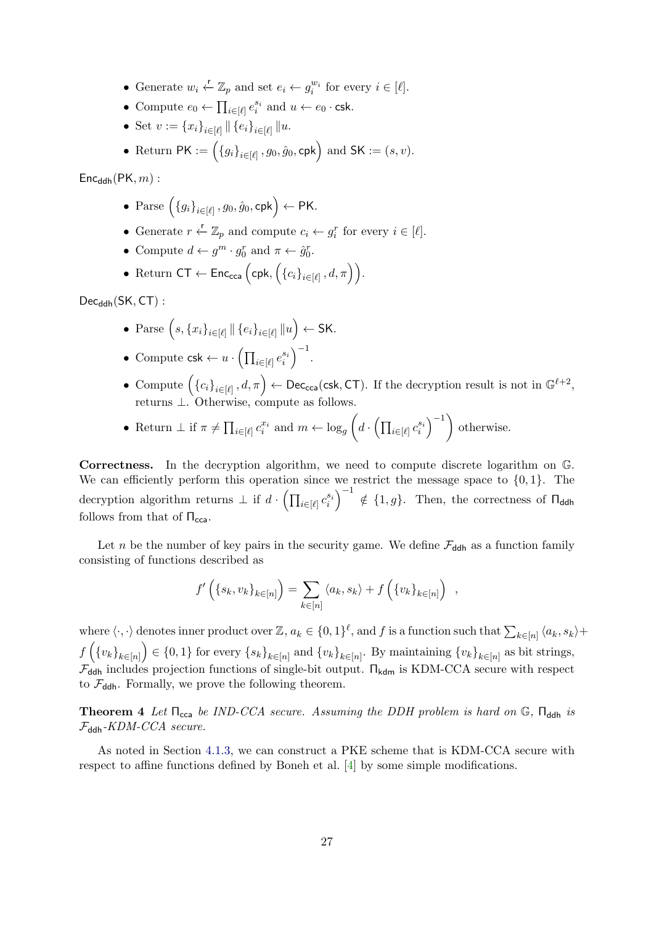- *•* Generate  $w_i \overset{\mathsf{r}}{\leftarrow} \mathbb{Z}_p$  and set  $e_i \leftarrow g_i^{w_i}$  for every  $i \in [\ell].$
- Compute  $e_0 \leftarrow \prod_{i \in [\ell]} e_i^{s_i}$  and  $u \leftarrow e_0 \cdot \text{csk}$ .
- *•* Set  $v := \{x_i\}_{i \in [\ell]} \|\{e_i\}_{i \in [\ell]} \|u.$
- *•* Return PK :=  $($ { $g_i$ }<sub>*i*∈[ $l$ </sup>]</sub> *, g*<sub>0</sub>*,*  $\hat{g}_0$ *,* cpk) and SK :=  $(s, v)$ .

 $Enc_{ddh}(PK, m)$ :

- Parse  $(\{g_i\}_{i \in [\ell]}, g_0, \hat{g}_0, \text{cpk})$  ← PK.
- *•* Generate  $r \stackrel{r}{\leftarrow} \mathbb{Z}_p$  and compute  $c_i \leftarrow g_i^r$  for every  $i \in [\ell]$ .
- Compute  $d \leftarrow g^m \cdot g_0^r$  and  $\pi \leftarrow \hat{g}_0^r$ .
- *•* Return CT ← Enc<sub>cca</sub>  $($ cpk,  $($ {*c<sub>i</sub>*}<sub>*i*∈[*ℓ*]</sub>, *d*,  $π)$   $).$

Dec<sub>ddh</sub>(SK, CT):

- Parse  $(s, \{x_i\}_{i \in [\ell]} || \{e_i\}_{i \in [\ell]} || u) \leftarrow \mathsf{SK}.$
- Compute  $\mathsf{csk} \leftarrow u \cdot \left( \prod_{i \in [\ell]} e_i^{s_i} \right)^{-1}$ .
- Compute  $( {c_i}_{i \in [\ell]}, d, π) \leftarrow \text{Dec}_{\text{cca}}(\text{csk}, \text{CT})$ . If the decryption result is not in  $\mathbb{G}^{\ell+2}$ , returns *⊥*. Otherwise, compute as follows.
- Return  $\perp$  if  $\pi \neq \prod_{i \in [\ell]} c_i^{x_i}$  and  $m \leftarrow \log_g \left( d \cdot \left( \prod_{i \in [\ell]} c_i^{s_i} \right)^{-1} \right)$  otherwise.

**Correctness.** In the decryption algorithm, we need to compute discrete logarithm on G. We can efficiently perform this operation since we restrict the message space to *{*0*,* 1*}*. The decryption algorithm returns  $\perp$  if  $d \cdot (\prod_{i \in [\ell]} c_i^{s_i})^{-1} \notin \{1, g\}$ . Then, the correctness of  $\Pi_{\mathsf{ddh}}$ follows from that of  $\Pi_{\text{cca}}$ .

Let *n* be the number of key pairs in the security game. We define  $\mathcal{F}_{\text{ddh}}$  as a function family consisting of functions described as

$$
f'\left(\{s_k, v_k\}_{k\in[n]}\right) = \sum_{k\in[n]} \langle a_k, s_k \rangle + f\left(\{v_k\}_{k\in[n]}\right) ,
$$

where  $\langle \cdot, \cdot \rangle$  denotes inner product over  $\mathbb{Z}, a_k \in \{0,1\}^{\ell}$ , and f is a function such that  $\sum_{k \in [n]} \langle a_k, s_k \rangle +$  $f\left(\{v_k\}_{k\in[n]}\right) \in \{0,1\}$  for every  $\{s_k\}_{k\in[n]}$  and  $\{v_k\}_{k\in[n]}$ . By maintaining  $\{v_k\}_{k\in[n]}$  as bit strings,  $\mathcal{F}_{\text{ddh}}$  includes projection functions of single-bit output.  $\Pi_{\text{kdm}}$  is KDM-CCA secure with respect to  $\mathcal{F}_{\text{ddh}}$ . Formally, we prove the following theorem.

**Theorem 4** *Let*  $\Pi_{\text{cca}}$  *be IND-CCA secure. Assuming the DDH problem is hard on*  $\mathbb{G}$ *,*  $\Pi_{\text{ddh}}$  *is F*ddh*-KDM-CCA secure.*

<span id="page-27-0"></span>As noted in Section 4.1.3, we can construct a PKE scheme that is KDM-CCA secure with respect to affine functions defined by Boneh et al. [4] by some simple modifications.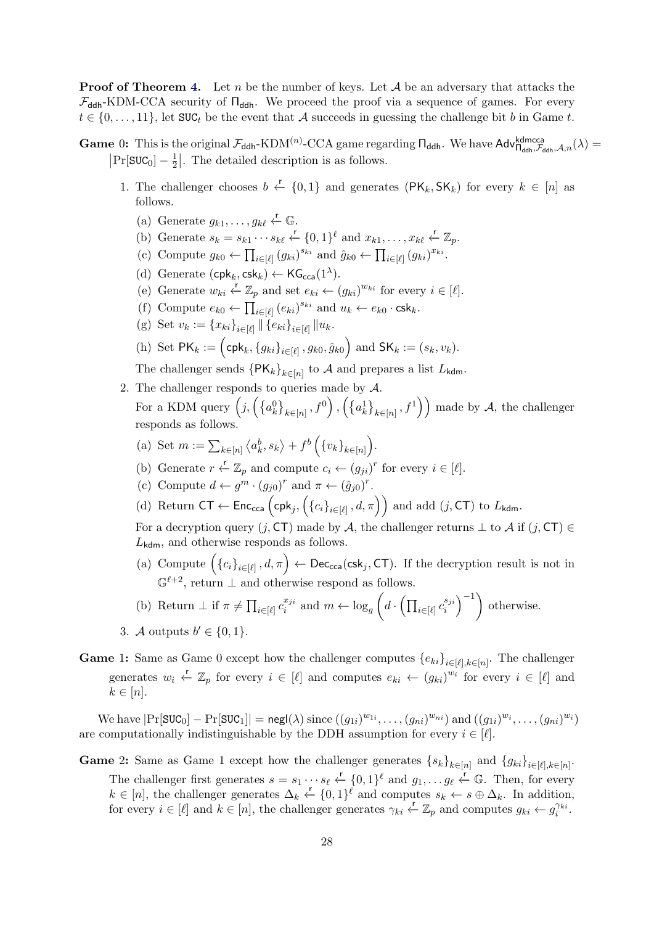**Proof of Theorem 4.** Let *n* be the number of keys. Let *A* be an adversary that attacks the  $\mathcal{F}_{\text{ddh}}$ -KDM-CCA security of  $\Pi_{\text{ddh}}$ . We proceed the proof via a sequence of games. For every  $t \in \{0, \ldots, 11\}$ , let  $SUC_t$  be the event that *A* succeeds in guessing the challenge bit *b* in Game *t*.

**Game** 0: This is the [or](#page-27-0)iginal  $\mathcal{F}_{\text{ddh}}$ -KDM<sup>(*n*)</sup>-CCA game regarding  $\Pi_{\text{ddh}}$ . We have  $\text{Adv}_{\Pi_{\text{ddh}},\mathcal{F}_{\text{ddh}},\mathcal{A},n}(\lambda)$  =  $\left|\Pr[\texttt{SUC}_0] - \frac{1}{2}\right|$  $\frac{1}{2}$ . The detailed description is as follows.

- 1. The challenger chooses  $b \leftarrow \{0,1\}$  and generates (PK<sub>k</sub>, SK<sub>k</sub>) for every  $k \in [n]$  as follows.
	- (a) Generate  $g_{k1}, \ldots, g_{k\ell} \stackrel{r}{\leftarrow} \mathbb{G}$ .
	- (b) Generate  $s_k = s_{k1} \cdots s_{k\ell} \leftarrow \{0,1\}^{\ell}$  and  $x_{k1}, \ldots, x_{k\ell} \leftarrow \mathbb{Z}_p$ .
	- (c) Compute  $g_{k0} \leftarrow \prod_{i \in [\ell]} (g_{ki})^{s_{ki}}$  and  $\hat{g}_{k0} \leftarrow \prod_{i \in [\ell]} (g_{ki})^{x_{ki}}$ .
	- (d) Generate  $(\mathsf{cpk}_k, \mathsf{csk}_k) \leftarrow \mathsf{KG_{cca}}(1^{\lambda}).$
	- (e) Generate  $w_{ki} \leftarrow \mathbb{Z}_p$  and set  $e_{ki} \leftarrow (g_{ki})^{w_{ki}}$  for every  $i \in [\ell]$ .
	- (f) Compute  $e_{k0} \leftarrow \prod_{i \in [\ell]} (e_{ki})^{s_{ki}}$  and  $u_k \leftarrow e_{k0} \cdot \text{csk}_k$ .
	- $(g)$  Set  $v_k := \{x_{ki}\}_{i \in [\ell]} \parallel \{e_{ki}\}_{i \in [\ell]} \parallel u_k.$
	- (h) Set  $PK_k := (\mathsf{cpk}_k, \{g_{ki}\}_{i \in [\ell]}, g_{k0}, \hat{g}_{k0})$  and  $SK_k := (s_k, v_k)$ .

The challenger sends  $\{PK_k\}_{k\in[n]}$  to *A* and prepares a list  $L_{\text{kdm}}$ .

- 2. The challenger responds to queries made by *A*. For a KDM query  $\left(j, \left(\left\{a_k^0\right\}_{k \in [n]}, f^0\right), \left(\left\{a_k^1\right\}_{k \in [n]}, f^1\right)\right)$  made by *A*, the challenger responds as follows.
	- (a) Set  $m := \sum_{k \in [n]} \langle a_k^b, s_k \rangle + f^b \left( \{ v_k \}_{k \in [n]} \right)$ .
	- (b) Generate  $r \stackrel{\mathsf{r}}{\leftarrow} \mathbb{Z}_p$  and compute  $c_i \leftarrow (g_{ji})^r$  for every  $i \in [\ell]$ .
	- (c) Compute  $d \leftarrow g^m \cdot (g_{j0})^r$  and  $\pi \leftarrow (\hat{g}_{j0})^r$ .
	- (d) Return  $CT \leftarrow \text{Enc}_{cca} \left( \text{cpk}_j, \left( \{c_i\}_{i \in [\ell]}, d, \pi \right) \right)$  and add  $(j, CT)$  to  $L_{\text{kdm}}$ .

For a decryption query (*j*, CT) made by *A*, the challenger returns  $\perp$  to *A* if (*j*, CT)  $\in$ *L*kdm, and otherwise responds as follows.

- (a) Compute  $(\{c_i\}_{i\in[\ell]}, d, \pi) \leftarrow \mathsf{Dec}_{\mathsf{cca}}(\mathsf{csk}_j, \mathsf{CT})$ . If the decryption result is not in G*ℓ*+2, return *⊥* and otherwise respond as follows.
- (b) Return  $\perp$  if  $\pi \neq \prod_{i \in [\ell]} c_i^{x_{ji}}$  $\int_i^{x_{ji}}$  and  $m \leftarrow \log_g \left( d \cdot \left( \prod_{i \in [\ell]} c_i^{s_{ji}} \right) \right)$  $\binom{s_{ji}}{i}^{-1}$  otherwise.
- 3. *A* outputs  $b' \in \{0, 1\}$ .
- **Game** 1**:** Same as Game 0 except how the challenger computes *{eki}i∈*[*ℓ*]*,k∈*[*n*] . The challenger generates  $w_i \stackrel{\mathsf{r}}{\leftarrow} \mathbb{Z}_p$  for every  $i \in [\ell]$  and computes  $e_{ki} \leftarrow (g_{ki})^{w_i}$  for every  $i \in [\ell]$  and  $k \in [n]$ .

We have  $|\Pr[\texttt{SUC}_0] - \Pr[\texttt{SUC}_1]| = \mathsf{negl}(\lambda)\text{ since } ((g_{1i})^{w_{1i}}, \ldots, (g_{ni})^{w_{ni}}) \text{ and } ((g_{1i})^{w_i}, \ldots, (g_{ni})^{w_i})$ are computationally indistinguishable by the DDH assumption for every  $i \in [\ell]$ .

**Game** 2: Same as Game 1 except how the challenger generates  $\{s_k\}_{k\in[n]}$  and  $\{g_{ki}\}_{i\in[\ell],k\in[n]}$ . The challenger first generates  $s = s_1 \cdots s_\ell \stackrel{r}{\leftarrow} \{0,1\}^\ell$  and  $g_1, \ldots g_\ell \stackrel{r}{\leftarrow} \mathbb{G}$ . Then, for every *k* ∈ [*n*], the challenger generates  $\Delta_k \stackrel{r}{\leftarrow} \{0,1\}^{\ell}$  and computes  $s_k \leftarrow s \oplus \Delta_k$ . In addition, for every  $i \in [\ell]$  and  $k \in [n]$ , the challenger generates  $\gamma_{ki} \leftarrow \mathbb{Z}_p$  and computes  $g_{ki} \leftarrow g_i^{\gamma_{ki}}$ .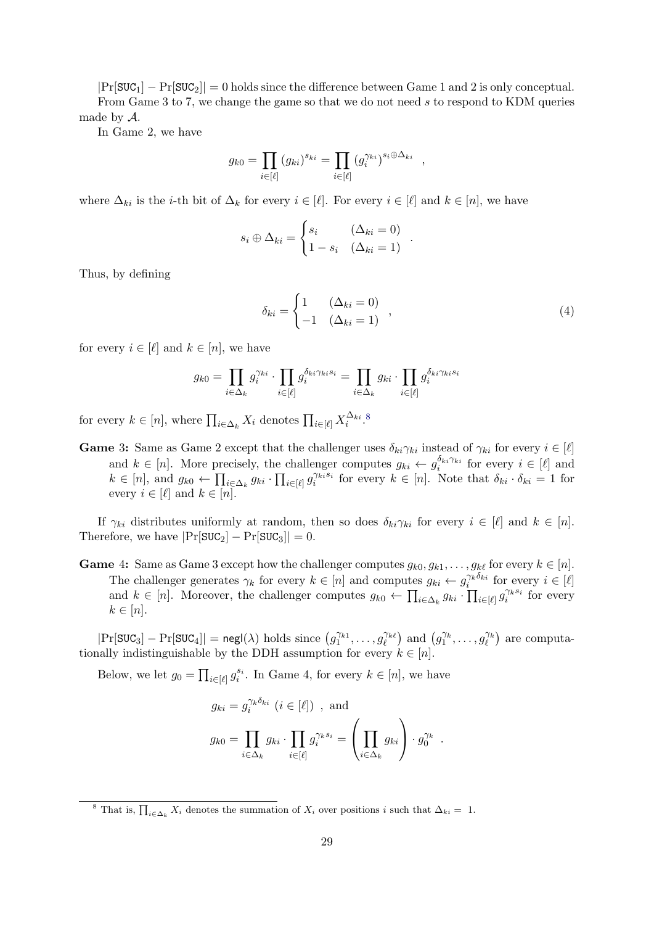*|*Pr[SUC1] *−* Pr[SUC2]*|* = 0 holds since the difference between Game 1 and 2 is only conceptual. From Game 3 to 7, we change the game so that we do not need *s* to respond to KDM queries made by *A*.

In Game 2, we have

$$
g_{k0} = \prod_{i \in [\ell]} (g_{ki})^{s_{ki}} = \prod_{i \in [\ell]} (g_i^{\gamma_{ki}})^{s_i \oplus \Delta_{ki}},
$$

where  $\Delta_{ki}$  is the *i*-th bit of  $\Delta_k$  for every  $i \in [\ell]$ . For every  $i \in [\ell]$  and  $k \in [n]$ , we have

$$
s_i \oplus \Delta_{ki} = \begin{cases} s_i & (\Delta_{ki} = 0) \\ 1 - s_i & (\Delta_{ki} = 1) \end{cases}
$$

Thus, by defining

$$
\delta_{ki} = \begin{cases} 1 & (\Delta_{ki} = 0) \\ -1 & (\Delta_{ki} = 1) \end{cases} , \qquad (4)
$$

*.*

for every  $i \in [\ell]$  and  $k \in [n]$ , we have

$$
g_{k0} = \prod_{i \in \Delta_k} g_i^{\gamma_{ki}} \cdot \prod_{i \in [\ell]} g_i^{\delta_{ki}\gamma_{ki}s_i} = \prod_{i \in \Delta_k} g_{ki} \cdot \prod_{i \in [\ell]} g_i^{\delta_{ki}\gamma_{ki}s_i}
$$

for every  $k \in [n]$ , where  $\prod_{i \in \Delta_k} X_i$  denotes  $\prod_{i \in [\ell]} X_i^{\Delta_{ki}}$ .<sup>8</sup>

**Game** 3: Same as Game 2 except that the challenger uses  $\delta_{ki}\gamma_{ki}$  instead of  $\gamma_{ki}$  for every  $i \in [\ell]$ and  $k \in [n]$ . More precisely, the challenger com[pu](#page-29-0)tes  $g_{ki} \leftarrow g_i^{\delta_{ki}\gamma_{ki}}$  for every  $i \in [\ell]$  and  $k \in [n]$ , and  $g_{k0} \leftarrow \prod_{i \in \Delta_k} g_{ki} \cdot \prod_{i \in [\ell]} g_i^{\gamma_{ki}s_i}$  for every  $k \in [n]$ . Note that  $\delta_{ki} \cdot \delta_{ki} = 1$  for every  $i \in [\ell]$  and  $k \in [n]$ .

If  $\gamma_{ki}$  distributes uniformly at random, then so does  $\delta_{ki}\gamma_{ki}$  for every  $i \in [\ell]$  and  $k \in [n]$ . Therefore, we have  $|Pr[\text{SUC}_2] - Pr[\text{SUC}_3]| = 0.$ 

**Game** 4: Same as Game 3 except how the challenger computes  $g_{k0}, g_{k1}, \ldots, g_{k\ell}$  for every  $k \in [n]$ . The challenger generates  $\gamma_k$  for every  $k \in [n]$  and computes  $g_{ki} \leftarrow g_i^{\gamma_k \delta_{ki}}$  for every  $i \in [\ell]$ and  $k \in [n]$ . Moreover, the challenger computes  $g_{k0} \leftarrow \prod_{i \in \Delta_k} g_{ki} \cdot \prod_{i \in [\ell]} g_i^{\gamma_k s_i}$  for every  $k \in [n]$ .

 $|\Pr[\texttt{SUC}_3] - \Pr[\texttt{SUC}_4]| = \mathsf{negl}(\lambda) \text{ holds since } (g_1^{\gamma_{k1}}, \dots, g_\ell^{\gamma_{k\ell}}) \text{ and } (g_1^{\gamma_k}, \dots, g_\ell^{\gamma_k}) \text{ are computa$ tionally indistinguishable by the DDH assumption for every  $k \in [n]$ .

Below, we let  $g_0 = \prod_{i \in [\ell]} g_i^{s_i}$ . In Game 4, for every  $k \in [n]$ , we have

$$
g_{ki} = g_i^{\gamma_k \delta_{ki}} \ (i \in [\ell]) \ , \text{ and}
$$

$$
g_{k0} = \prod_{i \in \Delta_k} g_{ki} \cdot \prod_{i \in [\ell]} g_i^{\gamma_k s_i} = \left(\prod_{i \in \Delta_k} g_{ki}\right) \cdot g_0^{\gamma_k} .
$$

<span id="page-29-0"></span><sup>&</sup>lt;sup>8</sup> That is,  $\prod_{i \in \Delta_k} X_i$  denotes the summation of  $X_i$  over positions *i* such that  $\Delta_{ki} = 1$ .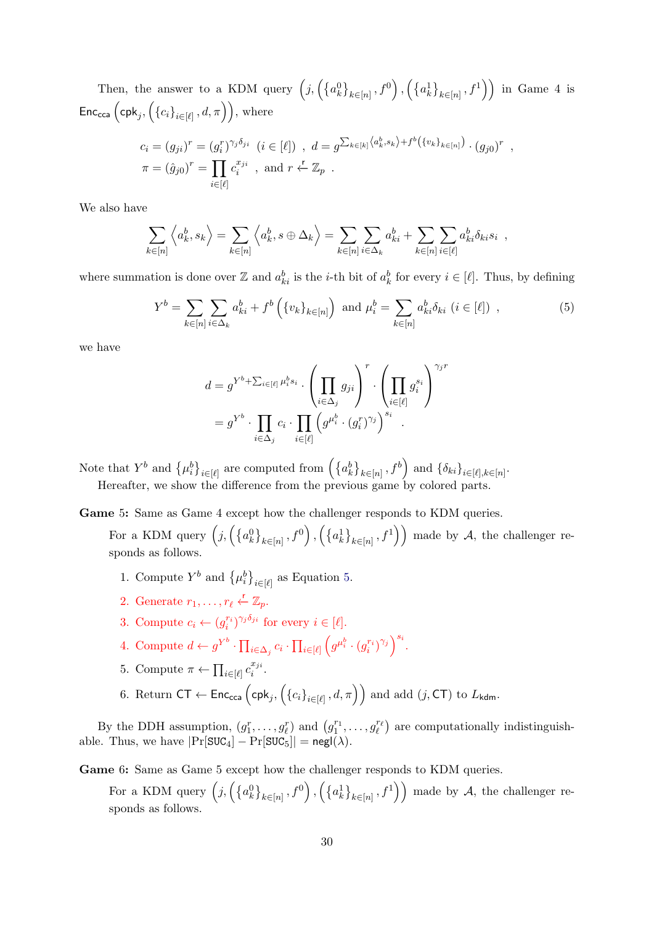Then, the answer to a KDM query  $(i, (\{a_k^0\}_{k \in [n]}, f^0), (\{a_k^1\}_{k \in [n]}, f^1))$  in Game 4 is  $\mathsf{Enc_{cca}}\left(\mathsf{cpk}_j, \left(\left\{c_i\right\}_{i \in [\ell]}, d, \pi\right)\right), \text{ where }$ 

$$
c_i = (g_{ji})^r = (g_i^r)^{\gamma_j \delta_{ji}} \quad (i \in [\ell]) , d = g^{\sum_{k \in [k]} \langle a_k^b, s_k \rangle + f^b(\{v_k\}_{k \in [n]})} \cdot (g_{j0})^r ,
$$
  

$$
\pi = (\hat{g}_{j0})^r = \prod_{i \in [\ell]} c_i^{x_{ji}} , \text{ and } r \stackrel{r}{\leftarrow} \mathbb{Z}_p .
$$

We also have

$$
\sum_{k\in[n]} \left\langle a_k^b, s_k \right\rangle = \sum_{k\in[n]} \left\langle a_k^b, s \oplus \Delta_k \right\rangle = \sum_{k\in[n]} \sum_{i\in\Delta_k} a_{ki}^b + \sum_{k\in[n]} \sum_{i\in[\ell]} a_{ki}^b \delta_{ki} s_i ,
$$

where summation is done over  $\mathbb{Z}$  and  $a_{ki}^b$  is the *i*-th bit of  $a_k^b$  for every  $i \in [\ell]$ . Thus, by defining

$$
Y^{b} = \sum_{k \in [n]} \sum_{i \in \Delta_k} a_{ki}^{b} + f^{b} \left( \{ v_k \}_{k \in [n]} \right) \text{ and } \mu_i^{b} = \sum_{k \in [n]} a_{ki}^{b} \delta_{ki} \ (i \in [\ell]) \tag{5}
$$

we have

<span id="page-30-0"></span>
$$
d = g^{Y^b + \sum_{i \in [\ell]} \mu_i^b s_i} \cdot \left(\prod_{i \in \Delta_j} g_{ji}\right)^r \cdot \left(\prod_{i \in [\ell]} g_i^{s_i}\right)^{\gamma_j r}
$$
  
=  $g^{Y^b} \cdot \prod_{i \in \Delta_j} c_i \cdot \prod_{i \in [\ell]} \left(g^{\mu_i^b} \cdot (g_i^r)^{\gamma_j}\right)^{s_i}$ .

Note that  $Y^b$  and  $\{\mu_i^b\}_{i \in [\ell]}$  are computed from  $(\{a_k^b\}_{k \in [n]}, f^b)$  and  $\{\delta_{ki}\}_{i \in [\ell], k \in [n]}.$ 

Hereafter, we show the difference from the previous game by colored parts.

#### **Game** 5**:** Same as Game 4 except how the challenger responds to KDM queries.

For a KDM query  $(j, (\{a_k^0\}_{k \in [n]}, f^0), (\{a_k^1\}_{k \in [n]}, f^1))$  made by *A*, the challenger responds as follows.

- 1. Compute  $Y^b$  and  $\{\mu_i^b\}_{i \in [\ell]}$  as Equation 5.
- 2. Generate  $r_1, \ldots, r_\ell \stackrel{r}{\leftarrow} \mathbb{Z}_p$ .
- 3. Compute  $c_i \leftarrow (g_i^{r_i})^{\gamma_j \delta_{ji}}$  for every  $i \in [\ell]$ .
- 4. Compute  $d \leftarrow g^{Y^b} \cdot \prod_{i \in \Delta_j} c_i \cdot \prod_{i \in [\ell]} \left( g^{\mu_i^b} \cdot (g_i^{r_i})^{\gamma_j} \right)^{s_i}.$
- 5. Compute  $\pi \leftarrow \prod_{i \in [\ell]} c_i^{x_{ji}}$  $\frac{x_{ji}}{i}$ .
- 6. Return  $CT \leftarrow$  Enc<sub>cca</sub>  $\left(\mathsf{cpk}_j, \left( \{c_i\}_{i \in [\ell]}, d, \pi \right) \right)$  and add  $(j, \mathsf{CT})$  to  $L_{\mathsf{kdm}}$ .

By the DDH assumption,  $(g_1^r, \ldots, g_\ell^r)$  and  $(g_1^{r_1}, \ldots, g_\ell^{r_\ell})$  are computationally indistinguishable. Thus, we have  $|Pr[\text{SUC}_4] - Pr[\text{SUC}_5]| = \text{negl}(\lambda)$ .

**Game** 6**:** Same as Game 5 except how the challenger responds to KDM queries.

For a KDM query  $(j, (\{a_k^0\}_{k \in [n]}, f^0), (\{a_k^1\}_{k \in [n]}, f^1))$  made by *A*, the challenger responds as follows.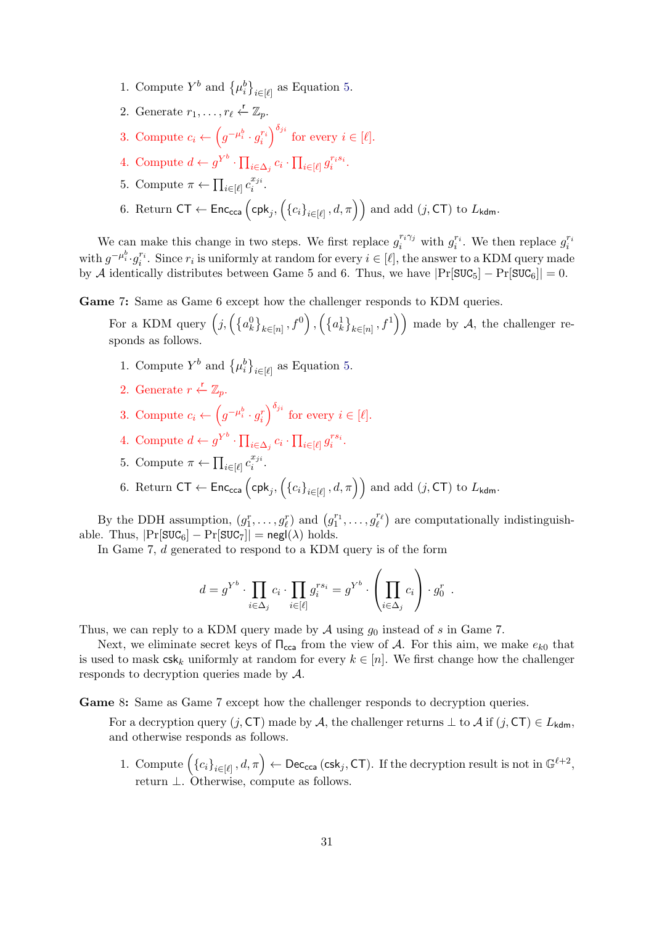- 1. Compute  $Y^b$  and  $\{\mu_i^b\}_{i \in [\ell]}$  as Equation 5.
- 2. Generate  $r_1, \ldots, r_\ell \stackrel{\mathsf{r}}{\leftarrow} \mathbb{Z}_p$ .
- 3. Compute  $c_i \leftarrow (g^{-\mu_i^b} \cdot g_i^{r_i})^{\delta_{ji}}$  $c_i \leftarrow (g^{-\mu_i^b} \cdot g_i^{r_i})^{\delta_{ji}}$  $c_i \leftarrow (g^{-\mu_i^b} \cdot g_i^{r_i})^{\delta_{ji}}$  for every  $i \in [\ell].$
- 4. Compute  $d \leftarrow g^{Y^b} \cdot \prod_{i \in \Delta_j} c_i \cdot \prod_{i \in [\ell]} g_i^{r_i s_i}$ .
- 5. Compute  $\pi \leftarrow \prod_{i \in [\ell]} c_i^{x_{ji}}$  $\frac{x_{ji}}{i}$ .
- 6. Return  $CT \leftarrow \mathsf{Enc}_{\mathsf{cca}}\left(\mathsf{cpk}_j, \left( \{c_i\}_{i \in [\ell]}, d, \pi \right) \right)$  and add  $(j, \mathsf{CT})$  to  $L_{\mathsf{kdm}}$ .

We can make this change in two steps. We first replace  $g_i^{r_i \gamma_j}$  with  $g_i^{r_i}$ . We then replace  $g_i^{r_i}$ with  $g^{-\mu_i^b} \cdot g_i^{r_i}$ . Since  $r_i$  is uniformly at random for every  $i \in [\ell]$ , the answer to a KDM query made by *A* identically distributes between Game 5 and 6. Thus, we have  $|Pr[SUC_5] - Pr[SUC_6]| = 0$ .

**Game** 7**:** Same as Game 6 except how the challenger responds to KDM queries.

For a KDM query  $(j, (\{a_k^0\}_{k \in [n]}, f^0), (\{a_k^1\}_{k \in [n]}, f^1))$  made by *A*, the challenger responds as follows.

- 1. Compute  $Y^b$  and  $\{\mu_i^b\}_{i \in [\ell]}$  as Equation 5.
- 2. Generate  $r \stackrel{r}{\leftarrow} \mathbb{Z}_p$ .
- 3. Compute  $c_i \leftarrow \left(g^{-\mu_i^b} \cdot g_i^r\right)^{\delta_{ji}}$  for every  $i \in [\ell].$
- 4. Compute  $d \leftarrow g^{Y^b} \cdot \prod_{i \in \Delta_j} c_i \cdot \prod_{i \in [\ell]} g_i^{rs_i}$ .
- 5. Compute  $\pi \leftarrow \prod_{i \in [\ell]} c_i^{x_{ji}}$  $\frac{x_{ji}}{i}$ .
- 6. Return  $CT \leftarrow$  Enc<sub>cca</sub>  $\left(\mathsf{cpk}_j, \left( \{c_i\}_{i \in [\ell]}, d, \pi \right) \right)$  and add  $(j, \mathsf{CT})$  to  $L_{\mathsf{kdm}}$ .

By the DDH assumption,  $(g_1^r, \ldots, g_\ell^r)$  and  $(g_1^{r_1}, \ldots, g_\ell^{r_\ell})$  are computationally indistinguishable. Thus,  $|\Pr[\text{SUC}_6] - \Pr[\text{SUC}_7]| = \text{negl}(\lambda)$  holds.

In Game 7, *d* generated to respond to a KDM query is of the form

$$
d = g^{Y^b} \cdot \prod_{i \in \Delta_j} c_i \cdot \prod_{i \in [\ell]} g_i^{rs_i} = g^{Y^b} \cdot \left( \prod_{i \in \Delta_j} c_i \right) \cdot g_0^r.
$$

Thus, we can reply to a KDM query made by  $A$  using  $q_0$  instead of *s* in Game 7.

Next, we eliminate secret keys of  $\Pi_{cca}$  from the view of *A*. For this aim, we make  $e_{k0}$  that is used to mask  $\operatorname{csk}_k$  uniformly at random for every  $k \in [n]$ . We first change how the challenger responds to decryption queries made by *A*.

**Game** 8**:** Same as Game 7 except how the challenger responds to decryption queries.

For a decryption query  $(j, \text{CT})$  made by A, the challenger returns  $\perp$  to A if  $(j, \text{CT}) \in L_{\text{kdm}}$ , and otherwise responds as follows.

1. Compute  $(\{c_i\}_{i \in [\ell]}, d, \pi) \leftarrow \mathsf{Dec_{cca}}(\mathsf{csk}_j, \mathsf{CT})$ . If the decryption result is not in  $\mathbb{G}^{\ell+2}$ , return *⊥*. Otherwise, compute as follows.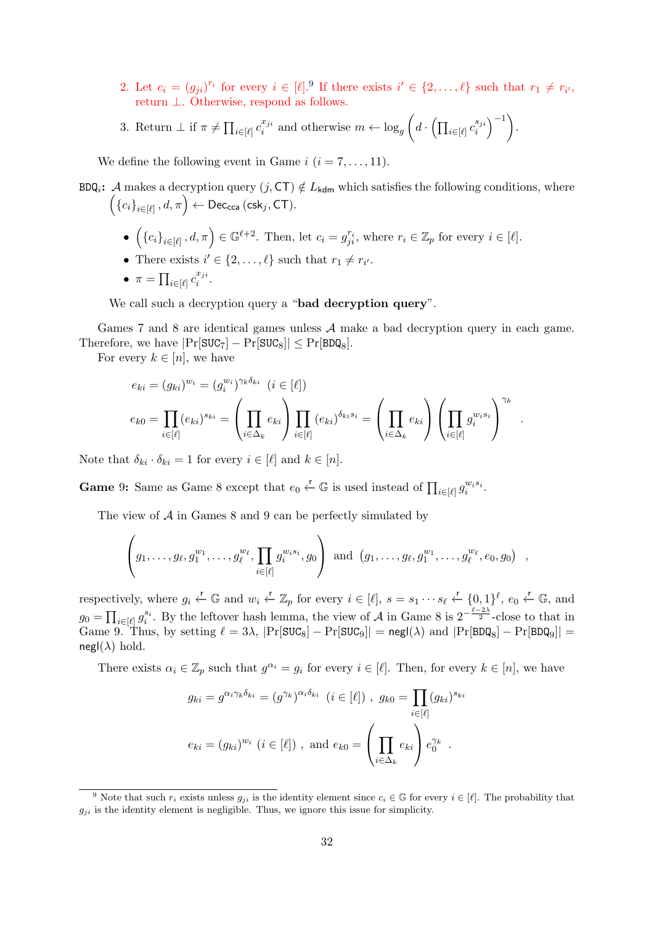- 2. Let  $c_i = (g_{ji})^{r_i}$  for every  $i \in [\ell]^9$  If there exists  $i' \in \{2, ..., \ell\}$  such that  $r_1 \neq r_{i'}$ , return *⊥*. Otherwise, respond as follows.
- 3. Return  $\perp$  if  $\pi \neq \prod_{i \in [\ell]} c_i^{x_{ji}}$  $a_i^{x_{ji}}$  and otherwise  $m \leftarrow \log_g \left( d \cdot \left( \prod_{i \in [\ell]} c_i^{s_{ji}} \right) \right)$  $\binom{s_{ji}}{i}^{-1}$ .

We define the following event in Game  $i$   $(i = 7, \ldots, 11)$ .

$$
BDQ_i: \mathcal{A} \text{ makes a decryption query } (j, CT) \notin L_{\text{kdm}} \text{ which satisfies the following conditions, where}
$$

$$
(\{c_i\}_{i \in [\ell]}, d, \pi) \leftarrow \text{Dec}_{\text{cca}}(\text{csk}_j, CT).
$$

- $\bullet \left(\{c_i\}_{i\in [\ell]}, d, \pi\right) \in \mathbb{G}^{\ell+2}$ . Then, let  $c_i = g_{ji}^{r_i}$ , where  $r_i \in \mathbb{Z}_p$  for every  $i \in [\ell]$ .
- There exists  $i' \in \{2, \ldots, \ell\}$  such that  $r_1 \neq r_{i'}$ .
- $\pi = \prod_{i \in [\ell]} c_i^{x_{ji}}$  $\frac{x_{ji}}{i}$ .

We call such a decryption query a "**bad decryption query**".

Games 7 and 8 are identical games unless *A* make a bad decryption query in each game. Therefore, we have  $|\Pr[\text{SUC}_7] - \Pr[\text{SUC}_8]| \leq \Pr[\text{BDQ}_8].$ 

For every  $k \in [n]$ , we have

$$
e_{ki} = (g_{ki})^{w_i} = (g_i^{w_i})^{\gamma_k \delta_{ki}} \quad (i \in [\ell])
$$

$$
e_{k0} = \prod_{i \in [\ell]} (e_{ki})^{s_{ki}} = \left(\prod_{i \in \Delta_k} e_{ki}\right) \prod_{i \in [\ell]} (e_{ki})^{\delta_{ki}s_i} = \left(\prod_{i \in \Delta_k} e_{ki}\right) \left(\prod_{i \in [\ell]} g_i^{w_i s_i}\right)^{\gamma_k}
$$

*.*

Note that  $\delta_{ki} \cdot \delta_{ki} = 1$  for every  $i \in [\ell]$  and  $k \in [n]$ .

**Game** 9: Same as Game 8 except that  $e_0 \leftarrow \mathbb{G}$  is used instead of  $\prod_{i \in [\ell]} g_i^{w_i s_i}$ .

The view of A in Games 8 and 9 can be perfectly simulated by

$$
\left(g_1,\ldots,g_\ell,g_1^{w_1},\ldots,g_\ell^{w_\ell},\prod_{i\in[\ell]}g_i^{w_is_i},g_0\right) \text{ and } (g_1,\ldots,g_\ell,g_1^{w_1},\ldots,g_\ell^{w_\ell},e_0,g_0) ,
$$

respectively, where  $g_i \stackrel{\mathsf{r}}{\leftarrow} \mathbb{G}$  and  $w_i \stackrel{\mathsf{r}}{\leftarrow} \mathbb{Z}_p$  for every  $i \in [\ell], s = s_1 \cdots s_\ell \stackrel{\mathsf{r}}{\leftarrow} \{0,1\}^\ell, e_0 \stackrel{\mathsf{r}}{\leftarrow} \mathbb{G}$ , and  $g_0 = \prod_{i \in [\ell]} g_i^{s_i}$ . By the leftover hash lemma, the view of *A* in Game 8 is  $2^{-\frac{\ell-2\lambda}{2}}$ -close to that in Game 9. Thus, by setting  $\ell = 3\lambda$ ,  $|\Pr[\text{SUC}_8] - \Pr[\text{SUC}_9]| = \text{negl}(\lambda)$  and  $|\Pr[\text{BDQ}_8] - \Pr[\text{BDQ}_9]| =$  $negl(\lambda)$  hold.

There exists  $\alpha_i \in \mathbb{Z}_p$  such that  $g^{\alpha_i} = g_i$  for every  $i \in [\ell]$ . Then, for every  $k \in [n]$ , we have

$$
g_{ki} = g^{\alpha_i \gamma_k \delta_{ki}} = (g^{\gamma_k})^{\alpha_i \delta_{ki}} \quad (i \in [\ell]) , \ g_{k0} = \prod_{i \in [\ell]} (g_{ki})^{s_{ki}}
$$

$$
e_{ki} = (g_{ki})^{w_i} \quad (i \in [\ell]) , \text{ and } e_{k0} = \left(\prod_{i \in \Delta_k} e_{ki}\right) e_0^{\gamma_k} .
$$

<sup>&</sup>lt;sup>9</sup> Note that such  $r_i$  exists unless  $g_{ji}$  is the identity element since  $c_i \in \mathbb{G}$  for every  $i \in [\ell]$ . The probability that  $g_{ji}$  is the identity element is negligible. Thus, we ignore this issue for simplicity.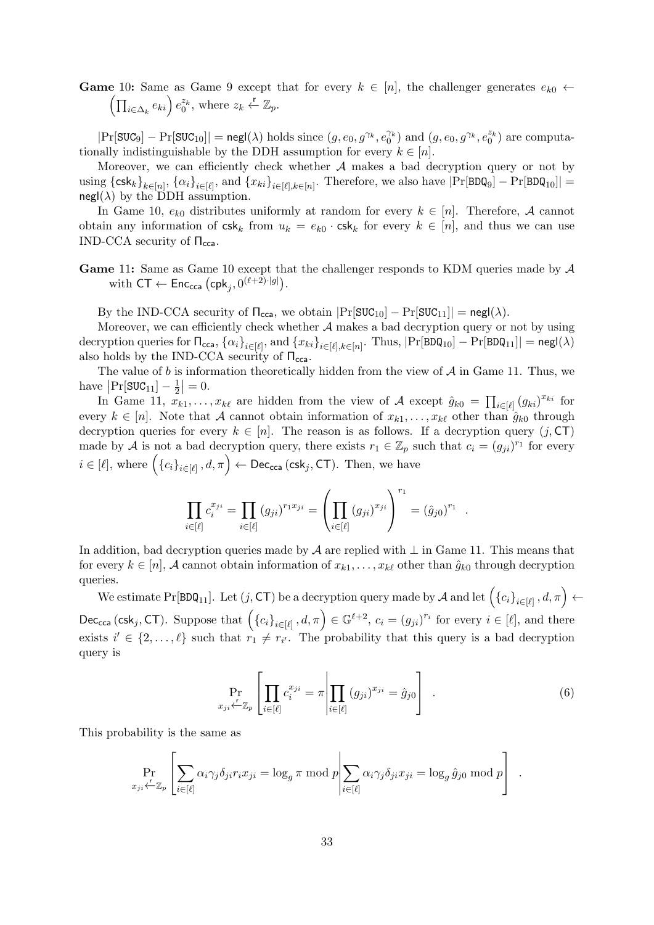**Game** 10: Same as Game 9 except that for every  $k \in [n]$ , the challenger generates  $e_{k0} \leftarrow$  $\left(\prod_{i\in\Delta_k}e_{ki}\right)e_0^{z_k}$ , where  $z_k\stackrel{\mathsf{r}}{\leftarrow}\mathbb{Z}_p$ .

 $|\Pr[\texttt{SUC}_9] - \Pr[\texttt{SUC}_{10}]| = \textsf{negl}(\lambda)$  holds since  $(g, e_0, g^{\gamma_k}, e_0^{\gamma_k})$  and  $(g, e_0, g^{\gamma_k}, e_0^{z_k})$  are computationally indistinguishable by the DDH assumption for every  $k \in [n]$ .

Moreover, we can efficiently check whether  $A$  makes a bad decryption query or not by using  $\{\textsf{csk}_k\}_{k\in[n]}, \{\alpha_i\}_{i\in[\ell]},$  and  $\{x_{ki}\}_{i\in[\ell],k\in[n]}.$  Therefore, we also have  $|\text{Pr}[\texttt{BDQ}_9] - \text{Pr}[\texttt{BDQ}_{10}]|$  $negl(\lambda)$  by the DDH assumption.

In Game 10,  $e_{k0}$  distributes uniformly at random for every  $k \in [n]$ . Therefore, *A* cannot obtain any information of  $csk_k$  from  $u_k = e_{k0} \cdot csk_k$  for every  $k \in [n]$ , and thus we can use IND-CCA security of  $\Pi_{\text{cca}}$ .

**Game** 11**:** Same as Game 10 except that the challenger responds to KDM queries made by *A*  $\text{with } \mathsf{CT} \leftarrow \mathsf{Enc_{cca}}\left(\mathsf{cpk}_j, 0^{(\ell+2)\cdot|g|}\right).$ 

By the IND-CCA security of  $Π<sub>cca</sub>$ , we obtain  $|Pr[SUC<sub>10</sub>] - Pr[SUC<sub>11</sub>]$  = negl(λ).

Moreover, we can efficiently check whether *A* makes a bad decryption query or not by using decryption queries for  $\Pi_{\mathsf{cca}}, \{\alpha_i\}_{i \in [\ell]},$  and  $\{x_{ki}\}_{i \in [\ell], k \in [n]}$ . Thus,  $|\Pr[\mathtt{BDQ}_{10}] - \Pr[\mathtt{BDQ}_{11}]| = \mathsf{negl}(\lambda)$ also holds by the IND-CCA security of  $\Pi_{\text{cca}}$ .

The value of *b* is information theoretically hidden from the view of *A* in Game 11. Thus, we have  $\left| \Pr[\texttt{SUC}_{11}] - \frac{1}{2} \right|$  $\frac{1}{2}|=0.$ 

In Game 11,  $x_{k1}, \ldots, x_{k\ell}$  are hidden from the view of *A* except  $\hat{g}_{k0} = \prod_{i \in [\ell]} (g_{ki})^{x_{ki}}$  for every  $k \in [n]$ . Note that *A* cannot obtain information of  $x_{k1}, \ldots, x_{k\ell}$  other than  $\hat{g}_{k0}$  through decryption queries for every  $k \in [n]$ . The reason is as follows. If a decryption query  $(j, \mathsf{CT})$ made by *A* is not a bad decryption query, there exists  $r_1 \in \mathbb{Z}_p$  such that  $c_i = (g_{ji})^{r_1}$  for every  $i \in [\ell],$  where  $(\{c_i\}_{i \in [\ell]}, d, \pi) \leftarrow \mathsf{Dec_{cca}}(\mathsf{csk}_j, \mathsf{CT}).$  Then, we have

$$
\prod_{i \in [\ell]} c_i^{x_{ji}} = \prod_{i \in [\ell]} (g_{ji})^{r_1 x_{ji}} = \left( \prod_{i \in [\ell]} (g_{ji})^{x_{ji}} \right)^{r_1} = (\hat{g}_{j0})^{r_1} .
$$

In addition, bad decryption queries made by *A* are replied with *⊥* in Game 11. This means that for every  $k \in [n]$ , *A* cannot obtain information of  $x_{k1}, \ldots, x_{k\ell}$  other than  $\hat{g}_{k0}$  through decryption queries.

We estimate  $\Pr[\texttt{BDQ}_{11}]$ . Let  $(j, \textsf{CT})$  be a decryption query made by  $\mathcal A$  and let  $\left(\{c_i\}_{i\in[\ell]}, d, \pi\right) \leftarrow$ Dec<sub>cca</sub> (csk<sub>j</sub>, CT). Suppose that  $(\{c_i\}_{i\in[\ell]}, d, \pi) \in \mathbb{G}^{\ell+2}, c_i = (g_{ji})^{r_i}$  for every  $i \in [\ell],$  and there exists  $i' \in \{2, ..., \ell\}$  such that  $r_1 \neq r_{i'}$ . The probability that this query is a bad decryption query is

$$
\Pr_{x_{ji}\leftarrow x_p} \left[ \prod_{i \in [\ell]} c_i^{x_{ji}} = \pi \middle| \prod_{i \in [\ell]} (g_{ji})^{x_{ji}} = \hat{g}_{j0} \right] \tag{6}
$$

This probability is the same as

$$
\Pr_{x_{ji} \stackrel{\mathbf{r}}{\leftarrow} \mathbb{Z}_p} \left[ \sum_{i \in [\ell]} \alpha_i \gamma_j \delta_{ji} r_i x_{ji} = \log_g \pi \bmod p \middle| \sum_{i \in [\ell]} \alpha_i \gamma_j \delta_{ji} x_{ji} = \log_g \hat{g}_{j0} \bmod p \right].
$$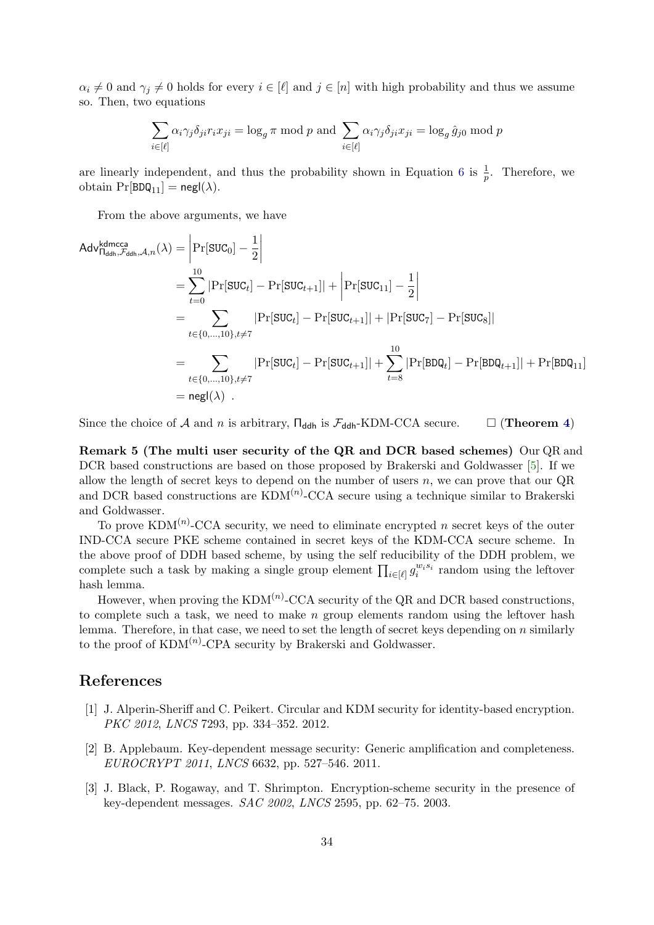$\alpha_i \neq 0$  and  $\gamma_j \neq 0$  holds for every  $i \in [\ell]$  and  $j \in [n]$  with high probability and thus we assume so. Then, two equations

$$
\sum_{i \in [\ell]} \alpha_i \gamma_j \delta_{ji} r_i x_{ji} = \log_g \pi \mod p \text{ and } \sum_{i \in [\ell]} \alpha_i \gamma_j \delta_{ji} x_{ji} = \log_g \hat{g}_{j0} \mod p
$$

are linearly independent, and thus the probability shown in Equation 6 is  $\frac{1}{p}$ . Therefore, we obtain  $Pr[BDQ_{11}] = negl(\lambda)$ .

From the above arguments, we have

$$
Adv_{\Pi_{ddh}, \mathcal{F}_{ddh}, \mathcal{A}, n}^{kddmcca}(\lambda) = \left| \Pr[\text{SUC}_0] - \frac{1}{2} \right|
$$
  
\n
$$
= \sum_{t=0}^{10} |\Pr[\text{SUC}_t] - \Pr[\text{SUC}_{t+1}]| + \left| \Pr[\text{SUC}_{11}] - \frac{1}{2} \right|
$$
  
\n
$$
= \sum_{t \in \{0, \dots, 10\}, t \neq 7} |\Pr[\text{SUC}_t] - \Pr[\text{SUC}_{t+1}]| + |\Pr[\text{SUC}_7] - \Pr[\text{SUC}_8]|
$$
  
\n
$$
= \sum_{t \in \{0, \dots, 10\}, t \neq 7} |\Pr[\text{SUC}_t] - \Pr[\text{SUC}_{t+1}]| + \sum_{t=8}^{10} |\Pr[\text{BDQ}_t] - \Pr[\text{BDQ}_{t+1}]| + \Pr[\text{BDQ}_{11}]
$$
  
\n
$$
= \text{negl}(\lambda) .
$$

Since the choice of *A* and *n* is arbitrary,  $\Pi_{\text{ddh}}$  is  $\mathcal{F}_{\text{ddh}}$ -KDM-CCA secure.  $\Box$  (**Theorem 4**)

**Remark 5 (The multi user security of the QR and DCR based schemes)** Our QR and DCR based constructions are based on those proposed by Brakerski and Goldwasser [5]. If we allow the length of secret keys to depend on the number of users *n*, we can prove that our [QR](#page-27-0) and DCR based constructions are  $KDM^{(n)}$ -CCA secure using a technique similar to Brakerski and Goldwasser.

<span id="page-34-3"></span>To prove KDM(*n*) -CCA security, we need to eliminate encrypted *n* secret keys of [th](#page-35-7)e outer IND-CCA secure PKE scheme contained in secret keys of the KDM-CCA secure scheme. In the above proof of DDH based scheme, by using the self reducibility of the DDH problem, we complete such a task by making a single group element  $\prod_{i \in [\ell]} g_i^{w_i s_i}$  random using the leftover hash lemma.

However, when proving the KDM<sup>(*n*)</sup>-CCA security of the QR and DCR based constructions, to complete such a task, we need to make *n* group elements random using the leftover hash lemma. Therefore, in that case, we need to set the length of secret keys depending on *n* similarly to the proof of KDM(*n*) -CPA security by Brakerski and Goldwasser.

## **References**

- [1] J. Alperin-Sheriff and C. Peikert. Circular and KDM security for identity-based encryption. *PKC 2012*, *LNCS* 7293, pp. 334–352. 2012.
- <span id="page-34-2"></span>[2] B. Applebaum. Key-dependent message security: Generic amplification and completeness. *EUROCRYPT 2011*, *LNCS* 6632, pp. 527–546. 2011.
- <span id="page-34-1"></span><span id="page-34-0"></span>[3] J. Black, P. Rogaway, and T. Shrimpton. Encryption-scheme security in the presence of key-dependent messages. *SAC 2002*, *LNCS* 2595, pp. 62–75. 2003.